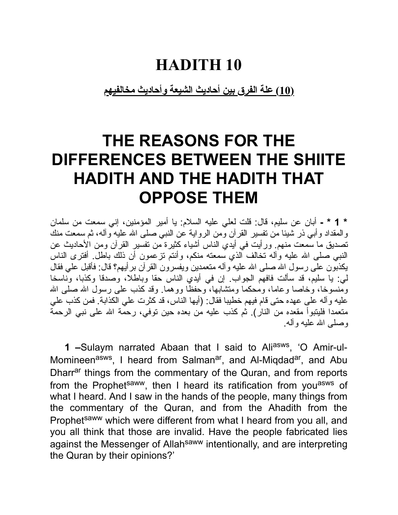#### **HADITH 10**

**(10) علة الفرق بین أحادیث الشیعة وأحادیث مخالفیهم**

### **THE REASONS FOR THE DIFFERENCES BETWEEN THE SHIITE HADITH AND THE HADITH THAT OPPOSE THEM**

**\* 1 \* -** أبان عن سلیم، قال: قلت لعلي علیه السلام: یا أمیر المؤمنین، إني سمعت من سلمان والمقداد وأبي ذر شیئا من تفسیر القرآن ومن الروایة عن النبي صلى االله علیه وآله، ثم سمعت منك تصدیق ما سمعت منهم. ورأیت في أیدي الناس أشیاء كثیرة من تفسیر القرآن ومن الأحادیث عن النبي صلى الله علیه وآله تخالف الذي سمعته منكم، وأنتم تزعمون أن ذلك باطل ِ أفترى الناس یكذبون على رسول االله صلى االله علیه وآله متعمدین ویفسرون القرآن برأیهم؟ قال: فأقبل علي فقال لي: یا سلیم، قد سألت فافهم الجواب. إن في أیدي الناس حقا وباطلا، وصدقا وكذبا، وناسخا ومَّنسوخا، وخاصا وعاما، ومحكما ومتشابها، وحفظًا ووهما. وقد كذب على رسول الله صلى الله علیه وآله على عهده حتى قام فیهم خطیبا فقال: (أیها الناس، قد كثرت علي الكذابة. فمن كذب علي متعمدا فلیتبوأ مقعده من النار). ثم كذب علیه من بعده حین توفي، رحمة االله على نبي الرحمة وصلى االله علیه وآله.

**1** -Sulaym narrated Abaan that I said to Ali<sup>asws</sup>, 'O Amir-ul-Momineen<sup>asws</sup>, I heard from Salman<sup>ar</sup>, and Al-Miqdad<sup>ar</sup>, and Abu Dharr<sup>ar</sup> things from the commentary of the Quran, and from reports from the Prophet<sup>saww</sup>, then I heard its ratification from you<sup>asws</sup> of what I heard. And I saw in the hands of the people, many things from the commentary of the Quran, and from the Ahadith from the Prophet<sup>saww</sup> which were different from what I heard from you all, and you all think that those are invalid. Have the people fabricated lies against the Messenger of Allah<sup>saww</sup> intentionally, and are interpreting the Quran by their opinions?'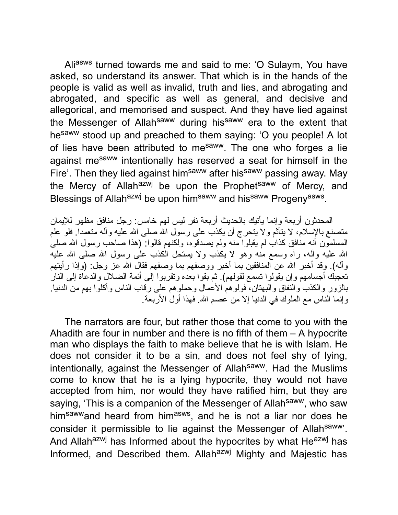Aliasws turned towards me and said to me: 'O Sulaym, You have asked, so understand its answer. That which is in the hands of the people is valid as well as invalid, truth and lies, and abrogating and abrogated, and specific as well as general, and decisive and allegorical, and memorised and suspect. And they have lied against the Messenger of Allah<sup>saww</sup> during his<sup>saww</sup> era to the extent that hesaww stood up and preached to them saying: 'O you people! A lot of lies have been attributed to me<sup>saww</sup>. The one who forges a lie against me<sup>saww</sup> intentionally has reserved a seat for himself in the Fire'. Then they lied against him<sup>saww</sup> after his<sup>saww</sup> passing away. May the Mercy of Allah<sup>azwj</sup> be upon the Prophet<sup>saww</sup> of Mercy, and Blessings of Allah<sup>azwj</sup> be upon him<sup>saww</sup> and his<sup>saww</sup> Progeny<sup>asws</sup>.

المحدثون أربعة وإنما یأتیك بالحدیث أربعة نفر لیس لهم خامس: رجل منافق مظهر للإیمان متصنع بالإسلام، لا یتأثم ولا یتحرج أن یكذب على رسول االله صلى االله علیه وآله متعمدا. فلو علم المسلمون أنه منافق كذاب لم یقبلوا منه ولم یصدقوه، ولكنهم قالوا: (هذا صاحب رسول االله صلى االله علیه وآله، رآه وسمع منه وهو لا یكذب ولا یستحل الكذب على رسول االله صلى االله علیه وأله). وقد أخبر الله عن المنافقين بما أخبر ووصفهم بما وصفهم فقال الله عز وجل: (وإذا رأيتهم تعجبك أجسامهم وإن یقولوا تسمع لقولهم). ثم بقوا بعده وتقربوا إلى أئمة الضلال والدعاة إلى النار بالزور والكذب والنفاق والبهتان، فولوهم الأعمال وحملوهم على رقاب الناس وأكلوا بهم من الدنیا. وإنما الناس مع الملوك في الدنیا إلا من عصم االله. فهذا أول الأربعة.

The narrators are four, but rather those that come to you with the Ahadith are four in number and there is no fifth of them – A hypocrite man who displays the faith to make believe that he is with Islam. He does not consider it to be a sin, and does not feel shy of lying, intentionally, against the Messenger of Allah<sup>saww</sup>. Had the Muslims come to know that he is a lying hypocrite, they would not have accepted from him, nor would they have ratified him, but they are saying, 'This is a companion of the Messenger of Allah<sup>saww</sup>, who saw him<sup>saww</sup>and heard from him<sup>asws</sup>, and he is not a liar nor does he consider it permissible to lie against the Messenger of Allahsaww'. And Allahazwj has Informed about the hypocrites by what Heazwj has Informed, and Described them. Allah<sup>azwj</sup> Mighty and Majestic has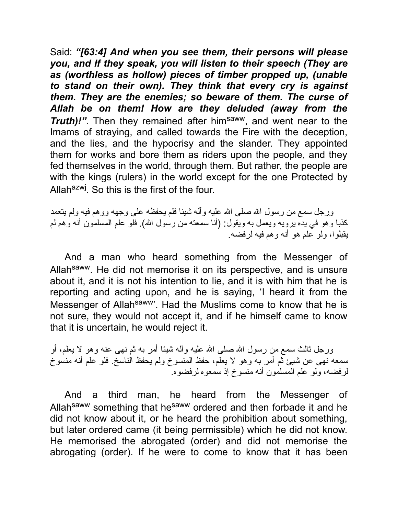Said: *"[63:4] And when you see them, their persons will please you, and If they speak, you will listen to their speech (They are as (worthless as hollow) pieces of timber propped up, (unable to stand on their own). They think that every cry is against them. They are the enemies; so beware of them. The curse of Allah be on them! How are they deluded (away from the* **Truth)!"**. Then they remained after him<sup>saww</sup>, and went near to the Imams of straying, and called towards the Fire with the deception, and the lies, and the hypocrisy and the slander. They appointed them for works and bore them as riders upon the people, and they fed themselves in the world, through them. But rather, the people are with the kings (rulers) in the world except for the one Protected by Allah<sup>azwj</sup>. So this is the first of the four.

ورجل سمع من رسول الله صلى الله علیه وأله شیئا فلم یحفظه على وجهه ووهم فیه ولم یتعمد كذبا وهو في یده یرویه ویعمل به ویقول: (أنا سمعته من رسول االله). فلو علم المسلمون أنه وهم لم یقبلوا، ولو علم هو أنه وهم فیه لرفضه.

And a man who heard something from the Messenger of Allah<sup>saww</sup>. He did not memorise it on its perspective, and is unsure about it, and it is not his intention to lie, and it is with him that he is reporting and acting upon, and he is saying, 'I heard it from the Messenger of Allah<sup>saww</sup>'. Had the Muslims come to know that he is not sure, they would not accept it, and if he himself came to know that it is uncertain, he would reject it.

ورجل ثالث سمع من رسول االله صلى االله علیه وآله شیئا أمر به ثم نهى عنه وهو لا یعلم، أو سمعه نهى عن شیئ ثم أمر به وهو لا یعلم، حفظ المنسوخ ولم یحفظ الناسخ. فلو علم أنه منسوخ لرفضه، ولو علم المسلمون أنه منسوخ إذ سمعوه لرفضوه.

And a third man, he heard from the Messenger of Allah<sup>saww</sup> something that he<sup>saww</sup> ordered and then forbade it and he did not know about it, or he heard the prohibition about something, but later ordered came (it being permissible) which he did not know. He memorised the abrogated (order) and did not memorise the abrogating (order). If he were to come to know that it has been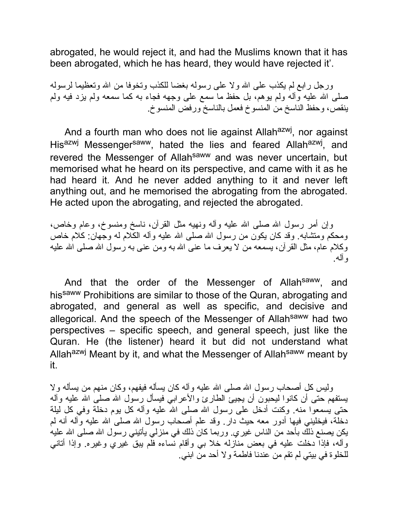abrogated, he would reject it, and had the Muslims known that it has been abrogated, which he has heard, they would have rejected it'.

ورجل رابع لم یكذب على االله ولا على رسوله بغضا للكذب وتخوفا من االله وتعظیما لرسوله صلى االله علیه وآله ولم یوهم، بل حفظ ما سمع على وجهه فجاء به كما سمعه ولم یزد فیه ولم ینقص، وحفظ الناسخ من المنسوخ فعمل بالناسخ ورفض المنسوخ.

And a fourth man who does not lie against Allah<sup>azwj</sup>, nor against His<sup>azwj</sup> Messenger<sup>saww</sup>, hated the lies and feared Allah<sup>azwj</sup>, and revered the Messenger of Allah<sup>saww</sup> and was never uncertain, but memorised what he heard on its perspective, and came with it as he had heard it. And he never added anything to it and never left anything out, and he memorised the abrogating from the abrogated. He acted upon the abrogating, and rejected the abrogated.

وإن أمر رسول الله صلَّى الله علیه وآله ونهیه مثل القرآن، ناسخ ومنسوخ، وعام وخاص، ومحكم ومتشابه. وقد كان یكون من رسول االله صلى االله علیه وآله الكلام له وجهان: كلام خاص وكلام عام، مثل القرآن، یسمعه من لا یعرف ما عنى االله به ومن عنى به رسول االله صلى االله علیه وآله.

And that the order of the Messenger of Allah<sup>saww</sup>, and his<sup>saww</sup> Prohibitions are similar to those of the Quran, abrogating and abrogated, and general as well as specific, and decisive and allegorical. And the speech of the Messenger of Allah<sup>saww</sup> had two perspectives – specific speech, and general speech, just like the Quran. He (the listener) heard it but did not understand what Allah<sup>azwj</sup> Meant by it, and what the Messenger of Allah<sup>saww</sup> meant by it.

ولیس كل أصحاب رسول االله صلى االله علیه وآله كان یسأله فیفهم، وكان منهم من یسأله ولا یستفهم حتى أن كانوا لیحبون أن یجیئ الطارئ والأعرابي فیسأل رسول االله صلى االله علیه وآله حتى یسمعوا منه. وكنت أدخل على رسول االله صلى االله علیه وآله كل یوم دخلة وفي كل لیلة دخلة، فیخلیني فیها أدور معه حیث دار. وقد علم أصحاب رسول االله صلى االله علیه وآله أنه لم یكن یصنع ذلك بأحد من الناس غیري. وربما كان ذلك في منزلي یأتیني رسول االله صلى االله علیه وآله، فإذا دخلت علیه في بعض منازله خلا بي وأقام نساءه فلم یبق غیري وغیره. وإذا أتاني للخلوة في بیتي لم تقم من عندنا فاطمة ولا أحد من ابني.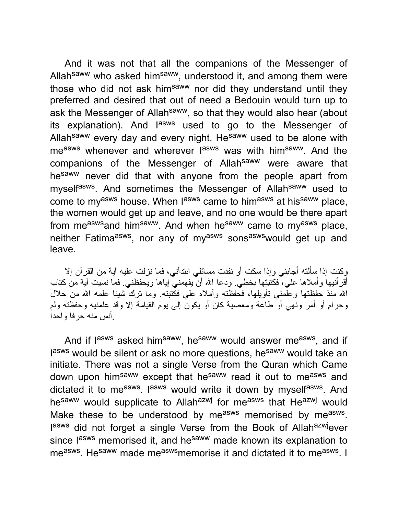And it was not that all the companions of the Messenger of Allah<sup>saww</sup> who asked him<sup>saww</sup>, understood it, and among them were those who did not ask him<sup>saww</sup> nor did they understand until they preferred and desired that out of need a Bedouin would turn up to ask the Messenger of Allah<sup>saww</sup>, so that they would also hear (about its explanation). And l<sup>asws</sup> used to go to the Messenger of Allah<sup>saww</sup> every day and every night. He<sup>saww</sup> used to be alone with me<sup>asws</sup> whenever and wherever l<sup>asws</sup> was with him<sup>saww</sup>. And the companions of the Messenger of Allah<sup>saww</sup> were aware that he<sup>saww</sup> never did that with anyone from the people apart from myself<sup>asws</sup>. And sometimes the Messenger of Allah<sup>saww</sup> used to come to my<sup>asws</sup> house. When l<sup>asws</sup> came to him<sup>asws</sup> at his<sup>saww</sup> place, the women would get up and leave, and no one would be there apart from measws and himsaww. And when hesaww came to myasws place, neither Fatima<sup>asws</sup>, nor any of my<sup>asws</sup> sons<sup>asws</sup>would get up and leave.

وكنت إذا سألته أجابني وإذا سكت أو نفدت مسائلي ابتدأني، فما نزلت علیه آیة من القرآن إلا أقرأنیها وأملاها علي، فكتبتها بخطي. ودعا االله أن یفهمني إیاها ویحفظني. فما نسیت آیة من كتاب االله منذ حفظتها وعلمني تأویلها، فحفظته وأملاه علي فكتبته. وما ترك شیئا علمه االله من حلال وحرام أو أمر ونهي أو طاعة ومعصیة كان أو یكون إلى یوم القیامة إلا وقد علمنیه وحفظته ولم .أنس منه حرفا واحدا

And if l<sup>asws</sup> asked him<sup>saww</sup>, he<sup>saww</sup> would answer me<sup>asws</sup>, and if lasws would be silent or ask no more questions, he<sup>saww</sup> would take an initiate. There was not a single Verse from the Quran which Came down upon him<sup>saww</sup> except that he<sup>saww</sup> read it out to me<sup>asws</sup> and dictated it to me<sup>asws</sup>. I<sup>asws</sup> would write it down by myself<sup>asws</sup>. And hesaww would supplicate to Allahazwj for measws that Heazwj would Make these to be understood by me<sup>asws</sup> memorised by me<sup>asws</sup>. lasws did not forget a single Verse from the Book of Allah<sup>azwj</sup>ever since l<sup>asws</sup> memorised it, and he<sup>saww</sup> made known its explanation to me<sup>asws</sup>. He<sup>saww</sup> made me<sup>asws</sup>memorise it and dictated it to me<sup>asws</sup>. I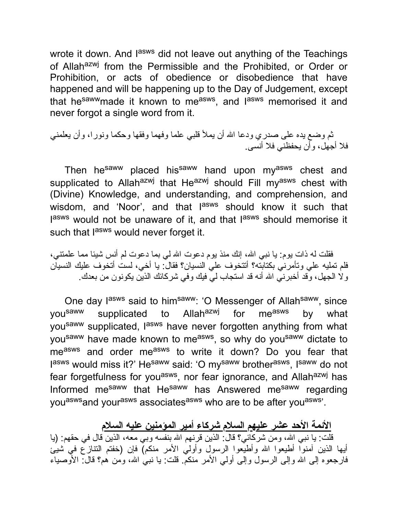wrote it down. And l<sup>asws</sup> did not leave out anything of the Teachings of Allah<sup>azwj</sup> from the Permissible and the Prohibited, or Order or Prohibition, or acts of obedience or disobedience that have happened and will be happening up to the Day of Judgement, except that he<sup>saww</sup>made it known to me<sup>asws</sup>, and l<sup>asws</sup> memorised it and never forgot a single word from it.

ثم وضع یده على صدري ودعا االله أن یملأ قلبي علما وفهما وفقها وحكما ونورا، وأن یعلمني فلا أجهل، وأن یحفظني فلا أنسى.

Then he<sup>saww</sup> placed his<sup>saww</sup> hand upon my<sup>asws</sup> chest and supplicated to Allah<sup>azwj</sup> that He<sup>azwj</sup> should Fill my<sup>asws</sup> chest with (Divine) Knowledge, and understanding, and comprehension, and wisdom, and 'Noor', and that l<sup>asws</sup> should know it such that lasws would not be unaware of it, and that lasws should memorise it such that lasws would never forget it.

فقلت له ذات یوم: یا نببی الله، إنك منذ یوم دعوت الله لمی بما دعوت لم أنس شیئا مما علمتنبی، فلم تملیه علي وتأمرني بكتابته؟ أتتخوف علي النسیان؟ فقال: یا أخي، لست أتخوف علیك النسیان ولا الجهل، وقد أخبرني االله أنه قد استجاب لي فیك وفي شركائك الذین یكونون من بعدك.

One day l<sup>asws</sup> said to him<sup>saww</sup>: 'O Messenger of Allah<sup>saww</sup>, since yousaww supplicated to Allahazwj for measws by what you<sup>saww</sup> supplicated, l<sup>asws</sup> have never forgotten anything from what you<sup>saww</sup> have made known to me<sup>asws</sup>, so why do you<sup>saww</sup> dictate to measws and order measws to write it down? Do you fear that l<sup>asws</sup> would miss it?' He<sup>saww</sup> said: 'O my<sup>saww</sup> brother<sup>asws</sup>, I<sup>saww</sup> do not fear forgetfulness for you<sup>asws</sup>, nor fear ignorance, and Allah<sup>azwj</sup> has Informed me<sup>saww</sup> that He<sup>saww</sup> has Answered me<sup>saww</sup> regarding you<sup>asws</sup>and your<sup>asws</sup> associates<sup>asws</sup> who are to be after you<sup>asws</sup>'.

**الأئمة الأحد عشر علیهم السلام شركاء أمیر المؤمنین علیه السلام** قلت: یا نبي االله، ومن شركائي؟ قال: الذین قرنهم االله بنفسه وبي معه، الذین قال في حقهم: (یا أیها الذین آمنوا أطیعوا االله وأطیعوا الرسول وأولي الأمر منكم) فإن (خفتم التنازع في شیئ فارجعوه إلى الله وإلى الرسول وإلى أولى الأمر منكم. قلت: یا نبـي الله، ومن هم؟ قال: الأوصیاء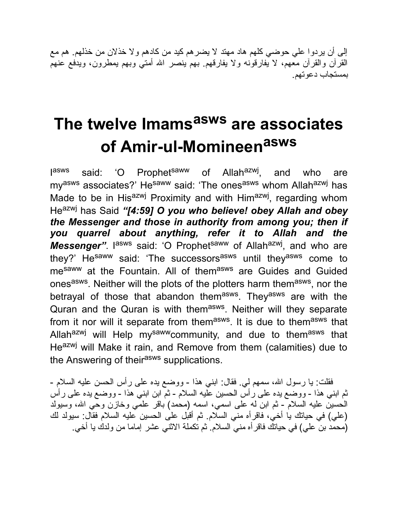إلى أن یردوا علي حوضي كلهم هاد مهتد لا یضرهم كید من كادهم ولا خذلان من خذلهم. هم مع القرآن والقرآن معهم، لا یفارقونه ولا یفارقهم. بهم ینصر االله أمتي وبهم یمطرون، ویدفع عنهم بمستجاب دعوتهم.

# **The twelve Imams asws are associates of Amir-ul-Momineen asws**

**jasws** said: 'O Prophet<sup>saww</sup> of Allah<sup>azwj</sup>, , and who are my<sup>asws</sup> associates?' He<sup>saww</sup> said: 'The ones<sup>asws</sup> whom Allah<sup>azwj</sup> has Made to be in His<sup>azwj</sup> Proximity and with Him<sup>azwj</sup>, regarding whom Heazwj has Said *"[4:59] O you who believe! obey Allah and obey the Messenger and those in authority from among you; then if you quarrel about anything, refer it to Allah and the* Messenger". I<sup>asws</sup> said: 'O Prophet<sup>saww</sup> of Allah<sup>azwj</sup>, and who are they?' He<sup>saww</sup> said: 'The successors<sup>asws</sup> until they<sup>asws</sup> come to me<sup>saww</sup> at the Fountain. All of them<sup>asws</sup> are Guides and Guided ones<sup>asws</sup>. Neither will the plots of the plotters harm them<sup>asws</sup>, nor the betrayal of those that abandon them<sup>asws</sup>. They<sup>asws</sup> are with the Quran and the Quran is with them<sup>asws</sup>. Neither will they separate from it nor will it separate from them<sup>asws</sup>. It is due to them<sup>asws</sup> that Allahazwj will Help mysawwcommunity, and due to themasws that Heazwj will Make it rain, and Remove from them (calamities) due to the Answering of their<sup>asws</sup> supplications.

فقلت: یا رسول الله، سمهم لی فقال: ابنی هذا - ووضع یده علی رأس الحسن علیه السلام -ثم ابني هذا - ووضع یده على رأس الحسین علیه السلام - ثم ابن ابني هذا - ووضع یده على رأس الحسین علیه السلام - ثم ابن له على اسمي، اسمه (محمد) باقر علمي وخازن وحي االله، وسیولد (علي) في حیاتك یا أخي، فاقرأه مني السلام. ثم أقبل على الحسین علیه السلام فقال: سیولد لك (محمد بن علي) في حیاتك فاقرأه مني السلام. ثم تكملة الاثني عشر إماما من ولدك یا أخي.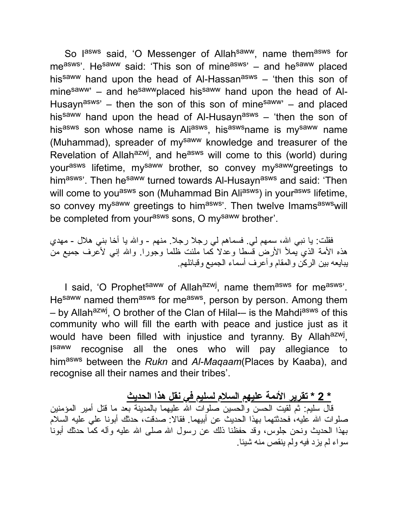So l<sup>asws</sup> said, 'O Messenger of Allah<sup>saww</sup>, name them<sup>asws</sup> for measws'. Hesaww said: 'This son of mineasws' - and hesaww placed his<sup>saww</sup> hand upon the head of Al-Hassan<sup>asws</sup> – 'then this son of minesaww<sup>,</sup> – and he<sup>saww</sup>placed his<sup>saww</sup> hand upon the head of Al-Husayn<sup>asws</sup>' – then the son of this son of mine<sup>saww</sup>' – and placed his<sup>saww</sup> hand upon the head of Al-Husayn<sup>asws</sup> – 'then the son of his<sup>asws</sup> son whose name is Ali<sup>asws</sup>, his<sup>asws</sup>name is my<sup>saww</sup> name (Muhammad), spreader of my<sup>saww</sup> knowledge and treasurer of the Revelation of Allah<sup>azwj</sup>, and he<sup>asws</sup> will come to this (world) during yourasws lifetime, mysaww brother, so convey mysawwgreetings to himasws'. Then he<sup>saww</sup> turned towards Al-Husayn<sup>asws</sup> and said: 'Then will come to you<sup>asws</sup> son (Muhammad Bin Ali<sup>asws</sup>) in your<sup>asws</sup> lifetime, so convey mysaww greetings to himasws'. Then twelve Imamsaswswill be completed from your<sup>asws</sup> sons, O my<sup>saww</sup> brother'.

فقلت: یا نبی الله، سمهم لی. فسماهم لی رجلا رجلا. منهم - والله یا أخا بنی هلال - مهدي هذه الأمة الذي یملأ الأرض قسطا وعدلا كما ملئت ظلما وجورا. واالله إني لأعرف جمیع من یبایعه بین الركن والمقام وأعرف أسماء الجمیع وقبائلهم.

I said, 'O Prophet<sup>saww</sup> of Allah<sup>azwj</sup>, name them<sup>asws</sup> for me<sup>asws</sup>'. He<sup>saww</sup> named them<sup>asws</sup> for me<sup>asws</sup>, person by person. Among them – by Allah<sup>azwj</sup>, O brother of the Clan of Hilal-– is the Mahdi<sup>asws</sup> of this community who will fill the earth with peace and justice just as it would have been filled with injustice and tyranny. By Allah<sup>azwj</sup>, **I**saww recognise all the ones who will pay allegiance to himasws between the *Rukn* and *Al-Maqaam*(Places by Kaaba), and recognise all their names and their tribes'.

#### **\* 2 \* تقریر الأئمة علیهم السلام لسلیم في نقل هذا الحدیث**

قال سلیم: ثم لقیت الحسن والحسین صلوات االله علیهما بالمدینة بعد ما قتل أمیر المؤمنین صلوات االله علیه، فحدثتهما بهذا الحدیث عن أبیهما. فقالا: صدقت، حدثك أبونا علي علیه السلام بهذا الحدیث ونحن جلوس، وقد حفظنا ذلك عن رسول االله صلى االله علیه وآله كما حدثك أبونا سواء لم یزد فیه ولم ینقص منه شیئا.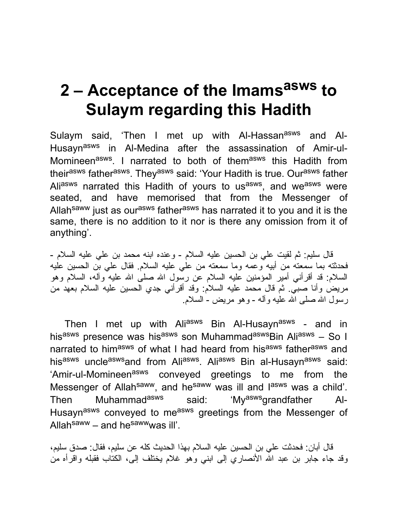# **2 – Acceptance of the Imams asws to Sulaym regarding this Hadith**

Sulaym said, 'Then I met up with Al-Hassan<sup>asws</sup> and Al-Husayn<sup>asws</sup> in Al-Medina after the assassination of Amir-ul-Momineen<sup>asws</sup>. I narrated to both of them<sup>asws</sup> this Hadith from their<sup>asws</sup> father<sup>asws</sup>. They<sup>asws</sup> said: 'Your Hadith is true. Our<sup>asws</sup> father Ali<sup>asws</sup> narrated this Hadith of yours to us<sup>asws</sup>, and we<sup>asws</sup> were seated, and have memorised that from the Messenger of Allah<sup>saww</sup> just as our<sup>asws</sup> father<sup>asws</sup> has narrated it to you and it is the same, there is no addition to it nor is there any omission from it of anything'.

قال سلیم: ثم لقیت علي بن الحسین علیه السلام - وعنده ابنه محمد بن علي علیه السلام - فحدثته بما سمعته من أبیه وعمه وما سمعته من علي علیه السلام. فقال علي بن الحسین علیه السلام: قد أقرأني أمیر المؤمنین علیه السلام عن رسول االله صلى االله علیه وآله، السلام وهو مریض وأنا صبي. ثم قال محمد علیه السلام: وقد أقرأني جدي الحسین علیه السلام بعهد من رسول االله صلى االله علیه وآله - وهو مریض - السلام.

Then I met up with Ali<sup>asws</sup> Bin Al-Husayn<sup>asws</sup> - and in hisasws presence was hisasws son MuhammadaswsBin Aliasws – So I narrated to him<sup>asws</sup> of what I had heard from his<sup>asws</sup> father<sup>asws</sup> and his<sup>asws</sup> uncle<sup>asws</sup>and from Ali<sup>asws</sup>. Ali<sup>asws</sup> Bin al-Husayn<sup>asws</sup> said: 'Amir-ul-Momineen<sup>asws</sup> conveyed greetings to me from the Messenger of Allah<sup>saww</sup>, and he<sup>saww</sup> was ill and l<sup>asws</sup> was a child'. Then Muhammad<sup>asws</sup> said: 'My<sup>asws</sup>grandfather Al-Husayn<sup>asws</sup> conveyed to me<sup>asws</sup> greetings from the Messenger of Allah<sup>saww</sup> – and he<sup>saww</sup>was ill'.

قال أبان: فحدثت علي بن الحسین علیه السلام بهذا الحدیث كله عن سلیم، فقال: صدق سلیم، وقد جاء جابر بن عبد الله الأنصاري إلى ابني وهو غلام يختلف إلى، الكتاب فقبله واقرأه من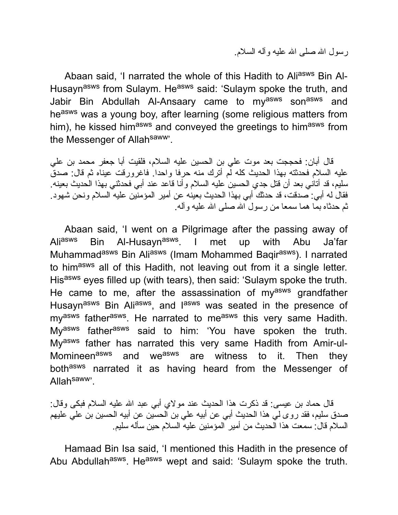رسول االله صلى االله علیه وآله السلام.

Abaan said, 'I narrated the whole of this Hadith to Aliasws Bin Al-Husayn<sup>asws</sup> from Sulaym. He<sup>asws</sup> said: 'Sulaym spoke the truth, and Jabir Bin Abdullah Al-Ansaary came to my<sup>asws</sup> son<sup>asws</sup> and heasws was a young boy, after learning (some religious matters from him), he kissed him<sup>asws</sup> and conveyed the greetings to him<sup>asws</sup> from the Messenger of Allah<sup>saww</sup>'.

قال أبان: فحججت بعد موت علي بن الحسین علیه السلام، فلقیت أبا جعفر محمد بن علي علیه السلام فحدثته بهذا الحدیث كله لم أترك منه حرفا واحدا. فاغرورقت عیناه ثم قال: صدق سلیم، قد أتاني بعد أن قتل جدي الحسین علیه السلام وأنا قاعد عند أبي فحدثني بهذا الحدیث بعینه. فقال له أبي: صدقت، قد حدثك أبي بهذا الحدیث بعینه عن أمیر المؤمنین علیه السلام ونحن شهود. ثم حدثاه بما هما سمعا من رسول االله صلى االله علیه وآله.

Abaan said, 'I went on a Pilgrimage after the passing away of Ali<sup>asws</sup> Bin Al-Husayn<sup>asws</sup>. I met up with Abu Ja'far Muhammad<sup>asws</sup> Bin Ali<sup>asws</sup> (Imam Mohammed Baqir<sup>asws</sup>). I narrated to himasws all of this Hadith, not leaving out from it a single letter. Hisasws eyes filled up (with tears), then said: 'Sulaym spoke the truth. He came to me, after the assassination of my<sup>asws</sup> grandfather Husayn<sup>asws</sup> Bin Ali<sup>asws</sup>, and l<sup>asws</sup> was seated in the presence of my<sup>asws</sup> father<sup>asws</sup>. He narrated to me<sup>asws</sup> this very same Hadith. My<sup>asws</sup> father<sup>asws</sup> said to him: 'You have spoken the truth. Myasws father has narrated this very same Hadith from Amir-ul-Momineen<sup>asws</sup> and we<sup>asws</sup> are witness to it. Then they bothasws narrated it as having heard from the Messenger of Allah<sup>saww</sup>'.

قال حماد بن عیسى: قد ذكرت هذا الحدیث عند مولاي أبي عبد االله علیه السلام فبكى وقال: صدق سلیم، فقد روى لي هذا الحدیث أبي عن أبیه علي بن الحسین عن أبیه الحسین بن علي علیهم السلام قال: سمعت هذا الحدیث من أمیر المؤمنین علیه السلام حین سأله سلیم.

Hamaad Bin Isa said, 'I mentioned this Hadith in the presence of Abu Abdullah<sup>asws</sup>. He<sup>asws</sup> wept and said: 'Sulaym spoke the truth.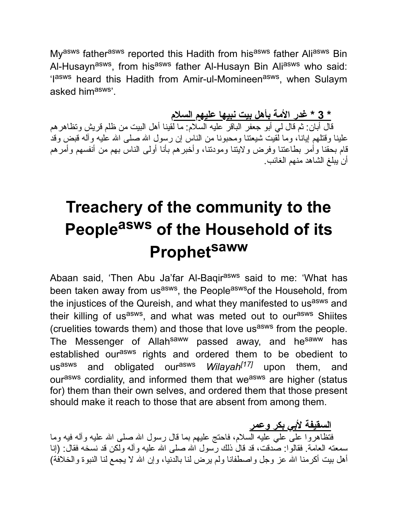My<sup>asws</sup> father<sup>asws</sup> reported this Hadith from his<sup>asws</sup> father Ali<sup>asws</sup> Bin Al-Husayn<sup>asws</sup>, from his<sup>asws</sup> father Al-Husayn Bin Ali<sup>asws</sup> who said: 'I<sup>asws</sup> heard this Hadith from Amir-ul-Momineen<sup>asws</sup>, when Sulaym asked himasws'.

**\* 3 \* غدر الأمة بأهل بیت نبیها علیهم السلام**

قال أبان: ثم قال لمي أبو جعفر الباقر علیه السلام: ما لقینا أهل البیت من ظلم قریش وتظاهر هم علینا وقتلهم إیانا، وما لقیت شیعتنا ومحبونا من الناس إن رسول االله صلى االله علیه وآله قبض وقد قام بحقنا وأمر بطاعتنا وفرض ولایتنا ومودتنا، وأخبرهم بأنا أولى الناس بهم من أنفسهم وأمرهم أن یبلغ الشاهد منهم الغائب.

# **Treachery of the community to the People asws of the Household of its Prophet saww**

Abaan said, 'Then Abu Ja'far Al-Baqirasws said to me: 'What has been taken away from us<sup>asws</sup>, the People<sup>asws</sup>of the Household, from the injustices of the Qureish, and what they manifested to usasws and their killing of us<sup>asws</sup>, and what was meted out to our<sup>asws</sup> Shiites (cruelities towards them) and those that love us<sup>asws</sup> from the people. The Messenger of Allah<sup>saww</sup> passed away, and he<sup>saww</sup> has established our<sup>asws</sup> rights and ordered them to be obedient to us<sup>asws</sup> and obligated our<sup>asws</sup> *Wilayah<sup>[17]</sup>* upon them, and ourasws cordiality, and informed them that weasws are higher (status for) them than their own selves, and ordered them that those present should make it reach to those that are absent from among them.

**السقیفة لأبي بكر وعمر** فتظاهروا على علي علیه السلام، فاحتج علیهم بما قال رسول االله صلى االله علیه وآله فیه وما سمعته العامة. فقالوا: صدقت، قد قال ذلك رسول االله صلى االله علیه وآله ولكن قد نسخه فقال: (إنا أهل بیت أكرمنا االله عز وجل واصطفانا ولم یرض لنا بالدنیا، وإن االله لا یجمع لنا النبوة والخلافة)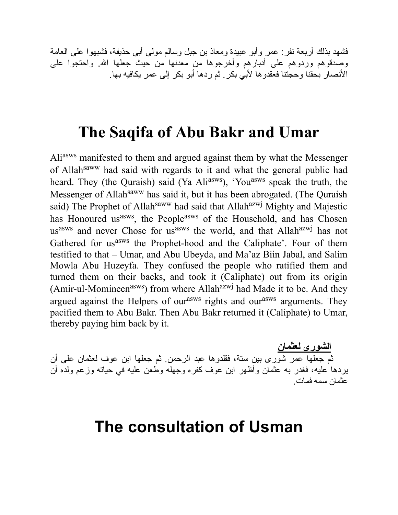فشهد بذلك أربعة نفر: عمر وأبو عبیدة ومعاذ بن جبل وسالم مولى أبي حذیفة، فشبهوا على العامة وصدقوهم وردوهم على أدبارهم وأخرجوها من معدنها من حیث جعلها االله. واحتجوا على الأنصار بحقنا وحجتنا فعقدوها لأبي بكر. ثم ردها أبو بكر إلى عمر یكافیه بها.

#### **The Saqifa of Abu Bakr and Umar**

Aliasws manifested to them and argued against them by what the Messenger of Allahsaww had said with regards to it and what the general public had heard. They (the Quraish) said (Ya Ali<sup>asws</sup>), 'You<sup>asws</sup> speak the truth, the Messenger of Allah<sup>saww</sup> has said it, but it has been abrogated. (The Quraish said) The Prophet of Allah<sup>saww</sup> had said that Allah<sup>azwj</sup> Mighty and Majestic has Honoured us<sup>asws</sup>, the People<sup>asws</sup> of the Household, and has Chosen us<sup>asws</sup> and never Chose for us<sup>asws</sup> the world, and that Allah<sup>azwj</sup> has not Gathered for us<sup>asws</sup> the Prophet-hood and the Caliphate'. Four of them testified to that – Umar, and Abu Ubeyda, and Ma'az Biin Jabal, and Salim Mowla Abu Huzeyfa. They confused the people who ratified them and turned them on their backs, and took it (Caliphate) out from its origin (Amir-ul-Momineen<sup>asws</sup>) from where Allah<sup>azwj</sup> had Made it to be. And they argued against the Helpers of our<sup>asws</sup> rights and our<sup>asws</sup> arguments. They pacified them to Abu Bakr. Then Abu Bakr returned it (Caliphate) to Umar, thereby paying him back by it.

**الشورى لعثمان** ثم جعلها عمر شورى بین ستة، فقلدوها عبد الرحمن. ثم جعلها ابن عوف لعثمان على أن یردها علیه، فغدر به عثمان وأظهر ابن عوف كفره وجهله وطعن علیه في حیاته وزعم ولده أن عثمان سمه فمات.

#### **The consultation of Usman**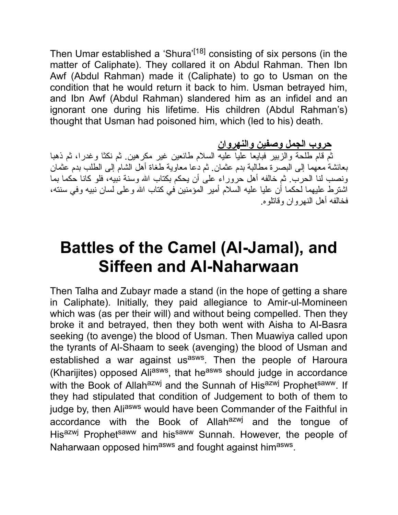Then Umar established a 'Shura'<sup>[18]</sup> consisting of six persons (in the matter of Caliphate). They collared it on Abdul Rahman. Then Ibn Awf (Abdul Rahman) made it (Caliphate) to go to Usman on the condition that he would return it back to him. Usman betrayed him, and Ibn Awf (Abdul Rahman) slandered him as an infidel and an ignorant one during his lifetime. His children (Abdul Rahman's) thought that Usman had poisoned him, which (led to his) death.

**حروب الجمل وصفین والنهروان**

ثم قام طلحة والزبیر فبایعا علیا علیه السلام طائعین غیر مكرهین. ثم نكثا وغدرا، ثم ذهبا بعائشة معهما إلى البصرة مطالبة بدم عثمان. ثم دعا معاویة طغاة أهل الشام إلى الطلب بدم عثمان ونصب لنا الحرب. ثم خالفه أهل حروراء على أن یحكم بكتاب االله وسنة نبیه، فلو كانا حكما بما اشترط علیهما لحكما أن علیا علیه السلام أمیر المؤمنین في كتاب االله وعلى لسان نبیه وفي سنته، فخالفه أهل النهروان وقاتلوه.

# **Battles of the Camel (Al-Jamal), and Siffeen and Al-Naharwaan**

Then Talha and Zubayr made a stand (in the hope of getting a share in Caliphate). Initially, they paid allegiance to Amir-ul-Momineen which was (as per their will) and without being compelled. Then they broke it and betrayed, then they both went with Aisha to Al-Basra seeking (to avenge) the blood of Usman. Then Muawiya called upon the tyrants of Al-Shaam to seek (avenging) the blood of Usman and established a war against us<sup>asws</sup>. Then the people of Haroura (Kharijites) opposed Ali<sup>asws</sup>, that he<sup>asws</sup> should judge in accordance with the Book of Allah<sup>azwj</sup> and the Sunnah of Hisazwj Prophetsaww. If they had stipulated that condition of Judgement to both of them to judge by, then Aliasws would have been Commander of the Faithful in accordance with the Book of Allahazwj and the tongue of Hisazwj Prophetsaww and hissaww Sunnah. However, the people of Naharwaan opposed him<sup>asws</sup> and fought against him<sup>asws</sup>.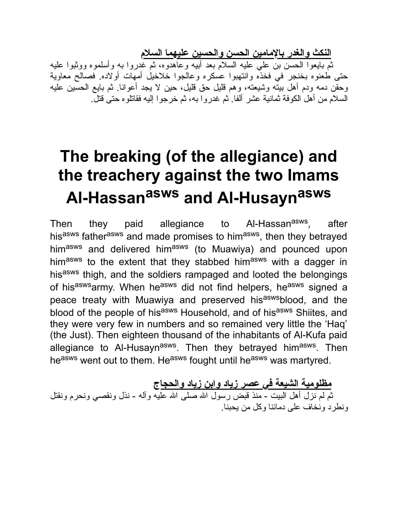**النكث والغدر بالإمامین الحسن والحسین علیهما السلام**

ثم بایعوا الحسن بن علي علیه السلام بعد أبیه وعاهدوه، ثم غدروا به وأسلموه ووثبوا علیه حتى طعنوه بخنجر في فخذه وانتهبوا عسكره وعالجوا خلاخیل أمهات أولاده. فصالح معاویة وحقن دمه ودم أهل بیته وشیعته، وهم قلیل حق قلیل، حین لا یجد أعوانا. ثم بایع الحسین علیه السلام من أهل الكوفة ثمانیة عشر ألفا. ثم غدروا به، ثم خرجوا إلیه فقاتلوه حتى قتل.

# **The breaking (of the allegiance) and the treachery against the two Imams Al-Hassan asws and Al-Husayn asws**

Then they paid allegiance to Al-Hassan<sup>asws</sup>, , after his<sup>asws</sup> father<sup>asws</sup> and made promises to him<sup>asws</sup>, then they betrayed himasws and delivered himasws (to Muawiya) and pounced upon himasws to the extent that they stabbed himasws with a dagger in hisasws thigh, and the soldiers rampaged and looted the belongings of his<sup>asws</sup>army. When he<sup>asws</sup> did not find helpers, he<sup>asws</sup> signed a peace treaty with Muawiya and preserved his<sup>asws</sup>blood, and the blood of the people of hisasws Household, and of hisasws Shiites, and they were very few in numbers and so remained very little the 'Haq' (the Just). Then eighteen thousand of the inhabitants of Al-Kufa paid allegiance to Al-Husayn<sup>asws</sup>. Then they betrayed him<sup>asws</sup>. Then heasws went out to them. Heasws fought until heasws was martyred.

**مظلومیة الشیعة في عصر زیاد وابن زیاد والحجاج** ثم لم نزل أهل البیت - منذ قبض رسول االله صلى االله علیه وآله - نذل ونقصي ونحرم ونقتل ونطرد ونخاف على دمائنا وكل من یحبنا.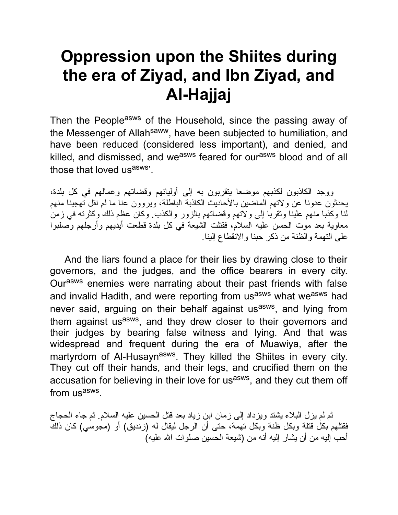## **Oppression upon the Shiites during the era of Ziyad, and Ibn Ziyad, and Al-Hajjaj**

Then the People<sup>asws</sup> of the Household, since the passing away of the Messenger of Allah<sup>saww</sup>, have been subjected to humiliation, and have been reduced (considered less important), and denied, and killed, and dismissed, and we<sup>asws</sup> feared for our<sup>asws</sup> blood and of all those that loved us<sup>asws'</sup>.

ووجد الكاذبون لكذبهم موضعا یتقربون به إلى أولیائهم وقضاتهم وعمالهم في كل بلدة، یحدثون عدونا عن ولاتهم الماضین بالأحادیث الكاذبة الباطلة، ویروون عنا ما لم نقل تهجینا منهم لنا وكذبا منهم علینا وتقربا إلى ولاتهم وقضاتهم بالزور والكذب. وكان عظم ذلك وكثرته في زمن معاویة بعد موت الحسن علیه السلام، فقتلت الشیعة في كل بلدة قطعت أیدیهم وأرجلهم وصلبوا على التهمة والظنة من ذكر حبنا والانقطاع إلینا.

And the liars found a place for their lies by drawing close to their governors, and the judges, and the office bearers in every city. Ourasws enemies were narrating about their past friends with false and invalid Hadith, and were reporting from us<sup>asws</sup> what we<sup>asws</sup> had never said, arguing on their behalf against us<sup>asws</sup>, and lying from them against us<sup>asws</sup>, and they drew closer to their governors and their judges by bearing false witness and lying. And that was widespread and frequent during the era of Muawiya, after the martyrdom of Al-Husayn<sup>asws</sup>. They killed the Shiites in every city. They cut off their hands, and their legs, and crucified them on the accusation for believing in their love for us<sup>asws</sup>, and they cut them off from us<sup>asws</sup>.

ثم لم یزل البلاء یشتد ویزداد إلى زمان ابن زیاد بعد قتل الحسین علیه السلام. ثم جاء الحجاج فقتلهم بكل قتلة وبكل ظنة وبكل تهمة، حتى أن الرجل لیقال له (زندیق) أو (مجوسي) كان ذلك أحب إلیه من أن یشار إلیه أنه من (شیعة الحسین صلوات االله علیه)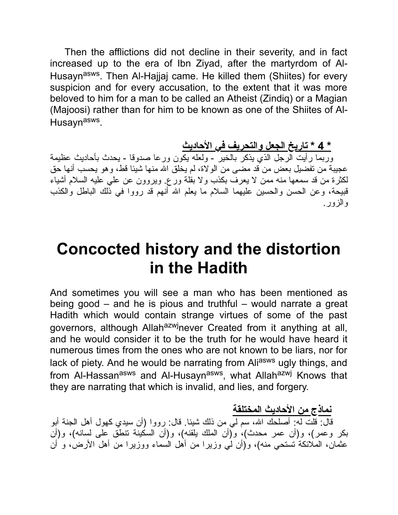Then the afflictions did not decline in their severity, and in fact increased up to the era of Ibn Ziyad, after the martyrdom of Al-Husayn<sup>asws</sup>. Then Al-Hajjaj came. He killed them (Shiites) for every suspicion and for every accusation, to the extent that it was more beloved to him for a man to be called an Atheist (Zindiq) or a Magian (Majoosi) rather than for him to be known as one of the Shiites of Al-Husayn<sup>asws</sup>.

**\* 4 \* تاریخ الجعل والتحریف في الأحادیث**

وربما رأیت الرجل الذي یذكر بالخیر - ولعله یكون ورعا صدوقا - یحدث بأحادیث عظیمة عجیبة من تفضیل بعض من قد مضى من الولاة، لم یخلق االله منها شیئا قط، وهو یحسب أنها حق لكثرة من قد سمعها منه ممن لا یعرف بكذب ولا بقلة ورع. ویروون عن علي علیه السلام أشیاء قبیحة، وعن الحسن والحسین علیهما السلام ما یعلم االله أنهم قد رووا في ذلك الباطل والكذب والزور.

### **Concocted history and the distortion in the Hadith**

And sometimes you will see a man who has been mentioned as being good – and he is pious and truthful – would narrate a great Hadith which would contain strange virtues of some of the past governors, although Allah<sup>azwj</sup>never Created from it anything at all, and he would consider it to be the truth for he would have heard it numerous times from the ones who are not known to be liars, nor for lack of piety. And he would be narrating from Aliasws ugly things, and from Al-Hassan<sup>asws</sup> and Al-Husayn<sup>asws</sup>, what Allah<sup>azwj</sup> Knows that they are narrating that which is invalid, and lies, and forgery.

**نماذج من الأحادیث المختلقة**

قال: قلت له: أصلحك االله، سم لي من ذلك شیئا. قال: رووا (أن سیدي كهول أهل الجنة أبو بكر وعمر)، و(أن عمر محدث)، و(أن الملك یلقنه)، و(أن السكینة تنطق على لسانه)، و(أن عثمان، الملائكة تستحي منه)، و(أن لي وزیرا من أهل السماء ووزیرا من أهل الأرض، و أن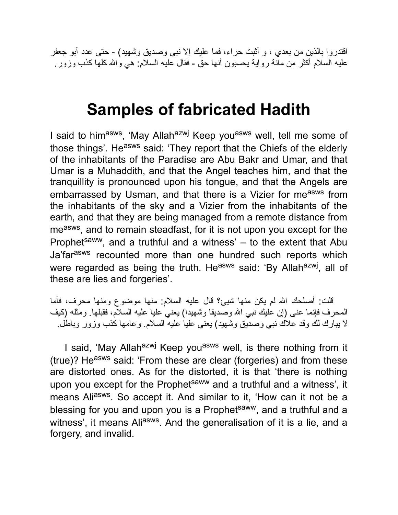اقتدروا بالذین من بعدي ، و أثبت حراء، فما علیك إلا نبي وصدیق وشهید) - حتى عدد أبو جعفر علیه السلام أكثر من مائة روایة یحسبون أنها حق - فقال علیه السلام: هي واالله كلها كذب وزور.

### **Samples of fabricated Hadith**

I said to him<sup>asws</sup>, 'May Allah<sup>azwj</sup> Keep you<sup>asws</sup> well, tell me some of those things'. He<sup>asws</sup> said: 'They report that the Chiefs of the elderly of the inhabitants of the Paradise are Abu Bakr and Umar, and that Umar is a Muhaddith, and that the Angel teaches him, and that the tranquillity is pronounced upon his tongue, and that the Angels are embarrassed by Usman, and that there is a Vizier for measws from the inhabitants of the sky and a Vizier from the inhabitants of the earth, and that they are being managed from a remote distance from me<sup>asws</sup>, and to remain steadfast, for it is not upon you except for the Prophet<sup>saww</sup>, and a truthful and a witness'  $-$  to the extent that Abu Ja'far<sup>asws</sup> recounted more than one hundred such reports which were regarded as being the truth. He<sup>asws</sup> said: 'By Allah<sup>azwj</sup>, all of these are lies and forgeries'.

قلت: أصلحك االله لم یكن منها شیئ؟ قال علیه السلام: منها موضوع ومنها محرف، فأما المحرف فإنما عنى (إن علیك نبي االله وصدیقا وشهیدا) یعني علیا علیه السلام، فقبلها. ومثله (كیف لا یبارك لك وقد علاك نبي وصدیق وشهید) یعني علیا علیه السلام. وعامها كذب وزور وباطل.

I said, 'May Allah<sup>azwj</sup> Keep you<sup>asws</sup> well, is there nothing from it (true)? He<sup>asws</sup> said: 'From these are clear (forgeries) and from these are distorted ones. As for the distorted, it is that 'there is nothing upon you except for the Prophet<sup>saww</sup> and a truthful and a witness', it means Ali<sup>asws</sup>. So accept it. And similar to it, 'How can it not be a blessing for you and upon you is a Prophet<sup>saww</sup>, and a truthful and a witness', it means Ali<sup>asws</sup>. And the generalisation of it is a lie, and a forgery, and invalid.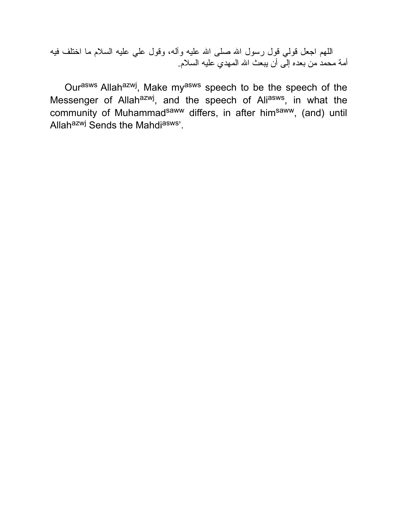اللهم اجعل قولي قول رسول الله صلى الله علیه وأله، وقول علي علیه السلام ما اختلف فیه أمة محمد من بعده إلى أن یبعث االله المهدي علیه السلام.

Our<sup>asws</sup> Allah<sup>azwj</sup>, Make my<sup>asws</sup> speech to be the speech of the Messenger of Allah<sup>azwj</sup>, and the speech of Ali<sup>asws</sup>, in what the community of Muhammad<sup>saww</sup> differs, in after him<sup>saww</sup>, (and) until Allah<sup>azwj</sup> Sends the Mahdi<sup>asws</sup>'.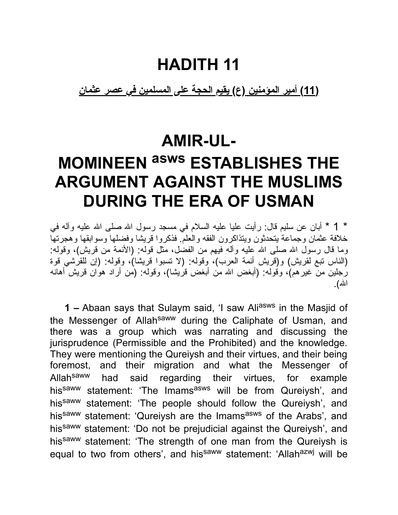### **HADITH 11**

**(11) أمیر المؤمنین (ع) یقیم الحجة على المسلمین في عصر عثمان**

#### **AMIR-UL-**

# **MOMINEEN asws ESTABLISHES THE ARGUMENT AGAINST THE MUSLIMS DURING THE ERA OF USMAN**

\* 1 \* أبان عن سلیم قال: رأیت علیا علیه السلام في مسجد رسول االله صلى االله علیه وآله في خلافة عثمان وجماعة یتحدثون ویتذاكرون الفقه والعلم. فذكروا قریشا وفضلها وسوابقها وهجرتها وما قال رسول الله صلى الله علیه وآله فیهم من الفضل، مثل قوله: (الأئمة من قریش)، وقوله: (الناس تبع لقریش) و(قریش أئمة العرب)، وقوله: (لا تسبوا قریشا)، وقوله: (إن للقرشي قوة رجلین من غیرهم)، وقوله: (أبغض االله من أبغض قریشا)، وقوله: (من أراد هوان قریش أهانه االله).

**1 –** Abaan says that Sulaym said, 'I saw Ali<sup>asws</sup> in the Masjid of the Messenger of Allah<sup>saww</sup> during the Caliphate of Usman, and there was a group which was narrating and discussing the jurisprudence (Permissible and the Prohibited) and the knowledge. They were mentioning the Qureiysh and their virtues, and their being foremost, and their migration and what the Messenger of Allah<sup>saww</sup> had said regarding their virtues, for example his<sup>saww</sup> statement: 'The Imams<sup>asws</sup> will be from Qureiysh', and his<sup>saww</sup> statement: 'The people should follow the Qureiysh', and his<sup>saww</sup> statement: 'Qureiysh are the Imams<sup>asws</sup> of the Arabs', and hissaww statement: 'Do not be prejudicial against the Qureiysh', and his<sup>saww</sup> statement: 'The strength of one man from the Qureiysh is equal to two from others', and his<sup>saww</sup> statement: 'Allah<sup>azwj</sup> will be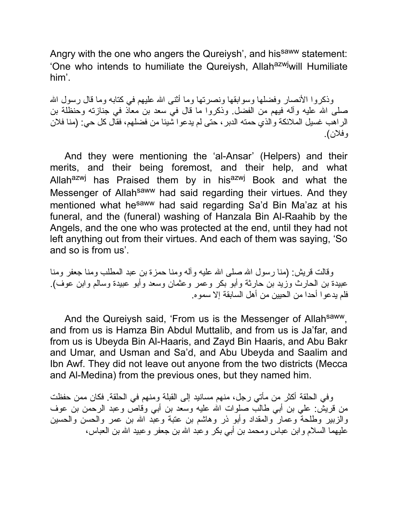Angry with the one who angers the Qureiysh', and his<sup>saww</sup> statement: 'One who intends to humiliate the Qureiysh, Allah<sup>azwj</sup>will Humiliate him'.

وذكر و ا الأنصار وفضلها وسوابقها ونصرتها وما أثنى الله علیهم في كتابه وما قال رسول الله صلى االله علیه وآله فیهم من الفضل. وذكروا ما قال في سعد بن معاذ في جنازته وحنظلة بن الراهب غسیل الملائكة والذي حمته الدبر، حتى لم یدعوا شیئا من فضلهم، فقال كل حي: (منا فلان وفلان).

And they were mentioning the 'al-Ansar' (Helpers) and their merits, and their being foremost, and their help, and what Allah<sup>azwj</sup> has Praised them by in his<sup>azwj</sup> Book and what the Messenger of Allah<sup>saww</sup> had said regarding their virtues. And they mentioned what he<sup>saww</sup> had said regarding Sa'd Bin Ma'az at his funeral, and the (funeral) washing of Hanzala Bin Al-Raahib by the Angels, and the one who was protected at the end, until they had not left anything out from their virtues. And each of them was saying, 'So and so is from us'.

وقالت قریش: (منا رسول االله صلى االله علیه وآله ومنا حمزة بن عبد المطلب ومنا جعفر ومنا عبیدة بن الحارث وزید بن حارثة وأبو بكر وعمر وعثمان وسعد وأبو عبیدة وسالم وابن عوف). فلم یدعوا أحدا من الحیین من أهل السابقة إلا سموه.

And the Qureiysh said, 'From us is the Messenger of Allahsaww. and from us is Hamza Bin Abdul Muttalib, and from us is Ja'far, and from us is Ubeyda Bin Al-Haaris, and Zayd Bin Haaris, and Abu Bakr and Umar, and Usman and Sa'd, and Abu Ubeyda and Saalim and Ibn Awf. They did not leave out anyone from the two districts (Mecca and Al-Medina) from the previous ones, but they named him.

وفي الحلقة أكثر من مأتي رجل، منهم مسانید إلى القبلة ومنهم في الحلقة. فكان ممن حفظت من قریش: علي بن أبي طالب صلوات االله علیه وسعد بن أبي وقاص وعبد الرحمن بن عوف والزبیر وطلحة وعمار والمقداد وأبو ذر وهاشم بن عتبة وعبد االله بن عمر والحسن والحسین علیهما السلام وابن عباس ومحمد بن أبي بكر وعبد االله بن جعفر وعبید االله بن العباس،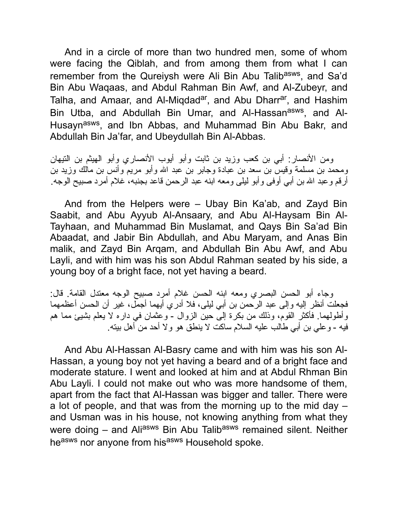And in a circle of more than two hundred men, some of whom were facing the Qiblah, and from among them from what I can remember from the Qureiysh were Ali Bin Abu Talib<sup>asws</sup>, and Sa'd Bin Abu Waqaas, and Abdul Rahman Bin Awf, and Al-Zubeyr, and Talha, and Amaar, and Al-Miqdad<sup>ar</sup>, and Abu Dharr<sup>ar</sup>, and Hashim Bin Utba, and Abdullah Bin Umar, and Al-Hassan<sup>asws</sup>, and Al-Husayn<sup>asws</sup>, and Ibn Abbas, and Muhammad Bin Abu Bakr, and Abdullah Bin Ja'far, and Ubeydullah Bin Al-Abbas.

ومن الأنصار: أبي بن كعب وزید بن ثابت وأبو أیوب الأنصاري وأبو الهیثم بن التیهان ومحمد بن مسلمة وقیس بن سعد بن عبادة وجابر بن عبد االله وأبو مریم وأنس بن مالك وزید بن أرقم وعبد االله بن أبي أوفى وأبو لیلى ومعه ابنه عبد الرحمن قاعد بجنبه، غلام أمرد صبیح الوجه.

And from the Helpers were – Ubay Bin Ka'ab, and Zayd Bin Saabit, and Abu Ayyub Al-Ansaary, and Abu Al-Haysam Bin Al-Tayhaan, and Muhammad Bin Muslamat, and Qays Bin Sa'ad Bin Abaadat, and Jabir Bin Abdullah, and Abu Maryam, and Anas Bin malik, and Zayd Bin Arqam, and Abdullah Bin Abu Awf, and Abu Layli, and with him was his son Abdul Rahman seated by his side, a young boy of a bright face, not yet having a beard.

وجاء أبو الحسن البصري ومعه ابنه الحسن غلام أمرد صبیح الوجه معتدل القامة. قال: فجعلت أنظر إلیه وإلى عبد الرحمن بن أبي لیلى، فلا أدري أیهما أجمل، غیر أن الحسن أعظمهما وأطولهما. فأكثر القوم، وذلك من بكرة إلى حین الزوال - وعثمان في داره لا یعلم بشیئ مما هم فیه - وعلي بن أبي طالب علیه السلام ساكت لا ینطق هو ولا أحد من أهل بیته.

And Abu Al-Hassan Al-Basry came and with him was his son Al-Hassan, a young boy not yet having a beard and of a bright face and moderate stature. I went and looked at him and at Abdul Rhman Bin Abu Layli. I could not make out who was more handsome of them, apart from the fact that Al-Hassan was bigger and taller. There were a lot of people, and that was from the morning up to the mid day – and Usman was in his house, not knowing anything from what they were doing – and Aliasws Bin Abu Talibasws remained silent. Neither he<sup>asws</sup> nor anyone from his<sup>asws</sup> Household spoke.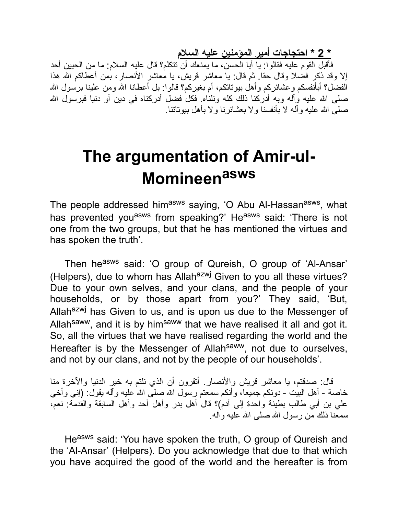**\* 2 \* احتجاجات أمیر المؤمنین علیه السلام**

فأقبل القوم علیه فقالوا: یا أبا الحسن، ما یمنعك أن تتكلم؟ قال علیه السلام: ما من الحیین أحد إلا وقد ذكر فضلا وقال حقا. ثم قال: یا معاشر قریش، یا معاشر الأنصار، بمن أعطاكم االله هذا الفضل؟ أبأنفسكم وعشائركم وأهل بیوتاتكم، أم بغیركم؟ قالوا: بل أعطانا االله ومن علینا برسول االله صلى الله علیه وآله وبه أدركنا ذلك كله ونلناه. فكل فضل أدركناه في دین أو دنیا فبرسول الله صلبی الله علیه و آلـه لا بأنفسنا و لا بعشائر نـا و لا بـأهل بیوتاتنا.

# **The argumentation of Amir-ul-Momineen asws**

The people addressed him<sup>asws</sup> saying, 'O Abu Al-Hassan<sup>asws</sup>, what has prevented you<sup>asws</sup> from speaking?' He<sup>asws</sup> said: 'There is not one from the two groups, but that he has mentioned the virtues and has spoken the truth'.

Then he<sup>asws</sup> said: 'O group of Qureish, O group of 'Al-Ansar' (Helpers), due to whom has Allah $a$ <sup>azwj</sup> Given to you all these virtues? Due to your own selves, and your clans, and the people of your households, or by those apart from you?' They said, 'But, Allahazwj has Given to us, and is upon us due to the Messenger of Allah<sup>saww</sup>, and it is by him<sup>saww</sup> that we have realised it all and got it. So, all the virtues that we have realised regarding the world and the Hereafter is by the Messenger of Allah<sup>saww</sup>, not due to ourselves, and not by our clans, and not by the people of our households'.

قال: صدقتم، یا معاشر قریش والأنصار. أتقرون أن الذي نلتم به خیر الدنیا والآخرة منا خاصة - أهل البیت - دونكم جمیعا، وأنكم سمعتم رسول االله صلى االله علیه وآله یقول: (إني وأخي علي بن أبي طالب بطینة واحدة إلى آدم)؟ قال أهل بدر وأهل أحد وأهل السابقة والقدمة: نعم، سمعنا ذلك من رسول االله صلى االله علیه وآله.

Heasws said: 'You have spoken the truth, O group of Qureish and the 'Al-Ansar' (Helpers). Do you acknowledge that due to that which you have acquired the good of the world and the hereafter is from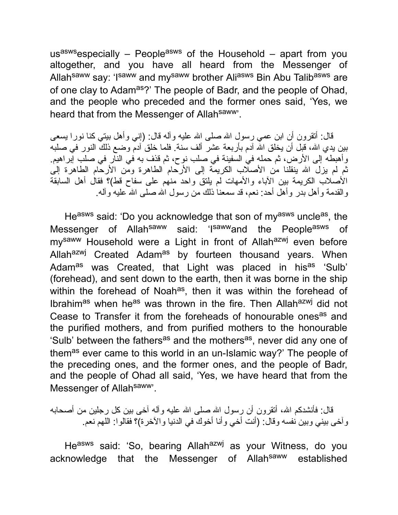us<sup>asws</sup>especially – People<sup>asws</sup> of the Household – apart from you altogether, and you have all heard from the Messenger of Allah<sup>saww</sup> say: 'Isaww and mysaww brother Aliasws Bin Abu Talibasws are of one clay to Adam<sup>as</sup>?' The people of Badr, and the people of Ohad, and the people who preceded and the former ones said, 'Yes, we heard that from the Messenger of Allah<sup>saww</sup>.

قال: أنقرون أن ابن عمي رسول الله صلى الله علیه وآله قال: (إني وأهل بیتي كنا نورا یسعى بین یدي االله، قبل أن یخلق االله آدم بأربعة عشر ألف سنة. فلما خلق آدم وضع ذلك النور في صلبه وأهبطه إلى الأرض، ثم حمله في السفینة في صلب نوح، ثم قذف به في النار في صلب إبراهیم. ثم لم یزل االله ینقلنا من الأصلاب الكریمة إلى الأرحام الطاهرة ومن الأرحام الطاهرة إلى الأصلاب الكریمة بین الآباء والأمهات لم یلتق واحد منهم على سفاح قط)؟ فقال أهل السابقة والقدمة وأهل بدر وأهل أحد: نعم، قد سمعنا ذلك من رسول االله صلى االله علیه وآله.

He<sup>asws</sup> said: 'Do you acknowledge that son of my<sup>asws</sup> uncle<sup>as</sup>, the Messenger of Allah<sup>saww</sup> said: 'I<sup>saww</sup>and the People<sup>asws</sup> of my<sup>saww</sup> Household were a Light in front of Allah<sup>azwj</sup> even before Allah<sup>azwj</sup> Created Adam<sup>as</sup> by fourteen thousand years. When Adam<sup>as</sup> was Created, that Light was placed in his<sup>as</sup> 'Sulb' (forehead), and sent down to the earth, then it was borne in the ship within the forehead of Noah<sup>as</sup>, then it was within the forehead of Ibrahim<sup>as</sup> when he<sup>as</sup> was thrown in the fire. Then Allah<sup>azwj</sup> did not Cease to Transfer it from the foreheads of honourable ones<sup>as</sup> and the purified mothers, and from purified mothers to the honourable 'Sulb' between the fathers<sup>as</sup> and the mothers<sup>as</sup>, never did any one of them<sup>as</sup> ever came to this world in an un-Islamic way?' The people of the preceding ones, and the former ones, and the people of Badr, and the people of Ohad all said, 'Yes, we have heard that from the Messenger of Allahsaww<sup>y</sup>.

قال: فأنشدكم الله، أنقرون أن رسول الله صلى الله علیه وآله آخى بین كل رجلین من أصحابه وآخى بیني وبین نفسه وقال: (أنت أخي وأنا أخوك في الدنیا والآخرة)؟ فقالوا: اللهم نعم.

He<sup>asws</sup> said: 'So, bearing Allah<sup>azwj</sup> as your Witness, do you acknowledge that the Messenger of Allahsaww established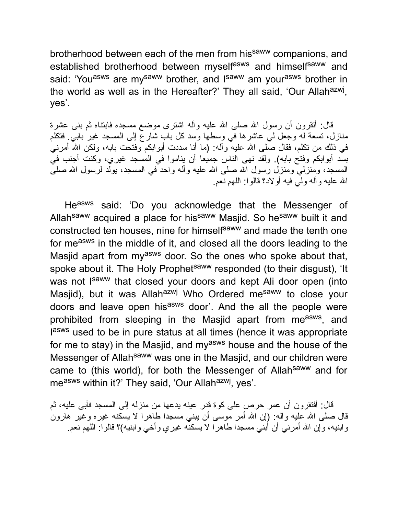brotherhood between each of the men from his<sup>saww</sup> companions, and established brotherhood between myselfasws and himselfsaww and said: 'You<sup>asws</sup> are my<sup>saww</sup> brother, and l<sup>saww</sup> am your<sup>asws</sup> brother in the world as well as in the Hereafter?' They all said, 'Our Allah<sup>azwj</sup>, yes'.

قال: أنقرون أن رسول الله صلى الله علیه وآله اشترى موضع مسجده فابتناه ثم بنى عشرة منازل، تسعة له وجعل لي عاشرها في وسطها وسد كل باب شارع إلى المسجد غیر بابي. فتكلم في ذلك من نكلم، فقال صلى الله علیه وآله: (ما أنا سددت أبوابكم وفتحت بابه، ولكن الله أمرنـي بسد أبوابكم وفتح بابه). ولقد نهى الناس جمیعا أن یناموا في المسجد غیري، وكنت أجنب في المسجد، ومنزليّ ومنزل رسول الله صلى الله علیه وآله واحد ّفي المسجد، یولّد لرسول الله صلىّ االله علیه وآله ولي فیه أولاد؟ قالوا: اللهم نعم.

Heasws said: 'Do you acknowledge that the Messenger of Allah<sup>saww</sup> acquired a place for his<sup>saww</sup> Masjid. So he<sup>saww</sup> built it and constructed ten houses, nine for himselfsaww and made the tenth one for measws in the middle of it, and closed all the doors leading to the Masjid apart from my<sup>asws</sup> door. So the ones who spoke about that, spoke about it. The Holy Prophet<sup>saww</sup> responded (to their disgust), 'It was not I<sup>saww</sup> that closed your doors and kept Ali door open (into Masjid), but it was Allah<sup>azwj</sup> Who Ordered me<sup>saww</sup> to close your doors and leave open his<sup>asws</sup> door'. And the all the people were prohibited from sleeping in the Masjid apart from me<sup>asws</sup>, and lasws used to be in pure status at all times (hence it was appropriate for me to stay) in the Masjid, and my<sup>asws</sup> house and the house of the Messenger of Allah<sup>saww</sup> was one in the Masjid, and our children were came to (this world), for both the Messenger of Allahsaww and for measws within it?' They said, 'Our Allahazwj, yes'.

قال: أفتقرون أن عمر حرص على كوة قدر عینه یدعها من منزله إلى المسجد فأبى علیه، ثم قال صلى الله علیه وأله: (إن الله أمر موسى أن ببني مسجدا طاهرا لا یسكنه غیره وغیر هارون وابنیه، وإن االله أمرني أن أبني مسجدا طاهرا لا یسكنه غیري وأخي وابنیه)؟ قالوا: اللهم نعم.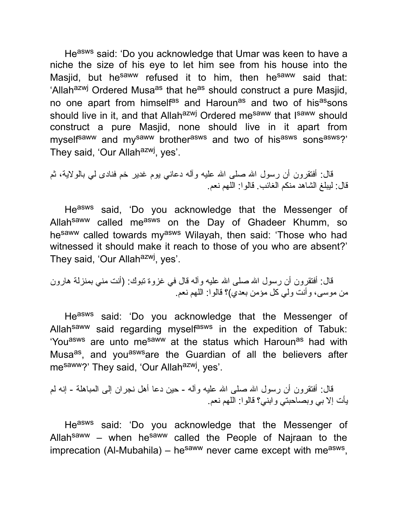Heasws said: 'Do you acknowledge that Umar was keen to have a niche the size of his eye to let him see from his house into the Masjid, but he<sup>saww</sup> refused it to him, then he<sup>saww</sup> said that: 'Allah<sup>azwj</sup> Ordered Musa<sup>as</sup> that he<sup>as</sup> should construct a pure Masjid, no one apart from himselfas and Harounas and two of hisassons should live in it, and that Allah<sup>azwj</sup> Ordered me<sup>saww</sup> that I<sup>saww</sup> should construct a pure Masjid, none should live in it apart from myself<sup>saww</sup> and my<sup>saww</sup> brother<sup>asws</sup> and two of his<sup>asws</sup> sons<sup>asws</sup>?' They said, 'Our Allah<sup>azwj</sup>, yes'.

قال: أفتقرون أن رسول االله صلى االله علیه وآله دعاني یوم غدیر خم فنادى لي بالولایة، ثم قال: لیبلغ الشاهد منكم الغائب. قالوا: اللهم نعم.

Heasws said, 'Do you acknowledge that the Messenger of Allah<sup>saww</sup> called me<sup>asws</sup> on the Day of Ghadeer Khumm, so hesaww called towards myasws Wilayah, then said: 'Those who had witnessed it should make it reach to those of you who are absent?' They said, 'Our Allah<sup>azwj</sup>, yes'.

قال: أفتقرون أن رسول الله صلى الله عليه وآله قال في غزوة تبوك: (أنت مني بمنزلة هارون من موسى، وأنت ولي كل مؤمن بعدي)؟ قالوا: اللهم نعم.

Heasws said: 'Do you acknowledge that the Messenger of Allah<sup>saww</sup> said regarding myself<sup>asws</sup> in the expedition of Tabuk: 'You<sup>asws</sup> are unto me<sup>saww</sup> at the status which Haroun<sup>as</sup> had with Musa<sup>as</sup>, and you<sup>asws</sup>are the Guardian of all the believers after mesaww?' They said, 'Our Allah<sup>azwj</sup>, yes'.

قال: أفتقرون أن رسول الله صلى الله علیه وآله - حین دعا أهل نجران إلى المباهلة - إنه لم یأت إلا بي وبصاحبتي وابني؟ قالوا: اللهم نعم.

Heasws said: 'Do you acknowledge that the Messenger of Allah<sup>saww</sup> – when he<sup>saww</sup> called the People of Najraan to the imprecation (Al-Mubahila) – he<sup>saww</sup> never came except with me<sup>asws</sup>,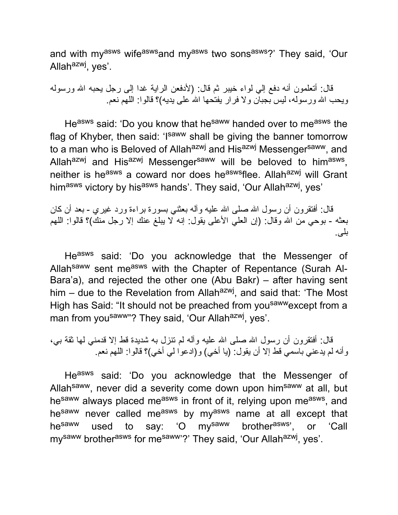and with myasws wifeasws and myasws two sonsasws?' They said, 'Our Allah<sup>azwj</sup>, yes'.

قال: أتعلمون أنه دفع إلي لواء خیبر ثم قال: (لأدفعن الرایة غدا إلى رجل یحبه االله ورسوله ویحب الله ورسوله، لیس بجبان ولا فرار یفتحها الله علمی یدیه)؟ قالوا: اللهم نعم

Heasws said: 'Do you know that he<sup>saww</sup> handed over to measws the flag of Khyber, then said: 'Isaww shall be giving the banner tomorrow to a man who is Beloved of Allah<sup>azwj</sup> and His<sup>azwj</sup> Messenger<sup>saww</sup>, and Allah<sup>azwj</sup> and His<sup>azwj</sup> Messenger<sup>saww</sup> will be beloved to him<sup>asws</sup>, neither is he<sup>asws</sup> a coward nor does he<sup>asws</sup>flee. Allah<sup>azwj</sup> will Grant himasws victory by hisasws hands'. They said, 'Our Allahazwj, yes'

قال: أفتقرون أن رسول الله صلى الله علیه وآله بعثنى بسورة براءة ورد غیري - بعد أن كان بعثه - بوحي من الله وقال: (إن العلي الأعلى يقول: إنه لا يبلغ عنك إلا رجل منك)؟ قالوا: اللهم بلى.

Heasws said: 'Do you acknowledge that the Messenger of Allah<sup>saww</sup> sent me<sup>asws</sup> with the Chapter of Repentance (Surah Al-Bara'a), and rejected the other one (Abu Bakr) – after having sent him – due to the Revelation from Allah<sup>azwj</sup>, and said that: 'The Most High has Said: "It should not be preached from you<sup>saww</sup>except from a man from you<sup>saww"</sup>? They said, 'Our Allah<sup>azwj</sup>, yes'.

قال: أفتقرون أن رسول الله صلى الله علیه وأله لم تنزل به شدیدة قط إلا قدمني لها ثقة بي، وأنه لم یدعني باسمي قط إلا أن یقول: (یا أخي) و(ادعوا لي أخي)؟ قالوا: اللهم نعم.

Heasws said: 'Do you acknowledge that the Messenger of Allah<sup>saww</sup>, never did a severity come down upon him<sup>saww</sup> at all, but he<sup>saww</sup> always placed me<sup>asws</sup> in front of it, relying upon me<sup>asws</sup>, and hesaww never called measws by myasws name at all except that he<sup>saww</sup> used to say: 'O my<sup>saww</sup> brother<sup>asws</sup>', or 'Call my<sup>saww</sup> brother<sup>asws</sup> for me<sup>saww</sup>'?' They said, 'Our Allah<sup>azwj</sup>, yes'.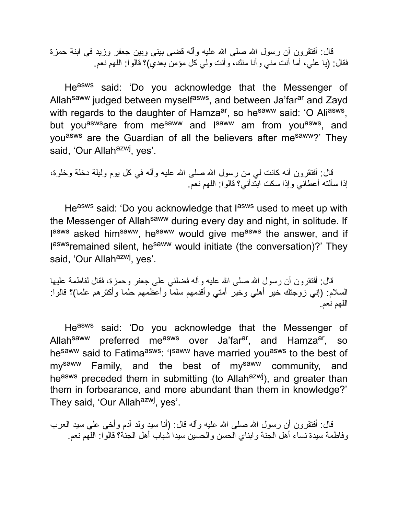قال: أفتقرون أن رسول الله صلى الله علیه وأله قضى بیني وبین جعفر وزید في ابنة حمزة فقال: (یا علي، أما أنت مني وأنا منك، وأنت ولي كل مؤمن بعدي)؟ قالوا: اللهم نعم.

Heasws said: 'Do you acknowledge that the Messenger of Allah<sup>saww</sup> judged between myself<sup>asws</sup>, and between Ja'far<sup>ar</sup> and Zayd with regards to the daughter of Hamza<sup>ar</sup>, so he<sup>saww</sup> said: 'O Ali<sup>asws</sup>, but you<sup>asws</sup>are from me<sup>saww</sup> and l<sup>saww</sup> am from you<sup>asws</sup>, and you<sup>asws</sup> are the Guardian of all the believers after me<sup>saww</sup>?' They said, 'Our Allah<sup>azwj</sup>, yes'.

قال: أفتقرون أنه كانت لي من رسول االله صلى االله علیه وآله في كل یوم ولیلة دخلة وخلوة، إذا سألته أعطاني وإذا سكت ابتدأني؟ قالوا: اللهم نعم.

He<sup>asws</sup> said: 'Do you acknowledge that l<sup>asws</sup> used to meet up with the Messenger of Allah<sup>saww</sup> during every day and night, in solitude. If lasws asked him<sup>saww</sup>, he<sup>saww</sup> would give me<sup>asws</sup> the answer, and if laswsremained silent, he<sup>saww</sup> would initiate (the conversation)?' They said, 'Our Allah<sup>azwj</sup>, yes'.

قال: أفتقرون أن رسول الله صلى الله علیه وأله فضلني على جعفر وحمزة، فقال لفاطمة علیها السلام: (إني زوجتك خیر أهلي وخیر أمتي وأقدمهم سلما وأعظمهم حلما وأكثرهم علما)؟ قالوا: اللهم نعم.

Heasws said: 'Do you acknowledge that the Messenger of Allah<sup>saww</sup> preferred me<sup>asws</sup> over Ja'far<sup>ar</sup>, and Hamza<sup>ar</sup>, so hesaww said to Fatimaasws: 'Isaww have married you<sup>asws</sup> to the best of mysaww Family, and the best of mysaww community, and heasws preceded them in submitting (to Allahazwj), and greater than them in forbearance, and more abundant than them in knowledge?' They said, 'Our Allah<sup>azwj</sup>, yes'.

قال: أفتقرون أن رسول الله صلى الله علیه وآله قال: (أنا سید ولد آدم وأخي علي سید العرب وفاطمة سیدة نساء أهل الجنة وابناي الحسن والحسین سیدا شباب أهل الجنة؟ قالوا: اللهم نعم.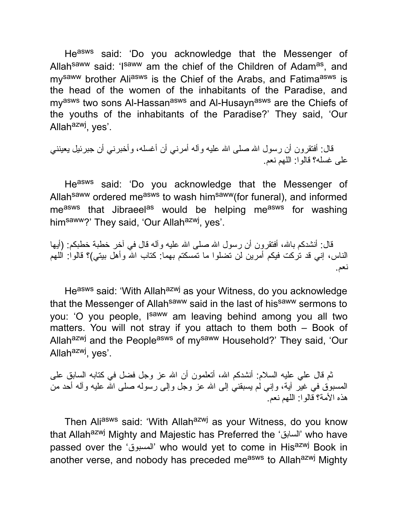Heasws said: 'Do you acknowledge that the Messenger of Allah<sup>saww</sup> said: 'I<sup>saww</sup> am the chief of the Children of Adam<sup>as</sup>, and my<sup>saww</sup> brother Ali<sup>asws</sup> is the Chief of the Arabs, and Fatima<sup>asws</sup> is the head of the women of the inhabitants of the Paradise, and my<sup>asws</sup> two sons Al-Hassan<sup>asws</sup> and Al-Husayn<sup>asws</sup> are the Chiefs of the youths of the inhabitants of the Paradise?' They said, 'Our Allahazwj, yes'.

قال: أفتقرون أن رسول الله صلى الله علیه وآله أمرنـي أن أغسله، وأخبرنـي أن جبرئيل یعیننـي على غسله؟ قالوا: اللهم نعم.

Heasws said: 'Do you acknowledge that the Messenger of Allah<sup>saww</sup> ordered me<sup>asws</sup> to wash him<sup>saww</sup>(for funeral), and informed measws that Jibraeel<sup>as</sup> would be helping measws for washing him<sup>saww</sup>?' They said, 'Our Allah<sup>azwj</sup>, yes'.

قال: أنشدكم بالله، أفتقرون أن رسول الله صلى الله علیه وآله قال في آخر خطبة خطبكم: (أیها الناس، إني قد تركت فیكم أمرین لن تضلوا ما تمسكتم بهما: كتاب االله وأهل بیتي)؟ قالوا: اللهم نعم.

Heasws said: 'With Allah<sup>azwj</sup> as your Witness, do you acknowledge that the Messenger of Allah<sup>saww</sup> said in the last of his<sup>saww</sup> sermons to you: 'O you people, I<sup>saww</sup> am leaving behind among you all two matters. You will not stray if you attach to them both – Book of Allah<sup>azwj</sup> and the People<sup>asws</sup> of my<sup>saww</sup> Household?' They said, 'Our Allah<sup>azwj</sup>, yes'.

ثم قال علي علیه السلام: أنشدكم االله، أتعلمون أن االله عز وجل فضل في كتابه السابق على المسبوق في غیر آیة، وإني لم یسبقني إلى االله عز وجل وإلى رسوله صلى االله علیه وآله أحد من هذه الأمة؟ قالوا: اللهم نعم.

Then Aliasws said: 'With Allah<sup>azwj</sup> as your Witness, do you know that Allahazwj Mighty and Majestic has Preferred the 'السابق 'who have passed over the 'المسبوق 'who would yet to come in Hisazwj Book in another verse, and nobody has preceded me<sup>asws</sup> to Allah<sup>azwj</sup> Mighty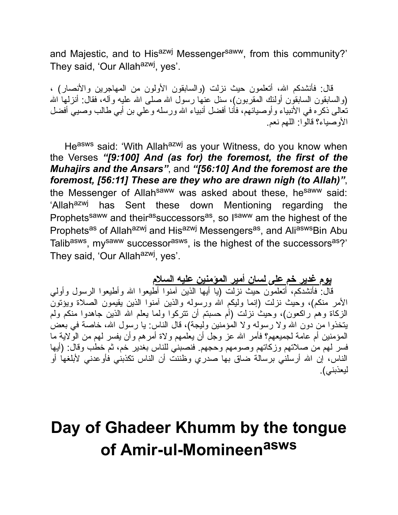and Majestic, and to His<sup>azwj</sup> Messenger<sup>saww</sup>, from this community?' They said, 'Our Allah<sup>azwj</sup>, yes'.

قال: فأنشدكم االله، أتعلمون حیث نزلت (والسابقون الأولون من المهاجرین والأنصار) ، (والسابقون السابقون أولئك المقربون)، سئل عنها رسول الله صلى الله علیه وآله، فقال: أنزلها الله تعالى ذكره في الأنبیاء وأوصیائهم، فأنا أفضل أنبیاء االله ورسله وعلي بن أبي طالب وصیي أفضل الأوصیاء؟ قالوا: اللهم نعم.

Heasws said: 'With Allahazwj as your Witness, do you know when the Verses *"[9:100] And (as for) the foremost, the first of the Muhajirs and the Ansars"*, and *"[56:10] And the foremost are the foremost, [56:11] These are they who are drawn nigh (to Allah)"*, the Messenger of Allah<sup>saww</sup> was asked about these, he<sup>saww</sup> said: 'Allah<sup>azwj</sup> has Sent these down Mentioning regarding the Prophets<sup>saww</sup> and their<sup>as</sup>successors<sup>as</sup>, so I<sup>saww</sup> am the highest of the Prophets<sup>as</sup> of Allah<sup>azwj</sup> and His<sup>azwj</sup> Messengers<sup>as</sup>, and Ali<sup>asws</sup>Bin Abu Talib<sup>asws</sup>, my<sup>saww</sup> successor<sup>asws</sup>, is the highest of the successors<sup>as</sup>?' They said, 'Our Allah<sup>azwj</sup>, yes'.

**یوم غدیر خم على لسان أمیر المؤمنین علیه السلام**

قال: فأنشدكم، أتعلمون حیث نزلت (یا أیها الذین آمنوا أطیعوا االله وأطیعوا الرسول وأولي الأمر منكم)، وحیث نزلت (إنما ولیكم االله ورسوله والذین آمنوا الذین یقیمون الصلاة ویؤتون الزكاة وهم راكعون)، وحیث نزلت (أم حسبتم أن تتركوا ولما یعلم االله الذین جاهدوا منكم ولم یتخذوا من دون االله ولا رسوله ولا المؤمنین ولیجة)، قال الناس: یا رسول االله، خاصة في بعض المؤمنین أم عامة لجمیعهم؟ فأمر االله عز وجل أن یعلمهم ولاة أمرهم وأن یفسر لهم من الولایة ما فسر لهم من صلاتهم وزكاتهم وصومهم وحجهم. فنصبني للناس بغدیر خم، ثم خطب وقال: (أیها الناس، إن االله أرسلني برسالة ضاق بها صدري وظننت أن الناس تكذبني فأوعدني لأبلغها أو لیعذبني).

# **Day of Ghadeer Khumm by the tongue of Amir-ul-Momineen asws**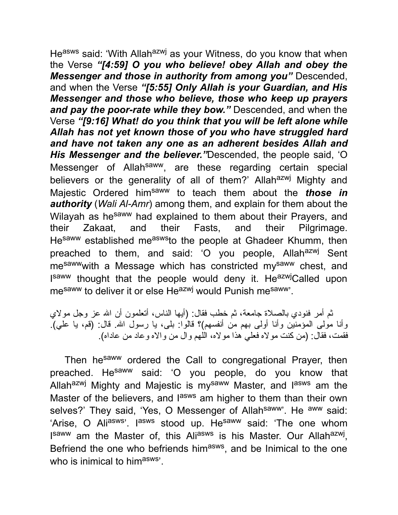He<sup>asws</sup> said: 'With Allah<sup>azwj</sup> as your Witness, do you know that when the Verse *"[4:59] O you who believe! obey Allah and obey the Messenger and those in authority from among you"* Descended, and when the Verse *"[5:55] Only Allah is your Guardian, and His Messenger and those who believe, those who keep up prayers and pay the poor-rate while they bow."* Descended, and when the Verse *"[9:16] What! do you think that you will be left alone while Allah has not yet known those of you who have struggled hard and have not taken any one as an adherent besides Allah and His Messenger and the believer."*Descended, the people said, 'O Messenger of Allah<sup>saww</sup>, are these regarding certain special believers or the generality of all of them?' Allah<sup>azwj</sup> Mighty and Majestic Ordered himsaww to teach them about the *those in authority* (*Wali Al-Amr*) among them, and explain for them about the Wilayah as he<sup>saww</sup> had explained to them about their Prayers, and their Zakaat, and their Fasts, and their Pilgrimage. He<sup>saww</sup> established me<sup>asws</sup>to the people at Ghadeer Khumm, then preached to them, and said: 'O you people, Allah<sup>azwj</sup> Sent mesawwwith a Message which has constricted mysaww chest, and Isaww thought that the people would deny it. He<sup>azwj</sup>Called upon me<sup>saww</sup> to deliver it or else He<sup>azwj</sup> would Punish me<sup>saww</sup>'.

ثم أمر فنودي بالصلاة جامعة، ثم خطب فقال: (أیها الناس، أتعلمون أن االله عز وجل مولاي وأنا مولى المؤمنین وأنا أولى بهم من أنفسهم)؟ قالوا: بلى، یا رسول االله. قال: (قم، یا علي). فقمت، فقال: (من كنت مولاه فعلي هذا مولاه، اللهم وال من والاه وعاد من عاداه).

Then hesaww ordered the Call to congregational Prayer, then preached. He<sup>saww</sup> said: 'O you people, do you know that Allah<sup>azwj</sup> Mighty and Majestic is my<sup>saww</sup> Master, and l<sup>asws</sup> am the Master of the believers, and l<sup>asws</sup> am higher to them than their own selves?' They said, 'Yes, O Messenger of Allah<sup>saww</sup>'. He <sup>aww</sup> said: 'Arise, O Ali<sup>asws</sup>'. I<sup>asws</sup> stood up. He<sup>saww</sup> said: 'The one whom I<sup>saww</sup> am the Master of, this Ali<sup>asws</sup> is his Master. Our Allah<sup>azwj</sup>, Befriend the one who befriends him<sup>asws</sup>, and be Inimical to the one who is inimical to himasws'.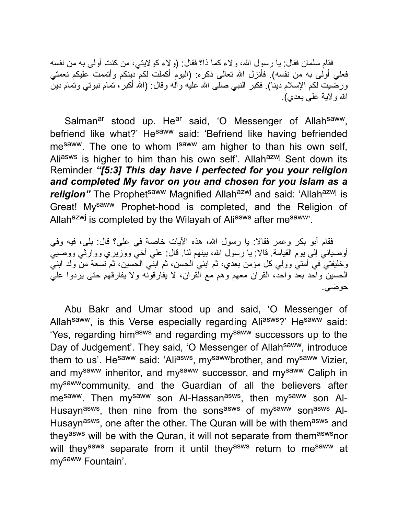فقام سلمان فقال: یا رسول االله، ولاء كما ذا؟ فقال: (ولاء كولایتي، من كنت أولى به من نفسه فعلي أولى به من نفسه). فأنزل االله تعالى ذكره: (الیوم أكملت لكم دینكم وأتممت علیكم نعمتي ورضیت لكم الإسلام دینا). فكبر النبي صلى االله علیه وآله وقال: (االله أكبر، تمام نبوتي وتمام دین االله ولایة علي بعدي).

Salman<sup>ar</sup> stood up. He<sup>ar</sup> said, 'O Messenger of Allah<sup>saww</sup>, befriend like what?' He<sup>saww</sup> said: 'Befriend like having befriended me<sup>saww</sup>. The one to whom I<sup>saww</sup> am higher to than his own self, Aliasws is higher to him than his own self'. Allah<sup>azwj</sup> Sent down its Reminder *"[5:3] This day have I perfected for you your religion and completed My favor on you and chosen for you Islam as a* religion" The Prophet<sup>saww</sup> Magnified Allah<sup>azwj</sup> and said: 'Allah<sup>azwj</sup> is Great! Mysaww Prophet-hood is completed, and the Religion of Allah<sup>azwj</sup> is completed by the Wilayah of Ali<sup>asws</sup> after me<sup>saww</sup>'.

فقام أبو بكر وعمر فقالا: یا رسول االله، هذه الآیات خاصة في علي؟ قال: بلى، فیه وفي أوصیائي إلى یوم القیامة. قالا: یا رسول االله، بینهم لنا. قال: علي أخي ووزیري ووارثي ووصیي وخلیفتي في أمتي وولي كل مؤمن بعدي، ثم ابني الحسن، ثم ابني الحسین، ثم تسعة من ولد ابني الحسین واحد بعد واحد، القرآن معهم وهم مع القرآن، لا یفارقونه ولا یفارقهم حتى یردوا علي حوضي.

Abu Bakr and Umar stood up and said, 'O Messenger of Allah<sup>saww</sup>, is this Verse especially regarding Ali<sup>asws</sup>?' He<sup>saww</sup> said: 'Yes, regarding him<sup>asws</sup> and regarding my<sup>saww</sup> successors up to the Day of Judgement'. They said, 'O Messenger of Allah<sup>saww</sup>, introduce them to us'. He<sup>saww</sup> said: 'Ali<sup>asws</sup>, my<sup>saww</sup>brother, and my<sup>saww</sup> Vizier, and my<sup>saww</sup> inheritor, and my<sup>saww</sup> successor, and my<sup>saww</sup> Caliph in mysawwcommunity, and the Guardian of all the believers after me<sup>saww</sup>. Then my<sup>saww</sup> son Al-Hassan<sup>asws</sup>, then my<sup>saww</sup> son Al-Husayn<sup>asws</sup>, then nine from the sons<sup>asws</sup> of my<sup>saww</sup> son<sup>asws</sup> Al-Husayn<sup>asws</sup>, one after the other. The Quran will be with them<sup>asws</sup> and they<sup>asws</sup> will be with the Quran, it will not separate from them<sup>asws</sup>nor will they<sup>asws</sup> separate from it until they<sup>asws</sup> return to me<sup>saww</sup> at mysaww Fountain'.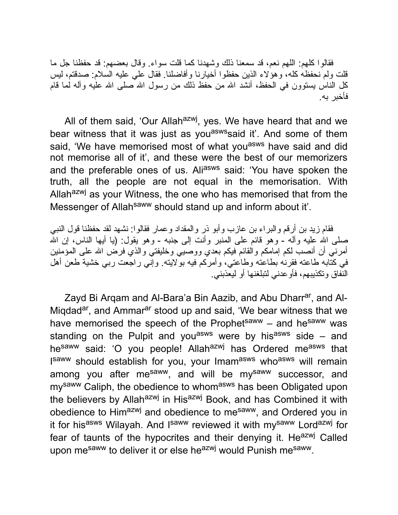فقالوا كلهم: اللهم نعم، قد سمعنا ذلك وشهدنا كما قلت سواء. وقال بعضهم: قد حفظنا جل ما قلت ولم نحفظه كله، وهؤلاء الذین حفظوا أخیارنا وأفاضلنا. فقال علي علیه السلام: صدقتم، لیس كل الناس يستوون في الحفظ، أنشد الله من حفظ ذلك من رسول الله صلى الله علیه وآله لما قام فأخبر به.

All of them said, 'Our Allah<sup>azwj</sup>, yes. We have heard that and we bear witness that it was just as you<sup>asws</sup> said it'. And some of them said, 'We have memorised most of what you<sup>asws</sup> have said and did not memorise all of it', and these were the best of our memorizers and the preferable ones of us. Aliasws said: 'You have spoken the truth, all the people are not equal in the memorisation. With Allah<sup>azwj</sup> as your Witness, the one who has memorised that from the Messenger of Allah<sup>saww</sup> should stand up and inform about it'.

فقام زید بن أرقم والبراء بن عازب وأبو ذر والمقداد وعمار فقالوا: نشهد لقد حفظنا قول النبي صلَّى الله عليه وآله - وهو قائم على المنبر وأنت إلى جنبه - وهو يقول: (يا أيها الناس، إن الله أمرني أن أنصب لكم إمامكم والقائم فیكم بعدي ووصیي وخلیفتي والذي فرض االله على المؤمنین في كتابه طاعته فقرنه بطاعته وطاعتي، وأمركم فیه بولایته. وإني راجعت ربي خشیة طعن أهل النفاق وتكذیبهم، فأوعدني لتبلغنها أو لیعذبني.

Zayd Bi Argam and Al-Bara'a Bin Aazib, and Abu Dharr<sup>ar</sup>, and Al-Miqdad<sup>ar</sup>, and Ammar<sup>ar</sup> stood up and said, 'We bear witness that we have memorised the speech of the Prophetsaww – and hesaww was standing on the Pulpit and you<sup>asws</sup> were by his<sup>asws</sup> side – and hesaww said: 'O you people! Allahazwj has Ordered measws that I<sup>saww</sup> should establish for you, your Imam<sup>asws</sup> who<sup>asws</sup> will remain among you after me<sup>saww</sup>, and will be my<sup>saww</sup> successor, and my<sup>saww</sup> Caliph, the obedience to whom<sup>asws</sup> has been Obligated upon the believers by Allah<sup>azwj</sup> in His<sup>azwj</sup> Book, and has Combined it with obedience to Himazwj and obedience to mesaww, and Ordered you in it for his<sup>asws</sup> Wilayah. And I<sup>saww</sup> reviewed it with my<sup>saww</sup> Lord<sup>azwj</sup> for fear of taunts of the hypocrites and their denying it. He<sup>azwj</sup> Called upon me<sup>saww</sup> to deliver it or else he<sup>azwj</sup> would Punish me<sup>saww</sup>.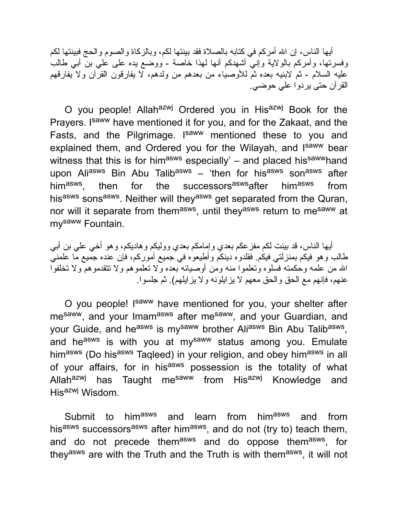أیها الناس، إن الله أمركم في كتابه بالصلاة فقد بينتها لكم، وبالزكاة والصوم والحج فبينتها لكم وفسرتها، وأمركم بالولایة وإني أشهدكم أنها لهذا خاصة - ووضع یده على علي بن أبي طالب علیه السلام - ثم لابنیه بعده ثم للأوصیاء من بعدهم من ولدهم، لا یفارقون القرآن ولا یفارقهم القرآن حتى یردوا علي حوضي.

O you people! Allah<sup>azwj</sup> Ordered you in His<sup>azwj</sup> Book for the Prayers. Isaww have mentioned it for you, and for the Zakaat, and the Fasts, and the Pilgrimage. I<sup>saww</sup> mentioned these to you and explained them, and Ordered you for the Wilayah, and Isaww bear witness that this is for him<sup>asws</sup> especially'  $-$  and placed his<sup>saww</sup>hand upon Aliasws Bin Abu Talibasws – 'then for hisasws sonasws after himasws. then for the successors<sup>asws</sup>after him<sup>asws</sup> from his<sup>asws</sup> sons<sup>asws</sup>. Neither will they<sup>asws</sup> get separated from the Quran, nor will it separate from them<sup>asws</sup>, until they<sup>asws</sup> return to me<sup>saww</sup> at mysaww Fountain.

أیها الناس، قد بینت لكم مفزعكم بعدي وإمامكم بعدي وولیكم وهادیكم، وهو أخي علي بن أبي طالب وهو فیكم بمنزلتي فیكم. فقلدوه دینكم وأطیعوه في جمیع أموركم، فإن عنده جمیع ما علمني االله من علمه وحكمته فسلوه وتعلموا منه ومن أوصیائه بعده ولا تعلموهم ولا تتقدموهم ولا تخلفوا عنهم، فإنهم مع الحق والحق معهم لا یزایلونه ولا یزایلهم). ثم جلسوا.

O you people! Isaww have mentioned for you, your shelter after mesaww, and your Imamasws after mesaww, and your Guardian, and your Guide, and he<sup>asws</sup> is my<sup>saww</sup> brother Ali<sup>asws</sup> Bin Abu Talib<sup>asws</sup>, and he<sup>asws</sup> is with you at my<sup>saww</sup> status among you. Emulate himasws (Do hisasws Taqleed) in your religion, and obey himasws in all of your affairs, for in his<sup>asws</sup> possession is the totality of what Allah<sup>azwj</sup> has Taught me<sup>saww</sup> from His<sup>azwj</sup> Knowledge and His<sup>azwj</sup> Wisdom.

Submit to himasws and learn from himasws and from his<sup>asws</sup> successors<sup>asws</sup> after him<sup>asws</sup>, and do not (try to) teach them, and do not precede them<sup>asws</sup> and do oppose them<sup>asws</sup>, for they<sup>asws</sup> are with the Truth and the Truth is with them<sup>asws</sup>, it will not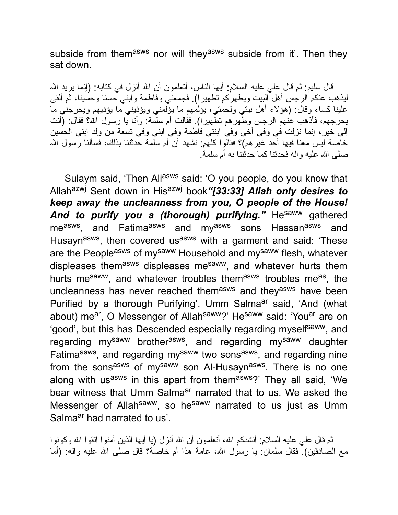subside from themasws nor will they<sup>asws</sup> subside from it'. Then they sat down.

قال سلیم: ثم قال علمي علیه السلام: أیها الناس، أتعلمون أن الله أنزل في كتابه: (إنما یرید الله لیذهب عنكم الرجس أهل البیت ویطهركم تطهیرا). فجمعني وفاطمة وابني حسنا وحسینا، ثم ألقى علینا كساء وقال: (هؤلاء أهل بیتي ولحمتي، یؤلمهم ما یؤلمني ویؤذیني ما یؤذیهم ویحرجني ما یحرجهم، فأذهب عنهم الرجس وطهرهم تطهیرا). فقالت أم سلمة: وأنا یا رسول االله؟ فقال: (أنت إلى خیر، إنما نزلت في وفي أخي وفي ابنتي فاطمة وفي ابني وفي تسعة من ولد ابني الحسین خاصة لیس معنا فیها أحد غیرهم)؟ فقالوا كلهم: نشهد أن أم سلمة حدثتنا بذلك، فسألنا رسول االله صلى الله علیه و آله فحدثنا كما حدثتنا به أم سلمة.

Sulaym said, 'Then Aliasws said: 'O you people, do you know that Allahazwj Sent down in Hisazwj book*"[33:33] Allah only desires to keep away the uncleanness from you, O people of the House!* And to purify you a (thorough) purifying." He<sup>saww</sup> gathered me<sup>asws</sup>, and Fatima<sup>asws</sup> and my<sup>asws</sup> sons Hassan<sup>asws</sup> and Husayn<sup>asws</sup>, then covered us<sup>asws</sup> with a garment and said: 'These are the People<sup>asws</sup> of my<sup>saww</sup> Household and my<sup>saww</sup> flesh, whatever displeases them<sup>asws</sup> displeases me<sup>saww</sup>, and whatever hurts them hurts me<sup>saww</sup>, and whatever troubles them<sup>asws</sup> troubles me<sup>as</sup>, the uncleanness has never reached themasws and theyasws have been Purified by a thorough Purifying'. Umm Salma<sup>ar</sup> said, 'And (what about) me<sup>ar</sup>, O Messenger of Allah<sup>saww</sup>?' He<sup>saww</sup> said: 'You<sup>ar</sup> are on 'good', but this has Descended especially regarding myself<sup>saww</sup>, and regarding my<sup>saww</sup> brother<sup>asws</sup>, and regarding my<sup>saww</sup> daughter Fatima<sup>asws</sup>, and regarding my<sup>saww</sup> two sons<sup>asws</sup>, and regarding nine from the sons<sup>asws</sup> of my<sup>saww</sup> son Al-Husayn<sup>asws</sup>. There is no one along with usasws in this apart from themasws?' They all said, 'We bear witness that Umm Salma<sup>ar</sup> narrated that to us. We asked the Messenger of Allah<sup>saww</sup>, so he<sup>saww</sup> narrated to us just as Umm Salma<sup>ar</sup> had narrated to us'.

ثم قال علي علیه السلام: أنشدكم االله، أتعلمون أن االله أنزل (یا أیها الذین آمنوا اتقوا االله وكونوا مع الصادقین). فقال سلمان: یا رسول االله، عامة هذا أم خاصة؟ قال صلى االله علیه وآله: (أما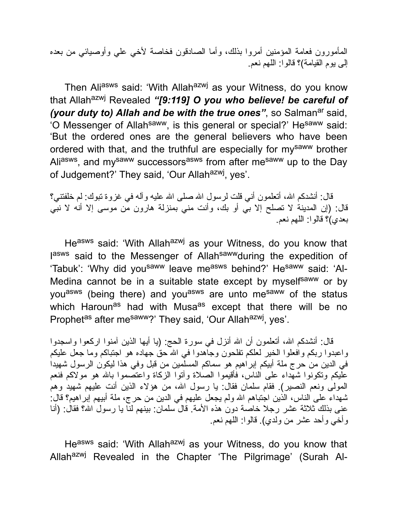المأمورون فعامة المؤمنین أمروا بذلك، وأما الصادقون فخاصة لأخي علي وأوصیائي من بعده إلى یوم القیامة)؟ قالوا: اللهم نعم.

Then Aliasws said: 'With Allahazwj as your Witness, do you know that Allahazwj Revealed *"[9:119] O you who believe! be careful of (your duty to) Allah and be with the true ones"*, so Salman<sup>ar</sup> said, 'O Messenger of Allah<sup>saww</sup>, is this general or special?' He<sup>saww</sup> said: 'But the ordered ones are the general believers who have been ordered with that, and the truthful are especially for mysaww brother Ali<sup>asws</sup>, and my<sup>saww</sup> successors<sup>asws</sup> from after me<sup>saww</sup> up to the Day of Judgement?' They said, 'Our Allah<sup>azwj</sup>, yes'.

قال: أنشدكم الله، أتعلمون أنبي قلت لرسول الله صلى الله علیه وآله في غزوة تبوك: لم خلفتني؟ قال: (إن المدینة لا تصلح إلا بي أو بك، وأنت مني بمنزلة هارون من موسى إلا أنه لا نبي بعدي)؟ قالوا: اللهم نعم.

Heasws said: 'With Allahazwj as your Witness, do you know that lasws said to the Messenger of Allah<sup>saww</sup>during the expedition of 'Tabuk': 'Why did you<sup>saww</sup> leave me<sup>asws</sup> behind?' He<sup>saww</sup> said: 'Al-Medina cannot be in a suitable state except by myself<sup>saww</sup> or by you<sup>asws</sup> (being there) and you<sup>asws</sup> are unto me<sup>saww</sup> of the status which Haroun<sup>as</sup> had with Musa<sup>as</sup> except that there will be no Prophet<sup>as</sup> after me<sup>saww</sup>?' They said, 'Our Allah<sup>azwj</sup>, yes'.

قال: أنشدكم الله، أتعلمون أن الله أنزل في سورة الحج: (یا أیها الذین آمنوا اركعوا واسجدوا واعبدوا ربكم وافعلوا الخیر لعلكم تفلحون وجاهدوا في االله حق جهاده هو اجتباكم وما جعل علیكم في الدین من حرج ملة أبیكم إبراهیم هو سماكم المسلمین من قبل وفي هذا لیكون الرسول شهیدا علیكم وتكونوا شهداء على الناس، فأقیموا الصلاة وآتوا الزكاة واعتصموا باالله هو مولاكم فنعم المولى ونعم النصیر). فقام سلمان فقال: یا رسول االله، من هؤلاء الذین أنت علیهم شهید وهم شهداء على الناس، الذین اجتباهم االله ولم یجعل علیهم في الدین من حرج، ملة أبیهم إبراهیم؟ قال: عنى بذلك ثلاثة عشر رجلا خاصة دون هذه الأمة. قال سلمان: بینهم لنا یا رسول االله؟ فقال: (أنا وأخي وأحد عشر من ولدي). قالوا: اللهم نعم.

Heasws said: 'With Allah<sup>azwj</sup> as your Witness, do you know that Allah<sup>azwj</sup> Revealed in the Chapter 'The Pilgrimage' (Surah Al-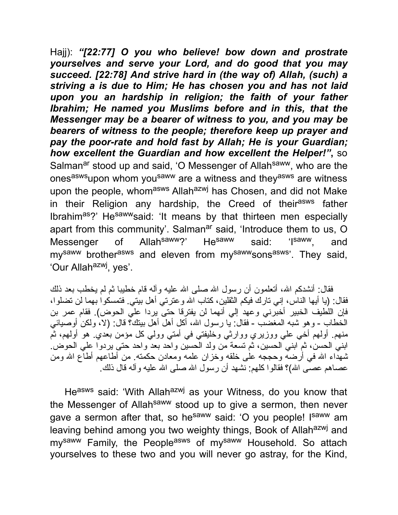Hajj): *"[22:77] O you who believe! bow down and prostrate yourselves and serve your Lord, and do good that you may succeed. [22:78] And strive hard in (the way of) Allah, (such) a striving a is due to Him; He has chosen you and has not laid upon you an hardship in religion; the faith of your father Ibrahim; He named you Muslims before and in this, that the Messenger may be a bearer of witness to you, and you may be bearers of witness to the people; therefore keep up prayer and pay the poor-rate and hold fast by Allah; He is your Guardian; how excellent the Guardian and how excellent the Helper!"***,** so Salman<sup>ar</sup> stood up and said, 'O Messenger of Allah<sup>saww</sup>, who are the ones<sup>asws</sup>upon whom you<sup>saww</sup> are a witness and they<sup>asws</sup> are witness upon the people, whomasws Allahazwj has Chosen, and did not Make in their Religion any hardship, the Creed of their<sup>asws</sup> father Ibrahimas?' Hesawwsaid: 'It means by that thirteen men especially apart from this community'. Salman<sup>ar</sup> said, 'Introduce them to us, O Messenger of Allah<sup>saww</sup>?' He<sup>saww</sup> said: 'I<sup>saww</sup>, and my<sup>saww</sup> brother<sup>asws</sup> and eleven from my<sup>saww</sup>sons<sup>asws</sup>'. They said, 'Our Allah<sup>azwj</sup>, yes'.

فقال: أنشدكم الله، أتعلمون أن رسول الله صلى الله علیه وآله قام خطیبا ثم لم یخطب بعد ذلك فقال: (یا أیها الناس، إني تارك فیكم الثقلین، كتاب االله وعترتي أهل بیتي. فتمسكوا بهما لن تضلوا، فإن اللطیف الخبیر أخبرني وعهد إلي أنهما لن یفترقا حتى یردا علي الحوض). فقام عمر بن الخطاب - وهو شبه المغضب - فقال: یا رسول االله، أكل أهل أهل بیتك؟ قال: (لا، ولكن أوصیائي منهم. أولهم أخي علي ووزیري ووارثي وخلیفتي في أمتي وولي كل مؤمن بعدي. هو أولهم، ثم ابني الحسن، ثم ابني الحسین، ثم تسعة من ولد الحسین واحد بعد واحد حتى یردوا علي الحوض. شهداء االله في أرضه وحججه على خلقه وخزان علمه ومعادن حكمته. من أطاعهم أطاع االله ومن عصـاهم عصـّـى الله)؟ فقالوا كلهم: نَشْهد أن رسول الله صلّـى الله علیه وآلـه قال ذلك.

Heasws said: 'With Allahazwj as your Witness, do you know that the Messenger of Allah<sup>saww</sup> stood up to give a sermon, then never gave a sermon after that, so he<sup>saww</sup> said: 'O you people! I<sup>saww</sup> am leaving behind among you two weighty things, Book of Allah<sup>azwj</sup> and my<sup>saww</sup> Family, the People<sup>asws</sup> of my<sup>saww</sup> Household. So attach yourselves to these two and you will never go astray, for the Kind,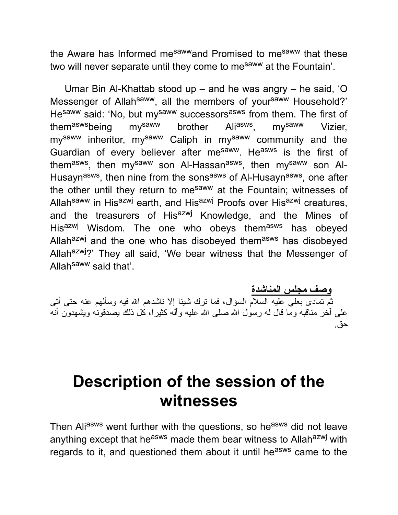the Aware has Informed me<sup>saww</sup>and Promised to me<sup>saww</sup> that these two will never separate until they come to me<sup>saww</sup> at the Fountain'.

Umar Bin Al-Khattab stood up – and he was angry – he said, 'O Messenger of Allah<sup>saww</sup>, all the members of your<sup>saww</sup> Household?' He<sup>saww</sup> said: 'No, but my<sup>saww</sup> successors<sup>asws</sup> from them. The first of them<sup>asws</sup>being my<sup>saww</sup> brother Ali<sup>asws</sup>, my<sup>saww</sup> Vizier, my<sup>saww</sup> inheritor, my<sup>saww</sup> Caliph in my<sup>saww</sup> community and the Guardian of every believer after mesaww. Heasws is the first of them<sup>asws</sup>, then my<sup>saww</sup> son Al-Hassan<sup>asws</sup>, then my<sup>saww</sup> son Al-Husayn<sup>asws</sup>, then nine from the sons<sup>asws</sup> of Al-Husayn<sup>asws</sup>, one after the other until they return to mesaww at the Fountain; witnesses of Allah<sup>saww</sup> in His<sup>azwj</sup> earth, and His<sup>azwj</sup> Proofs over His<sup>azwj</sup> creatures, and the treasurers of His<sup>azwj</sup> Knowledge, and the Mines of His<sup>azwj</sup> Wisdom. The one who obeys them<sup>asws</sup> has obeyed Allah<sup>azwj</sup> and the one who has disobeyed them<sup>asws</sup> has disobeyed Allah<sup>azwj</sup>?' They all said, 'We bear witness that the Messenger of Allah<sup>saww</sup> said that'.

**وصف مجلس المناشدة**

ثم تمادى بعلي علیه السلام السؤال، فما ترك شیئا إلا ناشدهم االله فیه وسألهم عنه حتى أتى على آخر مناقبه وما قال له رسول الله صلى الله علیه وآله كثیرا، كل ذلك یصدقونه ویشهدون أنه حق.

#### **Description of the session of the witnesses**

Then Aliasws went further with the questions, so heasws did not leave anything except that he<sup>asws</sup> made them bear witness to Allah<sup>azwj</sup> with regards to it, and questioned them about it until he<sup>asws</sup> came to the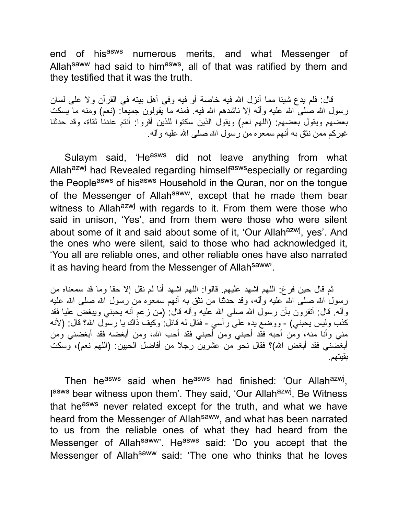end of his<sup>asws</sup> numerous merits, and what Messenger of Allah<sup>saww</sup> had said to him<sup>asws</sup>, all of that was ratified by them and they testified that it was the truth.

قال: فلم یدع شیئا مما أنزل االله فیه خاصة أو فیه وفي أهل بیته في القرآن ولا على لسان رسول الله صلى الله علیه وآله إلا ناشدهم الله فیه. فمنه ما یقولون جمیعاً: (نعم) ومنه ما یسكت بعضهم ویقول بعضهم: (اللهم نعم) ویقول الذین سكتوا للذین أقروا: أنتم عندنا ثقاة، وقد حدثنا غیركم ممن نثق به أنهم سمعوه من رسول االله صلى االله علیه وآله.

Sulaym said, 'He<sup>asws</sup> did not leave anything from what Allah<sup>azwj</sup> had Revealed regarding himself<sup>asws</sup>especially or regarding the People<sup>asws</sup> of his<sup>asws</sup> Household in the Quran, nor on the tongue of the Messenger of Allah<sup>saww</sup>, except that he made them bear witness to Allah<sup>azwj</sup> with regards to it. From them were those who said in unison, 'Yes', and from them were those who were silent about some of it and said about some of it, 'Our Allah<sup>azwj</sup>, yes'. And the ones who were silent, said to those who had acknowledged it, 'You all are reliable ones, and other reliable ones have also narrated it as having heard from the Messenger of Allah<sup>saww</sup>'.

ثم قال حین فرغ: اللهم اشهد علیهم. قالوا: اللهم اشهد أنا لم نقل إلا حقا وما قد سمعناه من رسول الله صلى الله علیه وآله، وقد حدثنا من نثق به أنهم سمعوه من رسول الله صلى الله علیه وآله. قال: أتقرون بأن رسول االله صلى االله علیه وآله قال: (من زعم أنه یحبني ویبغض علیا فقد كذب ولیس یحبني) - ووضع یده على رأسي - فقال له قائل: وكیف ذاك یا رسول االله؟ قال: (لأنه مني وأنا منه، ومن أحبه فقد أحبني ومن أحبني فقد أحب االله، ومن أبغضه فقد أبغضني ومن أبغضني فقد أبغض االله)؟ فقال نحو من عشرین رجلا من أفاضل الحیین: (اللهم نعم)، وسكت بقیتهم.

Then he<sup>asws</sup> said when he<sup>asws</sup> had finished: 'Our Allah<sup>azwj</sup>, lasws bear witness upon them'. They said, 'Our Allah<sup>azwj</sup>, Be Witness that he<sup>asws</sup> never related except for the truth, and what we have heard from the Messenger of Allahsaww, and what has been narrated to us from the reliable ones of what they had heard from the Messenger of Allah<sup>saww</sup>'. He<sup>asws</sup> said: 'Do you accept that the Messenger of Allah<sup>saww</sup> said: 'The one who thinks that he loves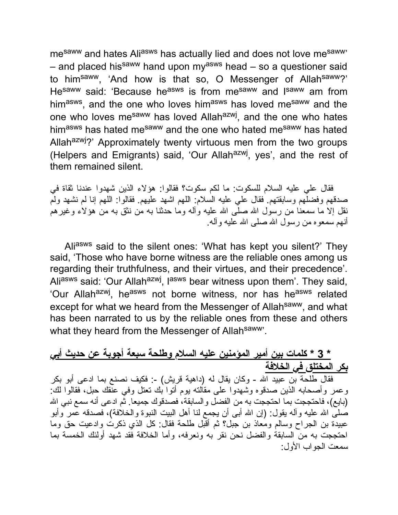me<sup>saww</sup> and hates Ali<sup>asws</sup> has actually lied and does not love me<sup>saww</sup> – and placed his<sup>saww</sup> hand upon my<sup>asws</sup> head – so a questioner said to himsaww, 'And how is that so, O Messenger of Allahsaww?' He<sup>saww</sup> said: 'Because he<sup>asws</sup> is from me<sup>saww</sup> and I<sup>saww</sup> am from him<sup>asws</sup>, and the one who loves him<sup>asws</sup> has loved me<sup>saww</sup> and the one who loves me<sup>saww</sup> has loved Allah<sup>azwj</sup>, and the one who hates himasws has hated mesaww and the one who hated mesaww has hated Allah<sup>azwj</sup>?' Approximately twenty virtuous men from the two groups (Helpers and Emigrants) said, 'Our Allah<sup>azwj</sup>, yes', and the rest of them remained silent.

فقال علي علیه السلام للسكوت: ما لكم سكوت؟ فقالوا: هؤلاء الذین شهدوا عندنا ثقاة في صدقهم وفضلهم وسابقتهم. فقال علي علیه السلام: اللهم اشهد علیهم. فقالوا: اللهم إنا لم نشهد ولم نقل إلا ما سمعنا من رسول الله صلَّى الله علیه وآله وما حدثنا به من نثق به من هؤلاء وغیرهم أنهم سمعوه من رسول االله صلى االله علیه وآله.

Aliasws said to the silent ones: 'What has kept you silent?' They said, 'Those who have borne witness are the reliable ones among us regarding their truthfulness, and their virtues, and their precedence'. Ali<sup>asws</sup> said: 'Our Allah<sup>azwj</sup>, l<sup>asws</sup> bear witness upon them'. They said, 'Our Allah<sup>azwj</sup>, he<sup>asws</sup> not borne witness, nor has he<sup>asws</sup> related except for what we heard from the Messenger of Allahsaww, and what has been narrated to us by the reliable ones from these and others what they heard from the Messenger of Allahsaww.

#### **\* 3 \* كلمات بین أمیر المؤمنین علیه السلام وطلحة سبعة أجوبة عن حدیث أبي بكر المختلق في الخلافة**

فقال طلحة بن عبید االله - وكان یقال له (داهیة قریش) :- فكیف نصنع بما ادعى أبو بكر وعمر وأصحابه الذین صدقوه وشهدوا على مقالته یوم أتوا بك تعتل وفي عنقك حبل، فقالوا لك: (بایع)، فاحتججت بما احتججت به من الفضل والسابقة، فصدقوك جمیعا. ثم ادعى أنه سمع نبي االله صلى االله علیه وآله یقول: (إن االله أبى أن یجمع لنا أهل البیت النبوة والخلافة)، فصدقه عمر وأبو عبیدة بن الجراح وسالم ومعاذ بن جبل؟ ثم أقبل طلحة فقال: كل الذي ذكرت وادعیت حق وما احتججت به من السابقة والفضل نحن نقر به ونعرفه، وأما الخلافة فقد شهد أولئك الخمسة بما سمعت الجواب الأول: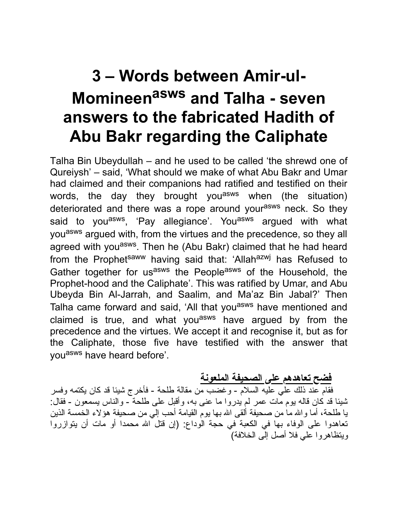## **3 – Words between Amir-ul-Momineen asws and Talha - seven answers to the fabricated Hadith of Abu Bakr regarding the Caliphate**

Talha Bin Ubeydullah – and he used to be called 'the shrewd one of Qureiysh' – said, 'What should we make of what Abu Bakr and Umar had claimed and their companions had ratified and testified on their words, the day they brought you<sup>asws</sup> when (the situation) deteriorated and there was a rope around your<sup>asws</sup> neck. So they said to you<sup>asws</sup>, 'Pay allegiance'. You<sup>asws</sup> argued with what you<sup>asws</sup> argued with, from the virtues and the precedence, so they all agreed with you<sup>asws</sup>. Then he (Abu Bakr) claimed that he had heard from the Prophetsaww having said that: 'Allahazwj has Refused to Gather together for usasws the Peopleasws of the Household, the Prophet-hood and the Caliphate'. This was ratified by Umar, and Abu Ubeyda Bin Al-Jarrah, and Saalim, and Ma'az Bin Jabal?' Then Talha came forward and said, 'All that you<sup>asws</sup> have mentioned and claimed is true, and what you<sup>asws</sup> have argued by from the precedence and the virtues. We accept it and recognise it, but as for the Caliphate, those five have testified with the answer that you<sup>asws</sup> have heard before'.

#### **فضح تعاهدهم على الصحیفة الملعونة**

فقام عند ذلك علي علیه السلام - وغضب من مقالة طلحة - فأخرج شیئا قد كان یكتمه وفسر شیئا قد كان قاله یوم مات عمر لم یدروا ما عنى به، وأقبل على طلحة - والناس یسمعون - فقال: یا طلحة، أما واالله ما من صحیفة ألقى االله بها یوم القیامة أحب إلي من صحیفة هؤلاء الخمسة الذین تعاهدوا على الوفاء بها في الكعبة في حجة الوداع: (إن قتل االله محمدا أو مات أن یتوازروا ویتظاهروا علي فلا أصل إلى الخلافة)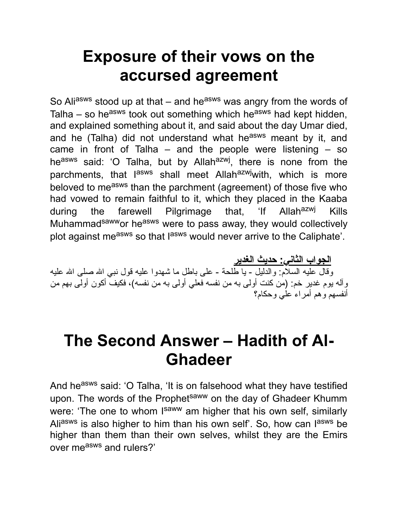## **Exposure of their vows on the accursed agreement**

So Aliasws stood up at that – and he<sup>asws</sup> was angry from the words of Talha – so he<sup>asws</sup> took out something which he<sup>asws</sup> had kept hidden, and explained something about it, and said about the day Umar died, and he (Talha) did not understand what he<sup>asws</sup> meant by it, and came in front of Talha – and the people were listening – so he<sup>asws</sup> said: 'O Talha, but by Allah<sup>azwj</sup>, there is none from the parchments, that l<sup>asws</sup> shall meet Allah<sup>azwj</sup>with, which is more beloved to me<sup>asws</sup> than the parchment (agreement) of those five who had vowed to remain faithful to it, which they placed in the Kaaba during the farewell Pilgrimage that, 'If Allah<sup>azwj</sup> Kills Muhammadsawwor heasws were to pass away, they would collectively plot against measws so that lasws would never arrive to the Caliphate'.

**الجواب الثاني: حدیث الغدیر** وقال علیه السلام: والدلیل - یا طلحة - على باطل ما شهدوا علیه قول نبي االله صلى االله علیه وآله یوم غدیر خم: (من كنت أولى به من نفسه فعلي أولى به من نفسه)، فكیف أكون أولى بهم من أنفسهم وهم أمراء علي وحكام؟

#### **The Second Answer – Hadith of Al-Ghadeer**

And he<sup>asws</sup> said: 'O Talha, 'It is on falsehood what they have testified upon. The words of the Prophetsaww on the day of Ghadeer Khumm were: 'The one to whom I<sup>saww</sup> am higher that his own self, similarly Ali<sup>asws</sup> is also higher to him than his own self'. So, how can l<sup>asws</sup> be higher than them than their own selves, whilst they are the Emirs over measws and rulers?'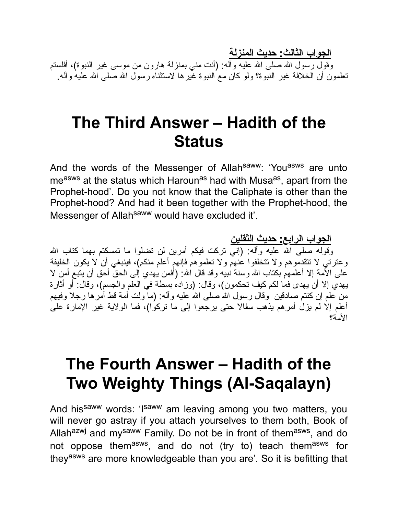**الجواب الثالث: حدیث المنزلة**

وقول رسول الله صلى الله علیه وأله: (أنت مني بمنزلة هارون من موسى غیر النبوة)، أفلستم تعلمون أن الخلافة غیر النبوة؟ ولو كان مع النبوة غیرها لاستثناه رسول االله صلى االله علیه وآله.

#### **The Third Answer – Hadith of the Status**

And the words of the Messenger of Allah<sup>saww</sup>: 'You<sup>asws</sup> are unto me<sup>asws</sup> at the status which Haroun<sup>as</sup> had with Musa<sup>as</sup>, apart from the Prophet-hood'. Do you not know that the Caliphate is other than the Prophet-hood? And had it been together with the Prophet-hood, the Messenger of Allah<sup>saww</sup> would have excluded it'.

**الجواب الرابع: حدیث الثقلین** وقوله صلى الله علیه وآله: (إني تركت فیكم أمرین لن تضلوا ما تمسكتم بهما كتاب الله وعترتي لا تتقدموهم ولا تتخلفوا عنهم ولا تعلموهم فإنهم أعلم منكم)، فینبغي أن لا یكون الخلیفة علـى الأمـة إلا أعلمـهم بكتاب الله وسنـة نبيبه وقد قال الله: (أفمن يبهدي إلـى الـحقُّ أحق أن يتبـع أمن لا یهدي إلا أن یهدى فما لكم كیف تحكمون)، وقال: (وزاده بسطة في العلم والجسم)، وقال: أو أثارة من علم إن كنتم صادقین ًوقال رسول الله صلى الله علیه وآله: (ما ولت أمة قط أمرها رجلا وفیهم أعلم إلا لم یزل أمرهم یذهب سفالا حتى یرجعوا إلى ما تركوا)، فما الولایة غیر الإمارة على الأمة؟

## **The Fourth Answer – Hadith of the Two Weighty Things (Al-Saqalayn)**

And hissaww words: 'Isaww am leaving among you two matters, you will never go astray if you attach yourselves to them both, Book of Allah<sup>azwj</sup> and my<sup>saww</sup> Family. Do not be in front of them<sup>asws</sup>, and do not oppose them<sup>asws</sup>, and do not (try to) teach them<sup>asws</sup> for theyasws are more knowledgeable than you are'. So it is befitting that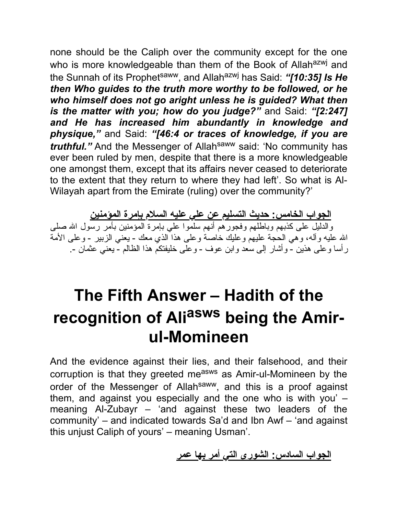none should be the Caliph over the community except for the one who is more knowledgeable than them of the Book of Allahazwj and the Sunnah of its Prophet<sup>saww</sup>, and Allah<sup>azwj</sup> has Said: "[10:35] Is He *then Who guides to the truth more worthy to be followed, or he who himself does not go aright unless he is guided? What then is the matter with you; how do you judge?"* and Said: *"[2:247] and He has increased him abundantly in knowledge and physique,"* and Said: *"[46:4 or traces of knowledge, if you are truthful.*" And the Messenger of Allah<sup>saww</sup> said: 'No community has ever been ruled by men, despite that there is a more knowledgeable one amongst them, except that its affairs never ceased to deteriorate to the extent that they return to where they had left'. So what is Al-Wilayah apart from the Emirate (ruling) over the community?'

**الجواب الخامس: حدیث التسلیم عن علي علیه السلام بإمرة المؤمنین** والدلیل على كذبهم وباطلهم وفجورهم أنهم سلموا علي بإمرة المؤمنین بأمر رسول االله صلى االله علیه وآله، وهي الحجة علیهم وعلیك خاصة وعلى هذا الذي معك - یعني الزبیر - وعلى الأمة رأسا وعلى هذین - وأشار إلى سعد وابن عوف - وعلى خلیفتكم هذا الظالم - یعني عثمان .-

## **The Fifth Answer – Hadith of the recognition of Ali asws being the Amirul-Momineen**

And the evidence against their lies, and their falsehood, and their corruption is that they greeted measws as Amir-ul-Momineen by the order of the Messenger of Allah<sup>saww</sup>, and this is a proof against them, and against you especially and the one who is with you' – meaning Al-Zubayr – 'and against these two leaders of the community' – and indicated towards Sa'd and Ibn Awf – 'and against this unjust Caliph of yours' – meaning Usman'.

**الجواب السادس: الشورى التي أمر بها عمر**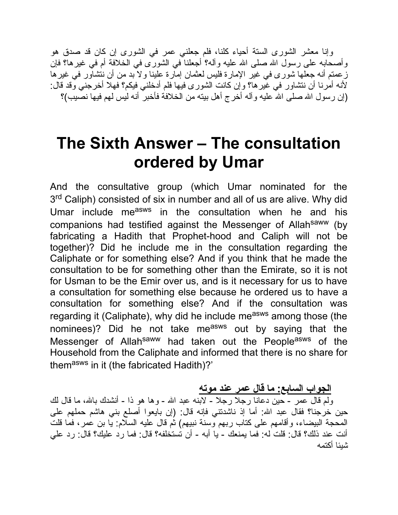وإنا معشر الشورى الستة أحیاء كلنا، فلم جعلني عمر في الشورى إن كان قد صدق هو وأصحابه على رسول الله صلى الله علیه وآله؟ أجعلنا في الشورى في الخلافة أم في غیرها؟ فإن زعمتم أنه جعلها شورى في غیر الإمارة فلیس لعثمان إمارة علینا ولا بد من أن نتشاور في غیرها لأنه أمرنا أن نتشاور في غیرها؟ وإن كانت الشورى فیها فلم أدخلني فیكم؟ فهلا أخرجني وقد قال: (إن ر سول الله صلى الله علیه و آله أخرج أهل بیته من الخلافة فأخبر ً أنه لیس لهم فیها نصیب)؟

## **The Sixth Answer – The consultation ordered by Umar**

And the consultative group (which Umar nominated for the 3<sup>rd</sup> Caliph) consisted of six in number and all of us are alive. Why did Umar include measws in the consultation when he and his companions had testified against the Messenger of Allah<sup>saww</sup> (by fabricating a Hadith that Prophet-hood and Caliph will not be together)? Did he include me in the consultation regarding the Caliphate or for something else? And if you think that he made the consultation to be for something other than the Emirate, so it is not for Usman to be the Emir over us, and is it necessary for us to have a consultation for something else because he ordered us to have a consultation for something else? And if the consultation was regarding it (Caliphate), why did he include measws among those (the nominees)? Did he not take measws out by saying that the Messenger of Allah<sup>saww</sup> had taken out the People<sup>asws</sup> of the Household from the Caliphate and informed that there is no share for them<sup>asws</sup> in it (the fabricated Hadith)?'

#### **الجواب السابع: ما قال عمر عند موته**

ولم قال عمر - حین دعانا رجلا رجلا - لابنه عبد الله - وها هو ذا - أنشدك بالله، ما قال لك حین خرجنا؟ فقال عبد االله: أما إذ ناشدتني فإنه قال: (إن بایعوا أصلع بني هاشم حملهم على المحجة البیضاء، وأقامهم على كتاب ربهم وسنة نبیهم) ثم قال علیه السلام: یا بن عمر، فما قلت أنت عند ذلك؟ قال: قلت له: فما یمنعك - یا أبه - أن تستخلفه؟ قال: فما رد علیك؟ قال: رد علي شیئا أكتمه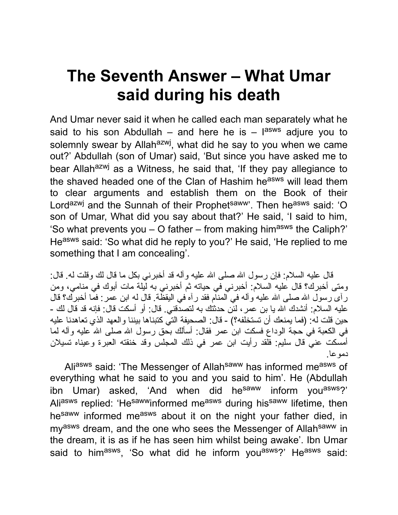## **The Seventh Answer – What Umar said during his death**

And Umar never said it when he called each man separately what he said to his son Abdullah – and here he is – l<sup>asws</sup> adjure you to solemnly swear by Allah<sup>azwj</sup>, what did he say to you when we came out?' Abdullah (son of Umar) said, 'But since you have asked me to bear Allah<sup>azwj</sup> as a Witness, he said that, 'If they pay allegiance to the shaved headed one of the Clan of Hashim he<sup>asws</sup> will lead them to clear arguments and establish them on the Book of their Lord<sup>azwj</sup> and the Sunnah of their Prophet<sup>saww</sup>'. Then he<sup>asws</sup> said: 'O son of Umar, What did you say about that?' He said, 'I said to him, 'So what prevents you  $-$  O father – from making him<sup>asws</sup> the Caliph?' Heasws said: 'So what did he reply to you?' He said, 'He replied to me something that I am concealing'.

قال علیه السلام: فإن رسول الله صلى الله علیه و آله قد أخبر ني بكل ما قال لك وقلت له. قال: ومتى أخبرك؟ قال علیه السلام: أخبرني في حیاته ثم أخبرني به لیلة مات أبوك في منامي، ومن رآى رسول الله صلى الله علیه وآله في المنام فقد رأه في الیقظة. قال له ابن عمر : فما أخبرك؟ قال علیه السلام: أنشدك الله یا بن عمر ، لئن حدثتك به لتصدقني. قال: أو أسكت قال: فإنه قد قال لك -حین قلت له: (فما یمنعك أن تستخلفه؟) - قال: الصحیفة التي كتبناها بیننا والعهد الذي تعاهدنا علیه في الكعبة في حجة الوداع فسكت ابن عمر فقال: أسألك بحق رسول الله صلى الله علیه وآله لما أمسكت عني قال سلیم: فلقد رأیت ابن عمر في ذلك المجلس وقد خنقته العبرة وعیناه تسیلان دموعا.

Aliasws said: 'The Messenger of Allah<sup>saww</sup> has informed measws of everything what he said to you and you said to him'. He (Abdullah ibn Umar) asked, 'And when did he<sup>saww</sup> inform you<sup>asws</sup>?' Aliasws replied: 'Hesawwinformed measws during hissaww lifetime, then hesaww informed measws about it on the night your father died, in my<sup>asws</sup> dream, and the one who sees the Messenger of Allah<sup>saww</sup> in the dream, it is as if he has seen him whilst being awake'. Ibn Umar said to him<sup>asws</sup>, 'So what did he inform you<sup>asws</sup>?' He<sup>asws</sup> said: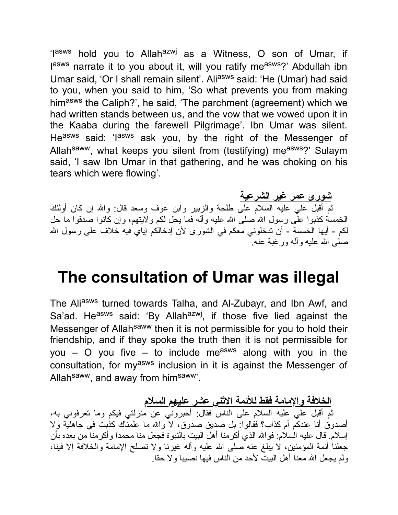'Iasws hold you to Allah<sup>azwj</sup> as a Witness, O son of Umar, if lasws narrate it to you about it, will you ratify measws?' Abdullah ibn Umar said, 'Or I shall remain silent'. Ali<sup>asws</sup> said: 'He (Umar) had said to you, when you said to him, 'So what prevents you from making himasws the Caliph?', he said, 'The parchment (agreement) which we had written stands between us, and the vow that we vowed upon it in the Kaaba during the farewell Pilgrimage'. Ibn Umar was silent. Heasws said: 'lasws ask you, by the right of the Messenger of Allah<sup>saww</sup>, what keeps you silent from (testifying) measws?' Sulaym said, 'I saw Ibn Umar in that gathering, and he was choking on his tears which were flowing'.

**شورى عمر غیر الشرعیة** ثم أقبل علي علیه السلام على طلحة والزبیر وابن عوف وسعد قال: واالله إن كان أولئك الخمسة كذبوا علَّى رسول الله صلى الله علیه وآله فما یحل لكم ولایتهم، وإن كانوا صدقوا ما حل لكم - أیها الخمسة - أن تدخلوني معكم في الشورى لأن إدخالكم إیاي فیه خلاف على رسول االله صلى االله علیه وآله ورغبة عنه.

#### **The consultation of Umar was illegal**

The Aliasws turned towards Talha, and Al-Zubayr, and Ibn Awf, and Sa'ad. He<sup>asws</sup> said: 'By Allah<sup>azwj</sup>, if those five lied against the Messenger of Allah<sup>saww</sup> then it is not permissible for you to hold their friendship, and if they spoke the truth then it is not permissible for you – O you five – to include me<sup>asws</sup> along with you in the consultation, for myasws inclusion in it is against the Messenger of Allah<sup>saww</sup>, and away from him<sup>saww</sup>'.

**الخلافة والإمامة فقط للأئمة الاثني عشر علیهم السلام**

ثم أقبل علي علیه السلام على الناس فقال: أخبروني عن منزلتي فیكم وما تعرفوني به، أصدوق أنا عندكم أم كذاب؟ فقالوا: بل صدیق صدوق، لا واالله ما علمناك كذبت في جاهلیة ولا إسلام. قال علیه السلام: فواالله الذي أكرمنا أهل البیت بالنبوة فجعل منا محمدا وأكرمنا من بعده بأن جعلنا أئمة المؤمنین، لا یبلغ عنه صلى االله علیه وآله غیرنا ولا تصلح الإمامة والخلافة إلا فینا، ولم یجعل االله معنا أهل البیت لأحد من الناس فیها نصیبا ولا حقا.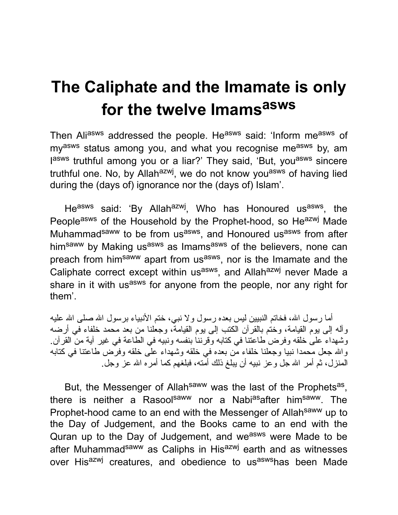## **The Caliphate and the Imamate is only for the twelve Imams asws**

Then Aliasws addressed the people. Heasws said: 'Inform measws of my<sup>asws</sup> status among you, and what you recognise me<sup>asws</sup> by, am lasws truthful among you or a liar?' They said, 'But, you<sup>asws</sup> sincere truthful one. No, by Allah<sup>azwj</sup>, we do not know you<sup>asws</sup> of having lied during the (days of) ignorance nor the (days of) Islam'.

He<sup>asws</sup> said: 'By Allah<sup>azwj</sup>, Who has Honoured us<sup>asws</sup>, the Peopleasws of the Household by the Prophet-hood, so Heazwj Made Muhammad<sup>saww</sup> to be from us<sup>asws</sup>, and Honoured us<sup>asws</sup> from after himsaww by Making usasws as Imamsasws of the believers, none can preach from him<sup>saww</sup> apart from us<sup>asws</sup>, nor is the Imamate and the Caliphate correct except within us<sup>asws</sup>, and Allah<sup>azwj</sup> never Made a share in it with us<sup>asws</sup> for anyone from the people, nor any right for them'.

أما رسول الله، فخاتم النببین لیس بعده رسول ولا نببی، ختم الأنبیاء برسول الله صلى الله علیه وآله إلى یوم القیامة، وختم بالقرآن الكتب إلى یوم القیامة، وجعلنا من بعد محمد خلفاء في أرضه وشهداء على خلقه وفرض طاعتنا في كتابه وقرننا بنفسه ونبیه في الطاعة في غیر آیة من القرآن. واالله جعل محمدا نبیا وجعلنا خلفاء من بعده في خلقه وشهداء على خلقه وفرض طاعتنا في كتابه المنزل، ثم أمر االله جل وعز نبیه أن یبلغ ذلك أمته، فبلغهم كما أمره االله عز وجل.

But, the Messenger of Allah<sup>saww</sup> was the last of the Prophets<sup>as</sup>, there is neither a Rasool<sup>saww</sup> nor a Nabias after him<sup>saww</sup>. The Prophet-hood came to an end with the Messenger of Allah<sup>saww</sup> up to the Day of Judgement, and the Books came to an end with the Quran up to the Day of Judgement, and we<sup>asws</sup> were Made to be after Muhammad<sup>saww</sup> as Caliphs in His<sup>azwj</sup> earth and as witnesses over His<sup>azwj</sup> creatures, and obedience to us<sup>asws</sup>has been Made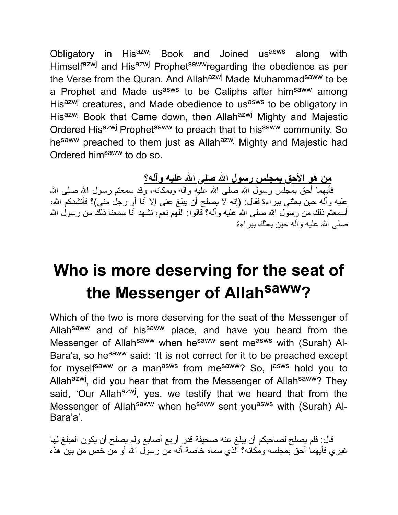Obligatory in His<sup>azwj</sup> Book and Joined us<sup>asws</sup> along with Himselfazwj and Hisazwj Prophetsawwregarding the obedience as per the Verse from the Quran. And Allah<sup>azwj</sup> Made Muhammad<sup>saww</sup> to be a Prophet and Made us<sup>asws</sup> to be Caliphs after him<sup>saww</sup> among His<sup>azwj</sup> creatures, and Made obedience to us<sup>asws</sup> to be obligatory in His<sup>azwj</sup> Book that Came down, then Allah<sup>azwj</sup> Mighty and Majestic Ordered His<sup>azwj</sup> Prophet<sup>saww</sup> to preach that to his<sup>saww</sup> community. So hesaww preached to them just as Allahazwj Mighty and Majestic had Ordered him<sup>saww</sup> to do so.

**من هو الأحق بمجلس رسول االله صلى االله علیه وآله؟**

فأیهما أحق بمجلس رسول الله صلـى الله علیه وآلـه وبمكانـه، وقد سمعتم رسول الله صلـى الله علیه وآله حین بعثني ببراءة فقال: (إنه لا یصلح أن یبلغ عني إلا أنا أو رجل مني)؟ فأنشدكم االله، أسمعتم ذلك من رسول الله صلى الله علیه وأله؟ قالوا: اللّهم نعْم، نشهد أنا سمعنا ذلك من رسول الله صلى االله علیه وآله حین بعثك ببراءة

## **Who is more deserving for the seat of the Messenger of Allah saww?**

Which of the two is more deserving for the seat of the Messenger of Allah<sup>saww</sup> and of his<sup>saww</sup> place, and have you heard from the Messenger of Allah<sup>saww</sup> when he<sup>saww</sup> sent me<sup>asws</sup> with (Surah) Al-Bara'a, so he<sup>saww</sup> said: 'It is not correct for it to be preached except for myself<sup>saww</sup> or a man<sup>asws</sup> from me<sup>saww</sup>? So, l<sup>asws</sup> hold you to Allah<sup>azwj</sup>, did you hear that from the Messenger of Allah<sup>saww</sup>? They said, 'Our Allah<sup>azwj</sup>, yes, we testify that we heard that from the Messenger of Allah<sup>saww</sup> when he<sup>saww</sup> sent you<sup>asws</sup> with (Surah) Al-Bara'a'.

قال: فلم یصلح لصاحبكم أن یبلغ عنه صحیفة قدر أربع أصابع ولم یصلح أن یكون المبلغ لها غیري فأیهما أحق بمجلسه ومكانه؟ الذي سماه خاصة أنه من رسول االله أو من خص من بین هذه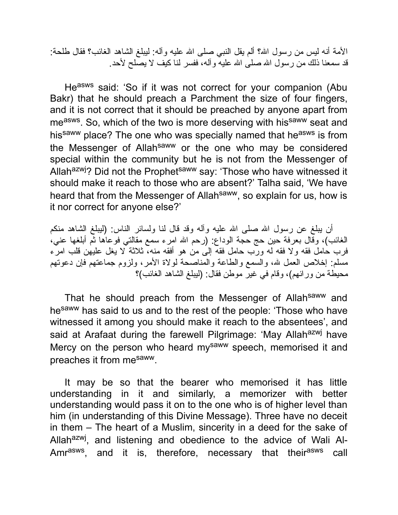الأمة أنه ليس من رسول الله؟ ألم يقل النبي صلى الله عليه وآله: ليبلغ الشاهد الغائب؟ فقال طلحة: قد سمعنا ذلك من رسول االله صلى االله علیه وآله، ففسر لنا كیف لا یصلح لأحد.

Heasws said: 'So if it was not correct for your companion (Abu Bakr) that he should preach a Parchment the size of four fingers, and it is not correct that it should be preached by anyone apart from me<sup>asws</sup>. So, which of the two is more deserving with his<sup>saww</sup> seat and his<sup>saww</sup> place? The one who was specially named that he<sup>asws</sup> is from the Messenger of Allah<sup>saww</sup> or the one who may be considered special within the community but he is not from the Messenger of Allah<sup>azwj</sup>? Did not the Prophet<sup>saww</sup> say: 'Those who have witnessed it should make it reach to those who are absent?' Talha said, 'We have heard that from the Messenger of Allah<sup>saww</sup>, so explain for us, how is it nor correct for anyone else?'

أن يبلغ عن رسول الله صلى الله علیه وآله وقد قال لنا ولسائر الناس: (ليبلغ الشاهد منكم الغائب)، وقال بعرفة حین حج حجة الوداع: (رحم االله امرء سمع مقالتي فوعاها ثم أبلغها عني، فرب حامل فقه ولا فقه له ورب حامل فقه إلى من هو أفقه منه، ثلاثة لا یغل علیهن قلب امرء مسلم: إخلاص العمل الله، والسمع والطاعة والمناصحة لولاة الأمر، ولزوم جماعتهم فإن دعوتهم محیطة من ورائهم)، وقام في غیر موطن فقال: (لیبلغ الشاهد الغائب)؟

That he should preach from the Messenger of Allah<sup>saww</sup> and hesaww has said to us and to the rest of the people: 'Those who have witnessed it among you should make it reach to the absentees', and said at Arafaat during the farewell Pilgrimage: 'May Allah<sup>azwj</sup> have Mercy on the person who heard my<sup>saww</sup> speech, memorised it and preaches it from mesaww.

It may be so that the bearer who memorised it has little understanding in it and similarly, a memorizer with better understanding would pass it on to the one who is of higher level than him (in understanding of this Divine Message). Three have no deceit in them – The heart of a Muslim, sincerity in a deed for the sake of Allah<sup>azwj</sup>, and listening and obedience to the advice of Wali Al-Amr<sup>asws</sup>, and it is, therefore, necessary that their<sup>asws</sup> call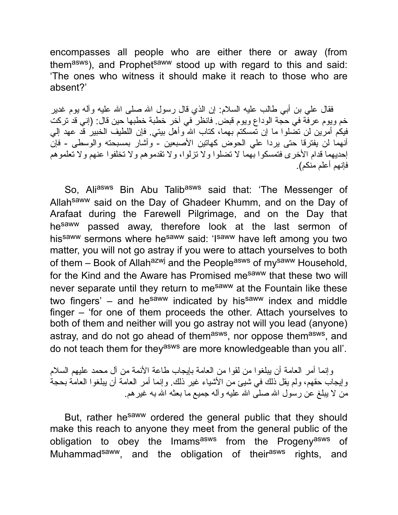encompasses all people who are either there or away (from themasws), and Prophet<sup>saww</sup> stood up with regard to this and said: 'The ones who witness it should make it reach to those who are absent?'

فقال علي بن أبي طالب علیه السلام: إن الذي قال رسول االله صلى االله علیه وآله یوم غدیر خم ویوم عرفة في حجة الوداع ویوم قبض. فانظر في آخر خطبة خطبها حین قال: (إني قد تركت فیكم أمرین لن تضلوا ما إن تمسكتم بهما، كتاب االله وأهل بیتي. فإن اللطیف الخبیر قد عهد إلي أنهما لن یفترقا حتى یردا علي الحوض كهاتین الأصبعین - وأشار بمسبحته والوسطى - فإن إحدیهما قدام الأخرى فتمسكوا بهما لا تضلوا ولا تزلوا، ولا تقدموهم ولا تخلفوا عنهم ولا تعلموهم فإنهم أعلم منكم).

So, Aliasws Bin Abu Talibasws said that: 'The Messenger of Allah<sup>saww</sup> said on the Day of Ghadeer Khumm, and on the Day of Arafaat during the Farewell Pilgrimage, and on the Day that he<sup>saww</sup> passed away, therefore look at the last sermon of hissaww sermons where hesaww said: 'Isaww have left among you two matter, you will not go astray if you were to attach yourselves to both of them – Book of Allah<sup>azwj</sup> and the People<sup>asws</sup> of my<sup>saww</sup> Household, for the Kind and the Aware has Promised me<sup>saww</sup> that these two will never separate until they return to mesaww at the Fountain like these two fingers'  $-$  and he<sup>saww</sup> indicated by his<sup>saww</sup> index and middle finger – 'for one of them proceeds the other. Attach yourselves to both of them and neither will you go astray not will you lead (anyone) astray, and do not go ahead of them<sup>asws</sup>, nor oppose them<sup>asws</sup>, and do not teach them for they<sup>asws</sup> are more knowledgeable than you all'.

وإنما أمر العامة أن یبلغوا من لقوا من العامة بإیجاب طاعة الأئمة من آل محمد علیهم السلام وإیجاب حقهم، ولم یقل ذلك في شیئ من الأشیاء غیر ذلك. وإنما أمر العامة أن یبلغوا العامة بحجة من لا یبلغ عن رسول االله صلى االله علیه وآله جمیع ما بعثه االله به غیرهم.

But, rather he<sup>saww</sup> ordered the general public that they should make this reach to anyone they meet from the general public of the obligation to obey the Imams<sup>asws</sup> from the Progeny<sup>asws</sup> of Muhammad<sup>saww</sup>, and the obligation of their<sup>asws</sup> rights, and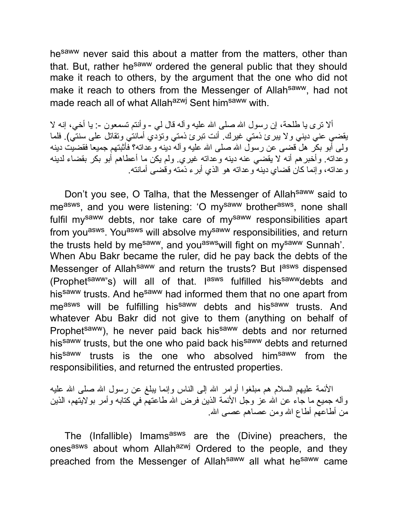he<sup>saww</sup> never said this about a matter from the matters, other than that. But, rather hesaww ordered the general public that they should make it reach to others, by the argument that the one who did not make it reach to others from the Messenger of Allahsaww, had not made reach all of what Allah<sup>azwj</sup> Sent him<sup>saww</sup> with.

ألا نترى يا طلحة، إن رسول الله صلى الله عليه وآله قال لي - وأنتم نسمعون -: يا أخي، إنه لا یقضي عني دیني ولا یبرئ ذمتي غیرك. أنت تبرئ ذمتي وتؤدي أمانتي وتقاتل على سنتي). فلما ولى أبو بكر هل قضى عن رسول االله صلى االله علیه وآله دینه وعداته؟ فأثبتهم جمیعا فقضیت دینه وعداته. وأخبرهم أنه لا یقضي عنه دینه وعداته غیري. ولم یكن ما أعطاهم أبو بكر بقضاء لدینه وعداته، وإنما كان قضاي دینه وعداته هو الذي أبرء ذمته وقضى أمانته.

Don't you see, O Talha, that the Messenger of Allahsaww said to me<sup>asws</sup>, and you were listening: 'O my<sup>saww</sup> brother<sup>asws</sup>, none shall fulfil mysaww debts, nor take care of mysaww responsibilities apart from you<sup>asws</sup>. You<sup>asws</sup> will absolve my<sup>saww</sup> responsibilities, and return the trusts held by me<sup>saww</sup>, and you<sup>asws</sup>will fight on my<sup>saww</sup> Sunnah'. When Abu Bakr became the ruler, did he pay back the debts of the Messenger of Allah<sup>saww</sup> and return the trusts? But l<sup>asws</sup> dispensed (Prophet<sup>saww</sup>'s) will all of that. I<sup>asws</sup> fulfilled his<sup>saww</sup>debts and his<sup>saww</sup> trusts. And he<sup>saww</sup> had informed them that no one apart from measws will be fulfilling his<sup>saww</sup> debts and his<sup>saww</sup> trusts. And whatever Abu Bakr did not give to them (anything on behalf of Prophetsaww), he never paid back hissaww debts and nor returned his<sup>saww</sup> trusts, but the one who paid back his<sup>saww</sup> debts and returned his<sup>saww</sup> trusts is the one who absolved him<sup>saww</sup> from the responsibilities, and returned the entrusted properties.

الأئمة علیهم السلام هم مبلغوا أوامر االله إلى الناس وإنما یبلغ عن رسول االله صلى االله علیه وآله جمیع ما جاء عن االله عز وجل الأئمة الذین فرض االله طاعتهم في كتابه وأمر بولایتهم، الذین من أطاعهم أطاع االله ومن عصاهم عصى االله.

The (Infallible) Imams<sup>asws</sup> are the (Divine) preachers, the onesasws about whom Allahazwj Ordered to the people, and they preached from the Messenger of Allah<sup>saww</sup> all what he<sup>saww</sup> came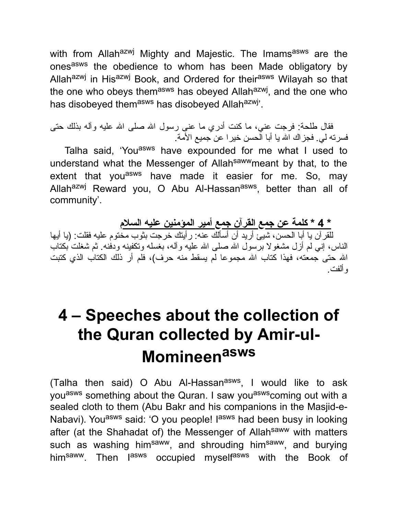with from Allah<sup>azwj</sup> Mighty and Majestic. The Imams<sup>asws</sup> are the onesasws the obedience to whom has been Made obligatory by Allah<sup>azwj</sup> in His<sup>azwj</sup> Book, and Ordered for their<sup>asws</sup> Wilayah so that the one who obeys them<sup>asws</sup> has obeyed Allah<sup>azwj</sup>, and the one who has disobeyed them<sup>asws</sup> has disobeyed Allah<sup>azwj</sup>'.

فقال طلحة: فرجت عني، ما كنت أدري ما عنى رسول الله صلى الله علیه وآله بذلك حتى فسرته لي. فجزاك االله یا أبا الحسن خیرا عن جمیع الأمة.

Talha said, 'You<sup>asws</sup> have expounded for me what I used to understand what the Messenger of Allah<sup>saww</sup>meant by that, to the extent that you<sup>asws</sup> have made it easier for me. So, may Allah<sup>azwj</sup> Reward you, O Abu Al-Hassan<sup>asws</sup>, better than all of community'.

**\* 4 \* كلمة عن جمع القرآن جمع أمیر المؤمنین علیه السلام**

للقرآن یا أبا الحسن، شیئ أرید أن أسألك عنه: رأیتك خرجت بثوب مختوم علیه فقلت: (یا أیها الناس، إنـى لم أزل مشغولا برِّسول الله صلـى الله علیه وآلـه، بـغسلـه وتكفینـه ودفنـه. ثم شغلت بكتاب االله حتى جمعته، فهذا كتاب االله مجموعا لم یسقط منه حرف)، فلم أر ذلك الكتاب الذي كتبت وألفت.

## **4 – Speeches about the collection of the Quran collected by Amir-ul-Momineen asws**

(Talha then said) O Abu Al-Hassan<sup>asws</sup>, I would like to ask you<sup>asws</sup> something about the Quran. I saw you<sup>asws</sup> coming out with a sealed cloth to them (Abu Bakr and his companions in the Masjid-e-Nabavi). You<sup>asws</sup> said: 'O you people! I<sup>asws</sup> had been busy in looking after (at the Shahadat of) the Messenger of Allah<sup>saww</sup> with matters such as washing him<sup>saww</sup>, and shrouding him<sup>saww</sup>, and burying him<sup>saww</sup>. Then l<sup>asws</sup> occupied myself<sup>asws</sup> with the Book of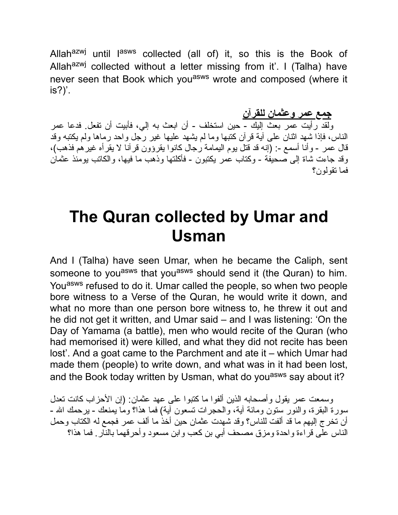Allah<sup>azwj</sup> until l<sup>asws</sup> collected (all of) it, so this is the Book of Allah<sup>azwj</sup> collected without a letter missing from it'. I (Talha) have never seen that Book which you<sup>asws</sup> wrote and composed (where it is?)'.

**جمع عمر وعثمان للقرآن**

ولقد رأیت عمر بعث إلیك - حین استخلف - أن ابعث به إلي، فأبیت أن تفعل. فدعا عمر الناس، فإذا شهد اثنان على آیة قرآن كتبها وما لم یشهد علیها غیر رجل واحد رماها ولم یكتبه وقد قال عمر - وأنا أسمع :- (إنه قد قتل یوم الیمامة رجال كانوا یقرؤون قرآنا لا یقرأه غیرهم فذهب)، وقد جاءت شاة إلى صحیفة - وكتاب عمر یكتبون - فأكلتها وذهب ما فیها، والكاتب یومئذ عثمان فما تقولون؟

#### **The Quran collected by Umar and Usman**

And I (Talha) have seen Umar, when he became the Caliph, sent someone to you<sup>asws</sup> that you<sup>asws</sup> should send it (the Quran) to him. You<sup>asws</sup> refused to do it. Umar called the people, so when two people bore witness to a Verse of the Quran, he would write it down, and what no more than one person bore witness to, he threw it out and he did not get it written, and Umar said – and I was listening: 'On the Day of Yamama (a battle), men who would recite of the Quran (who had memorised it) were killed, and what they did not recite has been lost'. And a goat came to the Parchment and ate it – which Umar had made them (people) to write down, and what was in it had been lost, and the Book today written by Usman, what do you<sup>asws</sup> say about it?

وسمعت عمر یقول وأصحابه الذین ألفوا ما كتبوا على عهد عثمان: (إن الأحزاب كانت تعدل سورة البقرة، والنور ستون ومائة آیة، والحجرات تسعون آیة) فما هذا؟ وما یمنعك - یرحمك االله - أن تخرج إلیهم ما قد ألفت للناس؟ وقد شهدت عثمان حین أخذ ما ألف عمر فجمع له الكتاب وحمل الناس على قراءة واحدة ومزق مصحف أبي بن كعب وابن مسعود وأحرقهما بالنار. فما هذا؟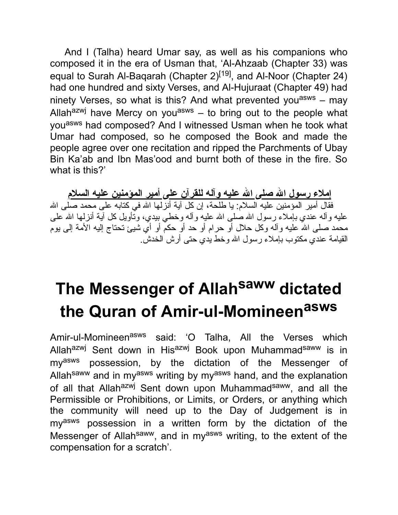And I (Talha) heard Umar say, as well as his companions who composed it in the era of Usman that, 'Al-Ahzaab (Chapter 33) was equal to Surah Al-Baqarah (Chapter 2)<sup>[19]</sup>, and Al-Noor (Chapter 24) had one hundred and sixty Verses, and Al-Hujuraat (Chapter 49) had ninety Verses, so what is this? And what prevented you<sup>asws</sup> – may Allah $^{azmj}$  have Mercy on you<sup>asws</sup> – to bring out to the people what you<sup>asws</sup> had composed? And I witnessed Usman when he took what Umar had composed, so he composed the Book and made the people agree over one recitation and ripped the Parchments of Ubay Bin Ka'ab and Ibn Mas'ood and burnt both of these in the fire. So what is this?'

**إملاء رسول االله صلى االله علیه وآله للقرآن على أمیر المؤمنین علیه السلام** فقال أمیر المؤمنین علیه السلام: یا طلحة، إن كل آیة أنزلها الله في كتابه على محمد صلى الله علیه وأله عندي بإملاء رسول الله صلى الله علیه وأله وخطي بیدي، وتأویل كل أیة أنزلها الله على محمد صلى الله علیه وآله وكل حلال أو حرام أو حد أو حكم أو أي شَيئٌ تحتاج إلیه الأمّة إلى یومّ القیامة عندي مكتوب بإملاء رسول االله وخط یدي حتى أرش الخدش.

# **The Messenger of Allah saww dictated the Quran of Amir-ul-Momineen asws**

Amir-ul-Momineen<sup>asws</sup> said: 'O Talha, All the Verses which Allah<sup>azwj</sup> Sent down in His<sup>azwj</sup> Book upon Muhammad<sup>saww</sup> is in myasws possession, by the dictation of the Messenger of Allah<sup>saww</sup> and in my<sup>asws</sup> writing by my<sup>asws</sup> hand, and the explanation of all that Allah<sup>azwj</sup> Sent down upon Muhammad<sup>saww</sup>, and all the Permissible or Prohibitions, or Limits, or Orders, or anything which the community will need up to the Day of Judgement is in myasws possession in a written form by the dictation of the Messenger of Allah<sup>saww</sup>, and in my<sup>asws</sup> writing, to the extent of the compensation for a scratch'.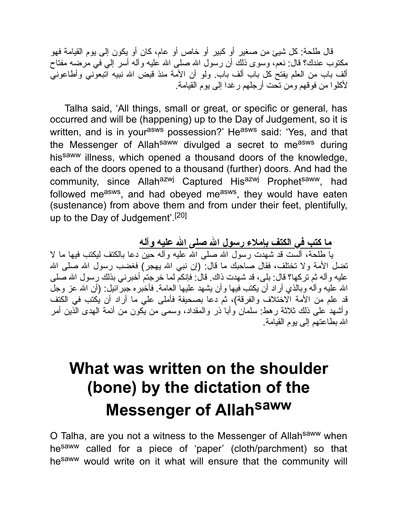قال طلحة: كل شیئ من صغیر أو كبیر أو خاص أو عام، كان أو یكون إلى یوم القیامة فهو مكتوب عندك؟ قال: نعم، وسوى ذلك أن رسول االله صلى االله علیه وآله أسر إلي في مرضه مفتاح ألف باب من العلم یفتح كل باب ألف باب. ولو أن الأمة منذ قبض االله نبیه اتبعوني وأطاعوني لأكلوا من فوقهم ومن تحت أرجلهم رغدا إلى یوم القیامة.

Talha said, 'All things, small or great, or specific or general, has occurred and will be (happening) up to the Day of Judgement, so it is written, and is in your<sup>asws</sup> possession?' He<sup>asws</sup> said: 'Yes, and that the Messenger of Allah<sup>saww</sup> divulged a secret to me<sup>asws</sup> during his<sup>saww</sup> illness, which opened a thousand doors of the knowledge, each of the doors opened to a thousand (further) doors. And had the community, since Allah<sup>azwj</sup> Captured His<sup>azwj</sup> Prophet<sup>saww</sup>, had followed me<sup>asws</sup>, and had obeyed me<sup>asws</sup>, they would have eaten (sustenance) from above them and from under their feet, plentifully, up to the Day of Judgement'.[20]

**ما كتب في الكتف بإملاء رسول االله صلى االله علیه وآله** یا طلحة، ألست قد شهدت رسول االله صلى االله علیه وآله حین دعا بالكتف لیكتب فیها ما لا تضل الأمة ولا تختلف، فقال صاحبك ما قال: (إن نبي الله یهجر) فغضب رسول الله صلى الله علیه وآله ثم تركها؟ قال: بلي، قد شهدت ذاك. قال: فإنكم لما خرجتم أخبرني بذلك رسول الله صلى االله علیه وآله وبالذي أراد أن یكتب فیها وأن یشهد علیها العامة. فأخبره جبرائیل: (أن االله عز وجل قد علم من الأمة الاختلاف والفرقة)، ثم دعا بصحیفة فأملى علي ما أراد أن یكتب في الكتف وأشهد على ذلك ثلاثة رهط: سلمان وأبا ذر والمقداد، وسمى من یكون من أئمة الهدى الذین أمر االله بطاعتهم إلى یوم القیامة.

## **What was written on the shoulder (bone) by the dictation of the Messenger of Allah saww**

O Talha, are you not a witness to the Messenger of Allahsaww when hesaww called for a piece of 'paper' (cloth/parchment) so that hesaww would write on it what will ensure that the community will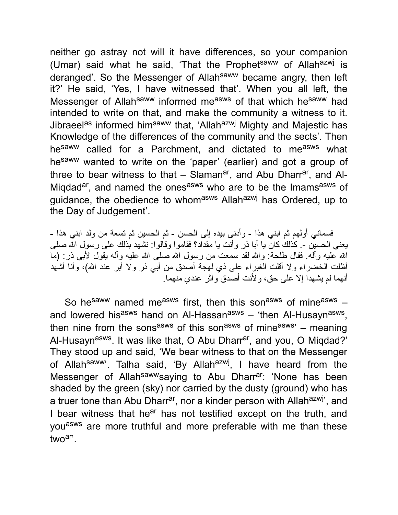neither go astray not will it have differences, so your companion (Umar) said what he said, 'That the Prophet<sup>saww</sup> of Allah<sup>azwj</sup> is deranged'. So the Messenger of Allahsaww became angry, then left it?' He said, 'Yes, I have witnessed that'. When you all left, the Messenger of Allah<sup>saww</sup> informed measws of that which he<sup>saww</sup> had intended to write on that, and make the community a witness to it. Jibraeel<sup>as</sup> informed him<sup>saww</sup> that, 'Allah<sup>azwj</sup> Mighty and Majestic has Knowledge of the differences of the community and the sects'. Then he<sup>saww</sup> called for a Parchment, and dictated to me<sup>asws</sup> what hesaww wanted to write on the 'paper' (earlier) and got a group of three to bear witness to that – Slaman<sup>ar</sup>, and Abu Dharr<sup>ar</sup>, and Al-Miqdad<sup>ar</sup>, and named the ones<sup>asws</sup> who are to be the Imams<sup>asws</sup> of guidance, the obedience to whomasws Allahazwj has Ordered, up to the Day of Judgement'.

فسماني أولهم ثم ابني هذا - وأدنى بیده إلى الحسن - ثم الحسین ثم تسعة من ولد ابني هذا - یعني الحسین .- كذلك كان یا أبا ذر وأنت یا مقداد؟ فقاموا وقالوا: نشهد بذلك على رسول االله صلى االله علیه وآله. فقال طلحة: واالله لقد سمعت من رسول االله صلى االله علیه وآله یقول لأبي ذر: (ما أظلت الخضراء ولا أقلت الغبراء على ذي لهجة أصدق من أبي ذر ولا أبر عند االله)، وأنا أشهد أنهما لم یشهدا إلا على حق، ولأنت أصدق وآثر عندي منهما.

So hesaww named measws first, then this sonasws of mineasws  $$ and lowered his<sup>asws</sup> hand on Al-Hassan<sup>asws</sup> – 'then Al-Husayn<sup>asws</sup>, then nine from the sons<sup>asws</sup> of this son<sup>asws</sup> of mine<sup>asws</sup>' – meaning Al-Husayn<sup>asws</sup>. It was like that, O Abu Dharr<sup>ar</sup>, and you, O Miqdad?' They stood up and said, 'We bear witness to that on the Messenger of Allah<sup>saww</sup>'. Talha said, 'By Allah<sup>azwj</sup>, I have heard from the Messenger of Allah<sup>saww</sup>saying to Abu Dharr<sup>ar</sup>: 'None has been shaded by the green (sky) nor carried by the dusty (ground) who has a truer tone than Abu Dharr<sup>ar</sup>, nor a kinder person with Allah<sup>azwj</sup>', and I bear witness that he<sup>ar</sup> has not testified except on the truth, and you<sup>asws</sup> are more truthful and more preferable with me than these twoar'.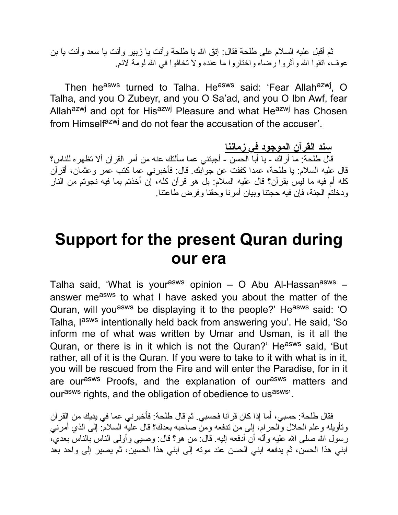ثم أقبل علیه السلام على طلحة فقال: إتق االله یا طلحة وأنت یا زبیر وأنت یا سعد وأنت یا بن عوف، اتقوا الله وأثروا رضاه واختاروا ما عنده ولا تخافوا في الله لومة لائم.

Then he<sup>asws</sup> turned to Talha. He<sup>asws</sup> said: 'Fear Allah<sup>azwj</sup>, O Talha, and you O Zubeyr, and you O Sa'ad, and you O Ibn Awf, fear Allah<sup>azwj</sup> and opt for His<sup>azwj</sup> Pleasure and what He<sup>azwj</sup> has Chosen from Himself<sup>azwj</sup> and do not fear the accusation of the accuser'.

**سند القرآن الموجود في زماننا** قال طلحة: ما أراك - یا أبا الحسن - أجبتني عما سألتك عنه من أمر القرآن ألا تظهره للناس؟ قال علیه السلام: یا طلحة، عمدا كففت عن جوابك. قال: فأخبرني عما كتب عمر وعثمان، أقرآن كله أم فیه ما لیس بقرآن؟ قال علیه السلام: بل هو قرآن كله، إن أخذتم بما فیه نجوتم من النار ودخلتم الجنة، فإن فیه حجتنا وبیان أمرنا وحقنا وفرض طاعتنا.

#### **Support for the present Quran during our era**

Talha said, 'What is your<sup>asws</sup> opinion – O Abu Al-Hassan<sup>asws</sup> – answer measws to what I have asked you about the matter of the Quran, will you<sup>asws</sup> be displaying it to the people?' He<sup>asws</sup> said: 'O Talha, lasws intentionally held back from answering you'. He said, 'So inform me of what was written by Umar and Usman, is it all the Quran, or there is in it which is not the Quran?' He<sup>asws</sup> said, 'But rather, all of it is the Quran. If you were to take to it with what is in it, you will be rescued from the Fire and will enter the Paradise, for in it are our<sup>asws</sup> Proofs, and the explanation of our<sup>asws</sup> matters and ourasws rights, and the obligation of obedience to usasws'.

فقال طلحة: حسبي، أما إذا كان قرآنا فحسبي. ثم قال طلحة: فأخبرني عما في یدیك من القرآن وتأویله وعلم الحلال والحرام، إلى من تدفعه ومن صاحبه بعدك؟ قال علیه السلام: إلى الذي أمرني رسول الله صلى الله علیه وآله أن أدفعه الیه. قال: من هو؟ قال: وصیبي وأولى الناس بالناس بعدي، ابني هذا الحسن، ثم یدفعه ابني الحسن عند موته إلى ابني هذا الحسین، ثم یصیر إلى واحد بعد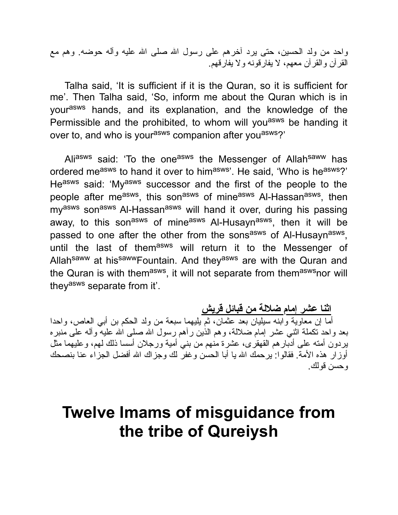واحد من ولد الحسین، حتى یرد آخرهم على رسول االله صلى االله علیه وآله حوضه. وهم مع القرآن والقرآن معهم، لا یفارقونه ولا یفارقهم.

Talha said, 'It is sufficient if it is the Quran, so it is sufficient for me'. Then Talha said, 'So, inform me about the Quran which is in yourasws hands, and its explanation, and the knowledge of the Permissible and the prohibited, to whom will you<sup>asws</sup> be handing it over to, and who is your<sup>asws</sup> companion after you<sup>asws</sup>?'

Aliasws said: 'To the oneasws the Messenger of Allahsaww has ordered measws to hand it over to himasws'. He said, 'Who is heasws?' Heasws said: 'Myasws successor and the first of the people to the people after me<sup>asws</sup>, this son<sup>asws</sup> of mine<sup>asws</sup> Al-Hassan<sup>asws</sup>, then my<sup>asws</sup> son<sup>asws</sup> Al-Hassan<sup>asws</sup> will hand it over, during his passing away, to this son<sup>asws</sup> of mine<sup>asws</sup> Al-Husayn<sup>asws</sup>, then it will be passed to one after the other from the sons<sup>asws</sup> of Al-Husayn<sup>asws</sup>, until the last of them<sup>asws</sup> will return it to the Messenger of Allah<sup>saww</sup> at his<sup>saww</sup>Fountain. And they<sup>asws</sup> are with the Quran and the Quran is with them<sup>asws</sup>, it will not separate from them<sup>asws</sup>nor will they<sup>asws</sup> separate from it'.

#### **اثنا عشر إمام ضلالة من قبائل قریش**

أما إن معاویة وابنه سیلیان بعد عثمان، ثم یلیهما سبعة من ولد الحكم بن أبي العاص، واحدا بعد واحد تكملة اثني عشر إمام ضلالة، وهم الذین رآهم رسول االله صلى االله علیه وآله على منبره یردون أمته على أدبارهم القهقرى، عشرة منهم من بني أمیة ورجلان أسسا ذلك لهم، وعلیهما مثل أوزار هذه الأمة. فقالوا: یرحمك الله یا أبا الحسن وغفر لك وجزاك الله أفضل الجزاء عنا بنصحك وحسن قولك.

#### **Twelve Imams of misguidance from the tribe of Qureiysh**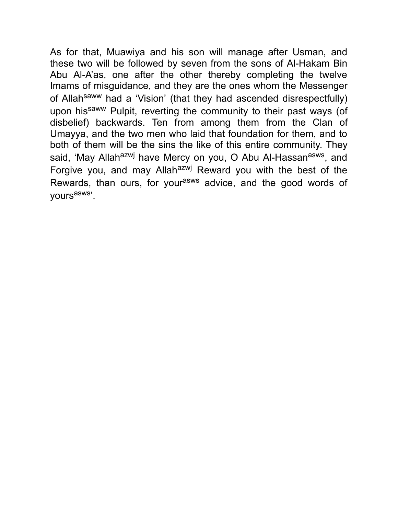As for that, Muawiya and his son will manage after Usman, and these two will be followed by seven from the sons of Al-Hakam Bin Abu Al-A'as, one after the other thereby completing the twelve Imams of misguidance, and they are the ones whom the Messenger of Allah<sup>saww</sup> had a 'Vision' (that they had ascended disrespectfully) upon hissaww Pulpit, reverting the community to their past ways (of disbelief) backwards. Ten from among them from the Clan of Umayya, and the two men who laid that foundation for them, and to both of them will be the sins the like of this entire community. They said, 'May Allah<sup>azwj</sup> have Mercy on you, O Abu Al-Hassan<sup>asws</sup>, and Forgive you, and may Allah<sup>azwj</sup> Reward you with the best of the Rewards, than ours, for your<sup>asws</sup> advice, and the good words of vours<sup>asws</sup>'.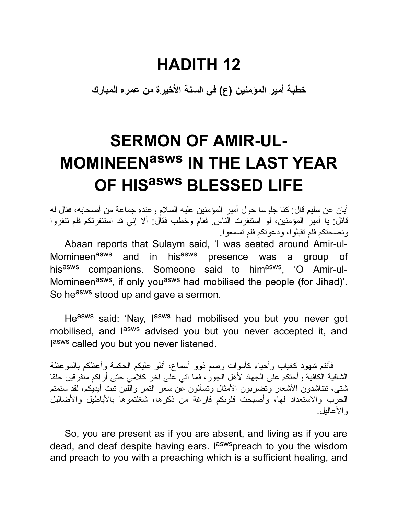#### **HADITH 12**

**خطبة أمیر المؤمنین (ع) في السنة الأخیرة من عمره المبارك**

# **SERMON OF AMIR-UL-MOMINEENasws IN THE LAST YEAR OF HIS asws BLESSED LIFE**

أبان عن سلیم قال: كنا جلوسا حول أمیر المؤمنین علیه السلام وعنده جماعة من أصحابه، فقال له قائل: یا أمیر المؤمنین، لو استنفرت الناس. فقام وخطب فقال: ألا إني قد استنفرتكم فلم تنفروا ونصحتكم فلم تقبلوا، ودعوتكم فلم تسمعوا.

Abaan reports that Sulaym said, 'I was seated around Amir-ul-Momineen<sup>asws</sup> and in his<sup>asws</sup> presence was a group of his<sup>asws</sup> companions. Someone said to him<sup>asws</sup>, 'O Amir-ul-Momineen<sup>asws</sup>, if only you<sup>asws</sup> had mobilised the people (for Jihad)'. So he<sup>asws</sup> stood up and gave a sermon.

He<sup>asws</sup> said: 'Nay, l<sup>asws</sup> had mobilised you but you never got mobilised, and l<sup>asws</sup> advised you but you never accepted it, and lasws called you but you never listened.

فأنتم شهود كغیاب وأحیاء كأموات وصم ذوو أسماع، أتلو علیكم الحكمة وأعظكم بالموعظة الشافیة الكافیة وأحثكم على الجهاد لأهل الجور، فما آتي على آخر كلامي حتى أراكم متفرقین حلقا شتى، تتناشدون الأشعار وتضربون الأمثال وتسألون عن سعر التمر واللبن تبت أیدیكم، لقد سئمتم الحرب والاستعداد لها، وأصبحت قلوبكم فارغة من ذكرها، شغلتموها بالأباطیل والأضالیل والأعالیل.

So, you are present as if you are absent, and living as if you are dead, and deaf despite having ears. I<sup>asws</sup>preach to you the wisdom and preach to you with a preaching which is a sufficient healing, and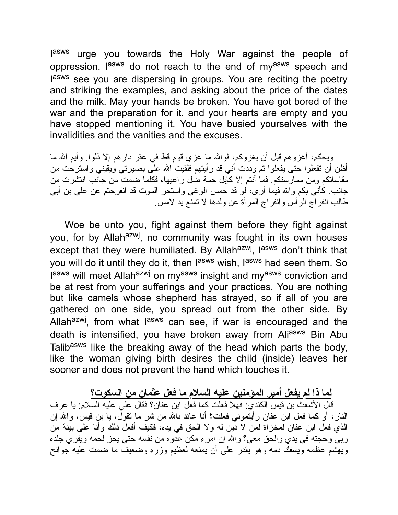lasws urge you towards the Holy War against the people of oppression. I<sup>asws</sup> do not reach to the end of my<sup>asws</sup> speech and lasws see you are dispersing in groups. You are reciting the poetry and striking the examples, and asking about the price of the dates and the milk. May your hands be broken. You have got bored of the war and the preparation for it, and your hearts are empty and you have stopped mentioning it. You have busied yourselves with the invalidities and the vanities and the excuses.

ویحكم، أغزوهم قبل أن یغزوكم، فواالله ما غزي قوم قط في عقر دارهم إلا ذلوا. وأیم االله ما أظن أن تفعلوا حتى یفعلوا ثم وددت أني قد رأیتهم فلقیت االله على بصیرتي ویقیني واسترحت من مقاساتكم ومن ممارستكم. فما أنتم إلا كإبل جمة ضل راعیها، فكلما ضمت من جانب انتشرت من جانب. كأني بكم واالله فیما أرى، لو قد حمس الوغى واستحر الموت قد انفرجتم عن علي بن أبي طالب انفراج الرأس وانفراج المرأة عن ولدها لا تمنع ید لامس.

Woe be unto you, fight against them before they fight against you, for by Allah<sup>azwj</sup>, no community was fought in its own houses except that they were humiliated. By Allah<sup>azwj</sup>, l<sup>asws</sup> don't think that you will do it until they do it, then l<sup>asws</sup> wish, l<sup>asws</sup> had seen them. So lasws will meet Allah<sup>azwj</sup> on my<sup>asws</sup> insight and my<sup>asws</sup> conviction and be at rest from your sufferings and your practices. You are nothing but like camels whose shepherd has strayed, so if all of you are gathered on one side, you spread out from the other side. By Allah<sup>azwj</sup>, from what l<sup>asws</sup> can see, if war is encouraged and the death is intensified, you have broken away from Aliasws Bin Abu Talib<sup>asws</sup> like the breaking away of the head which parts the body, like the woman giving birth desires the child (inside) leaves her sooner and does not prevent the hand which touches it.

**لما ذا لم یفعل أمیر المؤمنین علیه السلام ما فعل عثمان من السكوت؟** قال الأشعث بن قیس الكندي: فهلا فعلت كما فعل ابن عفان؟ فقال علي علیه السلام: یا عرف النار، أو كما فعل ابن عفان رأیتموني فعلت؟ أنا عائذ باالله من شر ما تقول، یا بن قیس، واالله إن الذي فعل ابن عفان لمخزاة لمن لا دین له ولا الحق في یده، فكیف أفعل ذلك وأنا على بینة من ربي وحجته في یدي والحق معي؟ واالله إن امرء مكن عدوه من نفسه حتى یجز لحمه ویفري جلده ویهشم عظمه ویسفك دمه وهو یقدر على أن یمنعه لعظیم وزره وضعیف ما ضمت علیه جوانح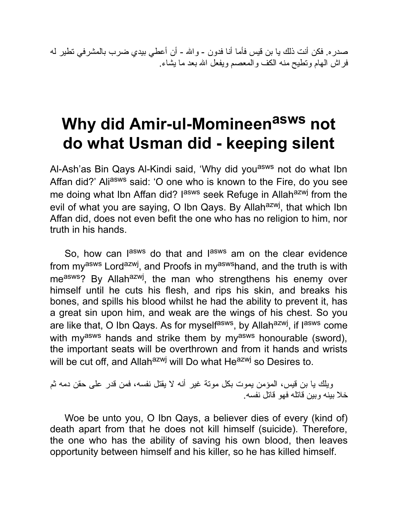صدره. فكن أنت ذلك یا بن قیس فأما أنا فدون - واالله - أن أعطي بیدي ضرب بالمشرفي تطیر له فراش الهام وتطیح منه الكف والمعصم ویفعل االله بعد ما یشاء.

## **Why did Amir-ul-Momineen asws not do what Usman did - keeping silent**

Al-Ash'as Bin Qays Al-Kindi said, 'Why did you<sup>asws</sup> not do what Ibn Affan did?' Aliasws said: 'O one who is known to the Fire, do you see me doing what Ibn Affan did? I<sup>asws</sup> seek Refuge in Allah<sup>azwj</sup> from the evil of what you are saying, O Ibn Qays. By Allah<sup>azwj</sup>, that which Ibn Affan did, does not even befit the one who has no religion to him, nor truth in his hands.

So, how can lasws do that and lasws am on the clear evidence from my<sup>asws</sup> Lord<sup>azwj</sup>, and Proofs in my<sup>asws</sup>hand, and the truth is with me<sup>asws</sup>? By Allah<sup>azwj</sup>, the man who strengthens his enemy over himself until he cuts his flesh, and rips his skin, and breaks his bones, and spills his blood whilst he had the ability to prevent it, has a great sin upon him, and weak are the wings of his chest. So you are like that, O Ibn Qays. As for myself<sup>asws</sup>, by Allah<sup>azwj</sup>, if lasws come with my<sup>asws</sup> hands and strike them by my<sup>asws</sup> honourable (sword), the important seats will be overthrown and from it hands and wrists will be cut off, and Allah<sup>azwj</sup> will Do what He<sup>azwj</sup> so Desires to.

ویلك یا بن قیس، المؤمن یموت بكل موتة غیر أنه لا یقتل نفسه، فمن قدر على حقن دمه ثم خلا بینه وبین قاتله فهو قاتل نفسه.

Woe be unto you, O Ibn Qays, a believer dies of every (kind of) death apart from that he does not kill himself (suicide). Therefore, the one who has the ability of saving his own blood, then leaves opportunity between himself and his killer, so he has killed himself.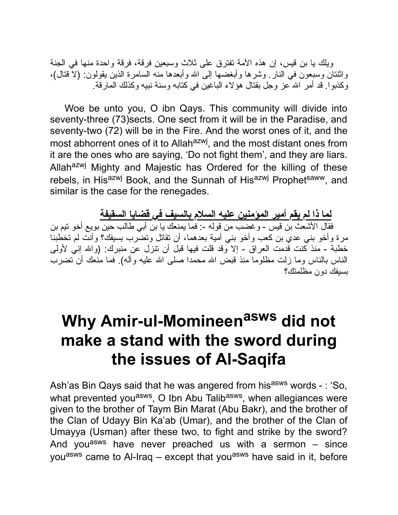ویلك یا بن قیس، إن هذه الأمة تفترق على ثلاث وسبعین فرقة، فرقة واحدة منها في الجنة واثنتان وسبعون في النار. وشرها وأبغضها إلى االله وأبعدها منه السامرة الذین یقولون: (لا قتال)، وكذبوا. قد أمر االله عز وجل بقتال هؤلاء الباغین في كتابه وسنة نبیه وكذلك المارقة.

Woe be unto you, O ibn Qays. This community will divide into seventy-three (73)sects. One sect from it will be in the Paradise, and seventy-two (72) will be in the Fire. And the worst ones of it, and the most abhorrent ones of it to Allah<sup>azwj</sup>, and the most distant ones from it are the ones who are saying, 'Do not fight them', and they are liars. Allah<sup>azwj</sup> Mighty and Majestic has Ordered for the killing of these rebels, in His<sup>azwj</sup> Book, and the Sunnah of His<sup>azwj</sup> Prophet<sup>saww</sup>, and similar is the case for the renegades.

**لما ذا لم یقم أمیر المؤمنین علیه السلام بالسیف في قضایا السقیفة** فقال الأشعث بن قیس - وغضب من قوله :- فما یمنعك یا بن أبي طالب حین بویع أخو تیم بن مرة وأخو بني عدي بن كعب وأخو بني أمیة بعدهما، أن تقاتل وتضرب بسیفك؟ وأنت لم تخطبنا خطبة - منذ كنت قدمت العراق - إلا وقد قلت فیها قبل أن تنزل عن منبرك: (واالله إني لأولى الناس بالناس وما زلت مظلوما منذ قبض االله محمدا صلى االله علیه وآله). فما منعك أن تضرب بسیفك دون مظلمتك؟

## **Why Amir-ul-Momineen asws did not make a stand with the sword during the issues of Al-Saqifa**

Ash'as Bin Qays said that he was angered from his<sup>asws</sup> words - : 'So, what prevented you<sup>asws</sup>, O Ibn Abu Talib<sup>asws</sup>, when allegiances were given to the brother of Taym Bin Marat (Abu Bakr), and the brother of the Clan of Udayy Bin Ka'ab (Umar), and the brother of the Clan of Umayya (Usman) after these two, to fight and strike by the sword? And you<sup>asws</sup> have never preached us with a sermon  $-$  since you<sup>asws</sup> came to Al-Iraq – except that you<sup>asws</sup> have said in it, before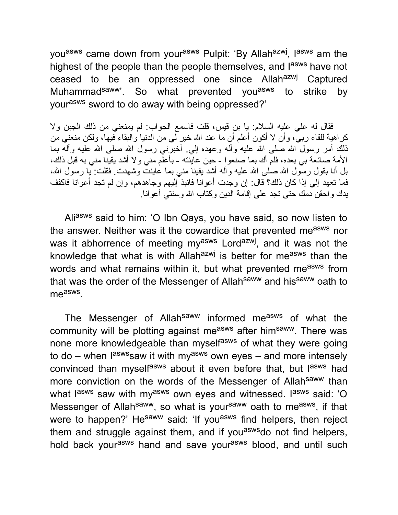you<sup>asws</sup> came down from your<sup>asws</sup> Pulpit: 'By Allah<sup>azwj</sup>, l<sup>asws</sup> am the highest of the people than the people themselves, and l<sup>asws</sup> have not ceased to be an oppressed one since Allahazwj Captured Muhammad<sup>saww</sup>'. So what prevented you<sup>asws</sup> to strike by yourasws sword to do away with being oppressed?'

فقال له علي علیه السلام: یا بن قیس، قلت فاسمع الجواب: لم یمنعني من ذلك الجبن ولا كراهیة للقاء ربي، وأن لا أكون أعلم أن ما عند االله خیر لي من الدنیا والبقاء فیها، ولكن منعني من ذلك أمر رسول الله صلى الله علیه وآله وعهده إلى أخبرنى رسول الله صلى الله علیه وآله بما الأمة صانعة بي بعده، فلم أك بما صنعوا - حین عاینته - بأعلم مني ولا أشد یقینا مني به قبل ذلك، بل أنا بقول رسول الله صلى الله علیه وآله أشد یقینا مني بما عاینت وشهدت. فقلت: یا رسول الله، فما تعهد إلي إذا كان ذلك؟ قال: إن وجدت أعوانا فانبذ إلیهم وجاهدهم، وإن لم تجد أعوانا فاكفف یدك واحقن دمك حتى تجد على إقامة الدین وكتاب االله وسنتي أعوانا.

Aliasws said to him: 'O Ibn Qays, you have said, so now listen to the answer. Neither was it the cowardice that prevented measws nor was it abhorrence of meeting my<sup>asws</sup> Lord<sup>azwj</sup>, and it was not the knowledge that what is with Allahazwj is better for measws than the words and what remains within it, but what prevented me<sup>asws</sup> from that was the order of the Messenger of Allah<sup>saww</sup> and his<sup>saww</sup> oath to me<sup>asws</sup>.

The Messenger of Allah<sup>saww</sup> informed me<sup>asws</sup> of what the community will be plotting against measws after himsaww. There was none more knowledgeable than myself<sup>asws</sup> of what they were going to do – when l<sup>asws</sup>saw it with my<sup>asws</sup> own eyes – and more intensely convinced than myself<sup>asws</sup> about it even before that, but l<sup>asws</sup> had more conviction on the words of the Messenger of Allahsaww than what l<sup>asws</sup> saw with my<sup>asws</sup> own eyes and witnessed. I<sup>asws</sup> said: 'O Messenger of Allah<sup>saww</sup>, so what is your<sup>saww</sup> oath to me<sup>asws</sup>, if that were to happen?' He<sup>saww</sup> said: 'If you<sup>asws</sup> find helpers, then reject them and struggle against them, and if you<sup>asws</sup>do not find helpers, hold back your<sup>asws</sup> hand and save your<sup>asws</sup> blood, and until such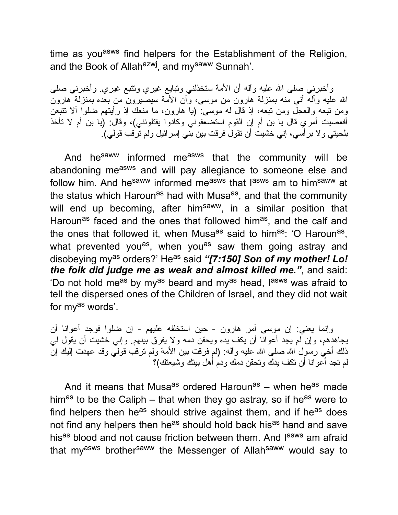time as you<sup>asws</sup> find helpers for the Establishment of the Religion, and the Book of Allah<sup>azwj</sup>, and my<sup>saww</sup> Sunnah'.

وأخبرني صلى الله علیه وأله أن الأمة ستخذلني وتبایع غیري وتتبع غیري. وأخبرني صلى االله علیه وآله أني منه بمنزلة هارون من موسى، وأن الأمة سیصیرون من بعده بمنزلة هارون ومن تبعه والعجل ومن تبعه، إذ قال له موسى: (یا هارون، ما منعك إذ رأیتهم ضلوا ألا تتبعن أفعصیت أمري قال یا بن أم إن القوم استضعفوني وكادوا یقتلونني)، وقال: (یا بن أم لا تأخذ بلحیتي ولا برأسي، إني خشیت أن تقول فرقت بین بني إسرائیل ولم ترقب قولي).

And he<sup>saww</sup> informed me<sup>asws</sup> that the community will be abandoning measws and will pay allegiance to someone else and follow him. And he<sup>saww</sup> informed me<sup>asws</sup> that l<sup>asws</sup> am to him<sup>saww</sup> at the status which Haroun<sup>as</sup> had with Musa<sup>as</sup>, and that the community will end up becoming, after himsaww, in a similar position that Haroun<sup>as</sup> faced and the ones that followed him<sup>as</sup>, and the calf and the ones that followed it, when Musa<sup>as</sup> said to him<sup>as</sup>: 'O Haroun<sup>as</sup>, what prevented you<sup>as</sup>, when you<sup>as</sup> saw them going astray and disobeying my<sup>as</sup> orders?' He<sup>as</sup> said "[7:150] Son of my mother! Lo! *the folk did judge me as weak and almost killed me."*, and said: 'Do not hold me<sup>as</sup> by my<sup>as</sup> beard and my<sup>as</sup> head, l<sup>asws</sup> was afraid to tell the dispersed ones of the Children of Israel, and they did not wait for my<sup>as</sup> words'.

وإنما یعني: إن موسى أمر هارون - حین استخلفه علیهم - إن ضلوا فوجد أعوانا أن یجاهدهم، وإن لم یجد أعوانا أن یكف یده ویحقن دمه ولا یفرق بینهم. وإني خشیت أن یقول لي ذلك أخي رسول الله صلى الله علیه وآله: (لم فرقت بین الأمة ولم نرقب قولي وقد عهدت إلیك إن لم تجد أعوانا أن تكف یدك وتحقن دمك ودم أهل بیتك وشیعتك)؟

And it means that Musa<sup>as</sup> ordered Haroun<sup>as</sup> – when he<sup>as</sup> made him<sup>as</sup> to be the Caliph – that when they go astray, so if he<sup>as</sup> were to find helpers then he<sup>as</sup> should strive against them, and if he<sup>as</sup> does not find any helpers then he<sup>as</sup> should hold back his<sup>as</sup> hand and save his<sup>as</sup> blood and not cause friction between them. And l<sup>asws</sup> am afraid that myasws brothersaww the Messenger of Allahsaww would say to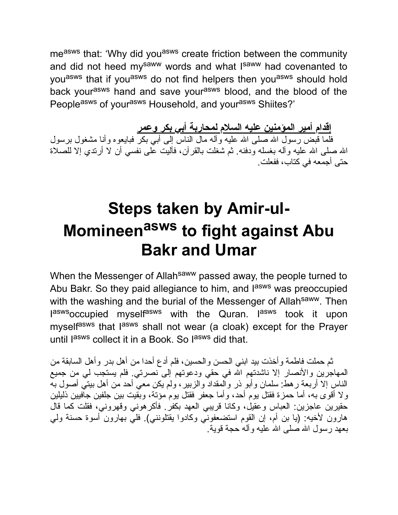measws that: 'Why did you<sup>asws</sup> create friction between the community and did not heed my<sup>saww</sup> words and what I<sup>saww</sup> had covenanted to you<sup>asws</sup> that if you<sup>asws</sup> do not find helpers then you<sup>asws</sup> should hold back your<sup>asws</sup> hand and save your<sup>asws</sup> blood, and the blood of the Peopleasws of yourasws Household, and yourasws Shiites?'

**إقدام أمیر المؤمنین علیه السلام لمحاربة أبي بكر وعمر**

فلما قبض رسول االله صلى االله علیه وآله مال الناس إلى أبي بكر فبایعوه وأنا مشغول برسول االله صلى االله علیه وآله بغسله ودفنه. ثم شغلت بالقرآن، فآلیت على نفسي أن لا أرتدي إلا للصلاة حتى أجمعه في كتاب، ففعلت.

## **Steps taken by Amir-ul-Momineen asws to fight against Abu Bakr and Umar**

When the Messenger of Allah<sup>saww</sup> passed away, the people turned to Abu Bakr. So they paid allegiance to him, and l<sup>asws</sup> was preoccupied with the washing and the burial of the Messenger of Allah<sup>saww</sup>. Then laswsoccupied myselfasws with the Quran. I<sup>asws</sup> took it upon myself<sup>asws</sup> that l<sup>asws</sup> shall not wear (a cloak) except for the Prayer until lasws collect it in a Book. So lasws did that.

ثم حملت فاطمة وأخذت بید ابني الحسن والحسین، فلم أدع أحدا من أهل بدر وأهل السابقة من المهاجرین والأنصار إلا ناشدتهم االله في حقي ودعوتهم إلى نصرتي. فلم یستجب لي من جمیع الناس إلا أربعة رهط: سلمان وأبو ذر والمقداد والزبیر، ولم یكن معي أحد من أهل بیتي أصول به ولا أقوى به، أما حمزة فقتل یوم أحد، وأما جعفر فقتل یوم مؤتة، وبقیت بین جلفین جافیین ذلیلین حقیرین عاجزین: العباس وعقیل، وكانا قریبي العهد بكفر. فأكرهوني وقهروني، فقلت كما قال هارون لأخیه: (یا بن أم، إن القوم استضعفوني وكادوا یقتلونني). فلي بهارون أسوة حسنة ولي بعهد رسول االله صلى االله علیه وآله حجة قویة.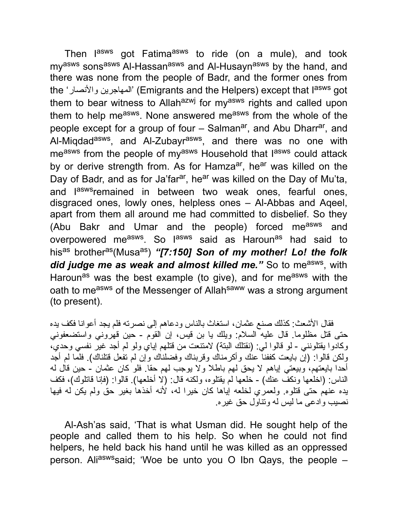Then l<sup>asws</sup> got Fatima<sup>asws</sup> to ride (on a mule), and took my<sup>asws</sup> sons<sup>asws</sup> Al-Hassan<sup>asws</sup> and Al-Husayn<sup>asws</sup> by the hand, and there was none from the people of Badr, and the former ones from the 'والأنصار المهاجرین) 'Emigrants and the Helpers) except that Iasws got them to bear witness to Allahazwj for myasws rights and called upon them to help me<sup>asws</sup>. None answered me<sup>asws</sup> from the whole of the people except for a group of four – Salman<sup>ar</sup>, and Abu Dharr<sup>ar</sup>, and Al-Miqdad<sup>asws</sup>, and Al-Zubayr<sup>asws</sup>, and there was no one with me<sup>asws</sup> from the people of my<sup>asws</sup> Household that l<sup>asws</sup> could attack by or derive strength from. As for Hamza<sup>ar</sup>, he<sup>ar</sup> was killed on the Day of Badr, and as for Ja'far<sup>ar</sup>, he<sup>ar</sup> was killed on the Day of Mu'ta, and l<sup>asws</sup>remained in between two weak ones, fearful ones, disgraced ones, lowly ones, helpless ones – Al-Abbas and Aqeel, apart from them all around me had committed to disbelief. So they (Abu Bakr and Umar and the people) forced measws and overpowered me<sup>asws</sup>. So l<sup>asws</sup> said as Haroun<sup>as</sup> had said to his<sup>as</sup> brother<sup>as</sup>(Musa<sup>as</sup>) "[7:150] Son of my mother! Lo! the folk did judge me as weak and almost killed me." So to me<sup>asws</sup>, with Haroun<sup>as</sup> was the best example (to give), and for me<sup>asws</sup> with the oath to me<sup>asws</sup> of the Messenger of Allah<sup>saww</sup> was a strong argument (to present).

فقال الأشعث: كذلك صنع عثمان، استغاث بالناس ودعاهم إلى نصرته فلم یجد أعوانا فكف یده حتى قتل مظلوما. قال علیه السلام: ویلك یا بن قیس، إن القوم - حین قهروني واستضعفوني وكادوا یقتلونني - لو قالوا لي: (نقتلك البتة) لامتنعت من قتلهم إیاي ولو لم أجد غیر نفسي وحدي، ولكن قالوا: (إن بایعت كففنا عنك وأكرمناك وقربناك وفضلناك وإن لم تفعل قتلناك). فلما لم أجد أحدا بایعتهم، وبیعتي إیاهم لا یحق لهم باطلا ولا یوجب لهم حقا. فلو كان عثمان - حین قال له الناس: (اخلعها ونكف عنك) - خلعها لم یقتلوه، ولكنه قال: (لا أخلعها). قالوا: (فإنا قاتلوك)، فكف یده عنهم حتى قتلوه. ولعمري لخلعه إیاها كان خیرا له، لأنه أخذها بغیر حق ولم یكن له فیها نصیب وادعى ما لیس له وتناول حق غیره.

Al-Ash'as said, 'That is what Usman did. He sought help of the people and called them to his help. So when he could not find helpers, he held back his hand until he was killed as an oppressed person. Aliaswssaid; 'Woe be unto you O Ibn Qays, the people  $-$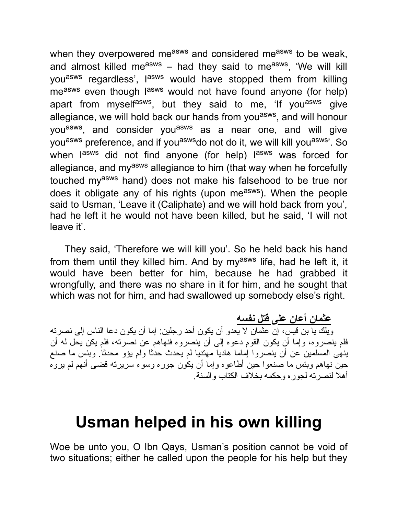when they overpowered measws and considered measws to be weak, and almost killed me<sup>asws</sup> – had they said to me<sup>asws</sup>, 'We will kill you<sup>asws</sup> regardless', l<sup>asws</sup> would have stopped them from killing me<sup>asws</sup> even though l<sup>asws</sup> would not have found anyone (for help) apart from myself<sup>asws</sup>, but they said to me, 'If you<sup>asws</sup> give allegiance, we will hold back our hands from you<sup>asws</sup>, and will honour you<sup>asws</sup>, and consider you<sup>asws</sup> as a near one, and will give you<sup>asws</sup> preference, and if you<sup>asws</sup>do not do it, we will kill you<sup>asws</sup>'. So when l<sup>asws</sup> did not find anyone (for help) l<sup>asws</sup> was forced for allegiance, and my<sup>asws</sup> allegiance to him (that way when he forcefully touched my<sup>asws</sup> hand) does not make his falsehood to be true nor does it obligate any of his rights (upon me<sup>asws</sup>). When the people said to Usman, 'Leave it (Caliphate) and we will hold back from you', had he left it he would not have been killed, but he said, 'I will not leave it'.

They said, 'Therefore we will kill you'. So he held back his hand from them until they killed him. And by my<sup>asws</sup> life, had he left it, it would have been better for him, because he had grabbed it wrongfully, and there was no share in it for him, and he sought that which was not for him, and had swallowed up somebody else's right.

**عثمان أعان على قتل نفسه** ویلك یا بن قیس، إن عثمان لا یعدو أن یكون أحد رجلین: إما أن یكون دعا الناس إلى نصرته فلم ینصروه، وإما أن یكون القوم دعوه إلى أن ینصروه فنهاهم عن نصرته، فلم یكن یحل له أن ینهى المسلمین عن أن ینصروا إماما هادیا مهتدیا لم یحدث حدثا ولم یؤو محدثا. وبئس ما صنع حین نهاهم وبئس ما صنعوا حین أطاعوه وإما أن یكون جوره وسوء سریرته قضى أنهم لم یروه أهلا لنصرته لجوره وحكمه بخلاف الكتاب والسنة.

#### **Usman helped in his own killing**

Woe be unto you, O Ibn Qays, Usman's position cannot be void of two situations; either he called upon the people for his help but they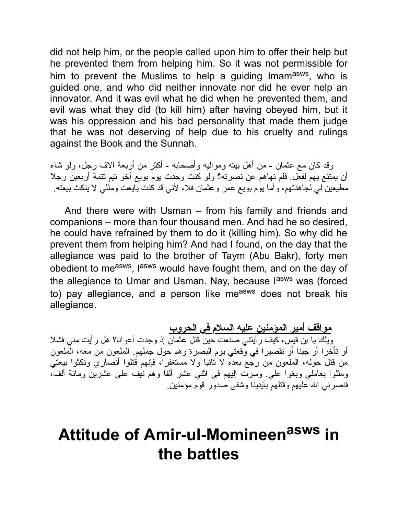did not help him, or the people called upon him to offer their help but he prevented them from helping him. So it was not permissible for him to prevent the Muslims to help a guiding Imam<sup>asws</sup>, who is guided one, and who did neither innovate nor did he ever help an innovator. And it was evil what he did when he prevented them, and evil was what they did (to kill him) after having obeyed him, but it was his oppression and his bad personality that made them judge that he was not deserving of help due to his cruelty and rulings against the Book and the Sunnah.

وقد كان مع عثمان - من أهل بیته وموالیه وأصحابه - أكثر من أربعة آلاف رجل، ولو شاء أن یمتنع بهم لفعل. فلم نهاهم عن نصرته؟ ولو كنت وجدت یوم بویع أخو تیم تتمة أربعین رجلا مطیعین لي لجاهدتهم، وأما یوم بویع عمر وعثمان فلا، لأني قد كنت بایعت ومثلي لا ینكث بیعته.

And there were with Usman – from his family and friends and companions – more than four thousand men. And had he so desired, he could have refrained by them to do it (killing him). So why did he prevent them from helping him? And had I found, on the day that the allegiance was paid to the brother of Taym (Abu Bakr), forty men obedient to measws, lasws would have fought them, and on the day of the allegiance to Umar and Usman. Nay, because l<sup>asws</sup> was (forced to) pay allegiance, and a person like measws does not break his allegiance.

**مواقف أمیر المؤمنین علیه السلام في الحروب** ویلك یا بن قیس، كیف رأیتني صنعت حین قتل عثمان إذ وجدت أعوانا؟ هل رأیت مني فشلا أو تأخرا أو جبنا أو تقصیرا في وقعتي یوم البصرة وهم حول جملهم. الملعون من معه، الملعون من قتل حوله، الملعون من رجع بعده لا تائبا ولا مستغفرا، فإنهم قتلوا أنصاري ونكثوا بیعتي ومثلوا بعاملي وبغوا علي. وسرت إلیهم في اثني عشر ألفا وهم نیف على عشرین ومائة ألف، فنصرني االله علیهم وقتلهم بأیدینا وشفى صدور قوم مؤمنین.

## **Attitude of Amir-ul-Momineen asws in the battles**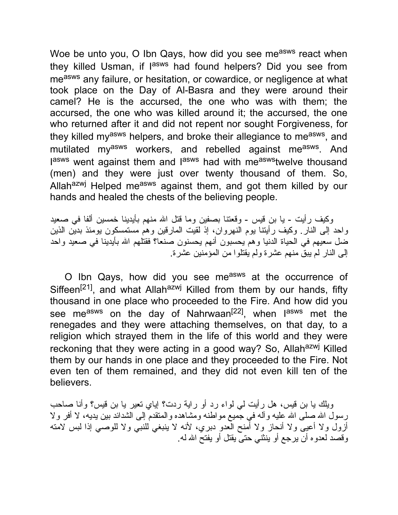Woe be unto you, O Ibn Qays, how did you see measws react when they killed Usman, if l<sup>asws</sup> had found helpers? Did you see from measws any failure, or hesitation, or cowardice, or negligence at what took place on the Day of Al-Basra and they were around their camel? He is the accursed, the one who was with them; the accursed, the one who was killed around it; the accursed, the one who returned after it and did not repent nor sought Forgiveness, for they killed my<sup>asws</sup> helpers, and broke their allegiance to me<sup>asws</sup>, and mutilated my<sup>asws</sup> workers, and rebelled against me<sup>asws</sup>. And lasws went against them and lasws had with measwstwelve thousand (men) and they were just over twenty thousand of them. So, Allah<sup>azwj</sup> Helped me<sup>asws</sup> against them, and got them killed by our hands and healed the chests of the believing people.

وكیف رأیت - یا بن قیس - وقعتنا بصفین وما قتل االله منهم بأیدینا خمسین ألفا في صعید واحد إلى النار. وكیف رأیتنا یوم النهروان، إذ لقیت المارقین وهم مستمسكون یومئذ بدین الذین ضل سعیهم في الحیاة الدنیا وهم یحسبون أنهم یحسنون صنعا؟ فقتلهم االله بأیدینا في صعید واحد إلى النار لم یبق منهم عشرة ولم یقتلوا من المؤمنین عشرة.

O Ibn Qays, how did you see measws at the occurrence of Siffeen<sup>[21]</sup>, and what Allah<sup>azwj</sup> Killed from them by our hands, fifty thousand in one place who proceeded to the Fire. And how did you see me<sup>asws</sup> on the day of Nahrwaan<sup>[22]</sup>, when l<sup>asws</sup> met the renegades and they were attaching themselves, on that day, to a religion which strayed them in the life of this world and they were reckoning that they were acting in a good way? So, Allah<sup>azwj</sup> Killed them by our hands in one place and they proceeded to the Fire. Not even ten of them remained, and they did not even kill ten of the believers.

ویلك یا بن قیس، هل رأیت لي لواء رد أو رایة ردت؟ إیاي تعیر یا بن قیس؟ وأنا صاحب رسول الله صلى الله علیه وأله في جمیع مواطنه ومشاهده والمتقدم إلى الشدائد بین یدیه، لا أفر ولا أزول ولا أعیى ولا أنحاز ولا أمنح العدو دبري، لأنه لا ینبغي للنبي ولا للوصي إذا لبس لامته وقصد لعدوه أن یرجع أو ینثني حتى یقتل أو یفتح االله له.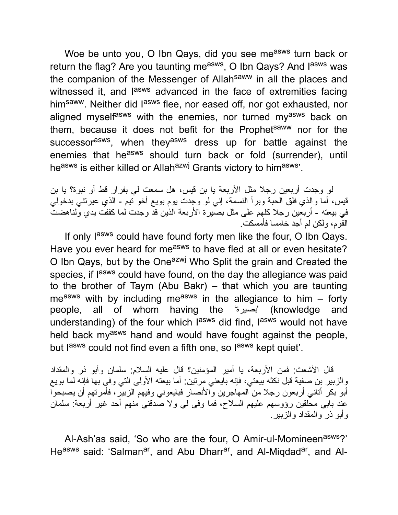Woe be unto you, O Ibn Qays, did you see measws turn back or return the flag? Are you taunting me<sup>asws</sup>, O Ibn Qays? And l<sup>asws</sup> was the companion of the Messenger of Allahsaww in all the places and witnessed it, and l<sup>asws</sup> advanced in the face of extremities facing him<sup>saww</sup>. Neither did l<sup>asws</sup> flee, nor eased off, nor got exhausted, nor aligned myselfasws with the enemies, nor turned myasws back on them, because it does not befit for the Prophetsaww nor for the successor<sup>asws</sup>, when they<sup>asws</sup> dress up for battle against the enemies that he<sup>asws</sup> should turn back or fold (surrender), until heasws is either killed or Allahazwj Grants victory to himasws'.

لو وجدت أربعین رجلا مثل الأربعة یا بن قیس، هل سمعت لي بفرار قط أو نبوة؟ یا بن قیس، أما والذي فلق الحبة وبرأ النسمة، إني لو وجدت یوم بویع أخو تیم - الذي عیرتني بدخولي في بیعته - أربعین رجلا كلهم على مثل بصیرة الأربعة الذین قد وجدت لما كففت یدي ولناهضت القوم، ولكن لم أجد خامسا فأمسكت.

If only lasws could have found forty men like the four, O Ibn Qays. Have you ever heard for measws to have fled at all or even hesitate? O Ibn Qays, but by the One<sup>azwj</sup> Who Split the grain and Created the species, if lasws could have found, on the day the allegiance was paid to the brother of Taym (Abu Bakr) – that which you are taunting measws with by including measws in the allegiance to him  $-$  forty people, all of whom having the 'بصیرة) 'knowledge and understanding) of the four which l<sup>asws</sup> did find, l<sup>asws</sup> would not have held back my<sup>asws</sup> hand and would have fought against the people, but lasws could not find even a fifth one, so lasws kept quiet'.

قال الأشعث: فمن الأربعة، یا أمیر المؤمنین؟ قال علیه السلام: سلمان وأبو ذر والمقداد والزبیر بن صفیة قبل نكثه بیعتي، فإنه بایعني مرتین: أما بیعته الأولى التي وفى بها فإنه لما بویع أبو بكر أتاني أربعون رجلا من المهاجرین والأنصار فبایعوني وفیهم الزبیر، فأمرتهم أن یصبحوا عند بابي محلقین رؤوسهم علیهم السلاح، فما وفى لي ولا صدقني منهم أحد غیر أربعة: سلمان وأبو ذر والمقداد والزبیر.

Al-Ash'as said, 'So who are the four, O Amir-ul-Momineen<sup>asws</sup>?' He<sup>asws</sup> said: 'Salman<sup>ar</sup>, and Abu Dharr<sup>ar</sup>, and Al-Miqdad<sup>ar</sup>, and Al-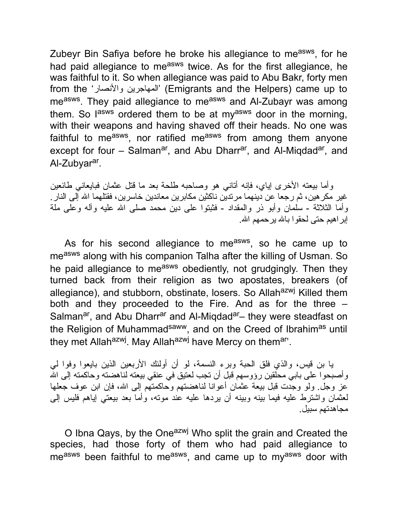Zubeyr Bin Safiya before he broke his allegiance to me<sup>asws</sup>, for he had paid allegiance to measws twice. As for the first allegiance, he was faithful to it. So when allegiance was paid to Abu Bakr, forty men from the 'والأنصار المهاجرین) 'Emigrants and the Helpers) came up to me<sup>asws</sup>. They paid allegiance to me<sup>asws</sup> and Al-Zubayr was among them. So l<sup>asws</sup> ordered them to be at my<sup>asws</sup> door in the morning, with their weapons and having shaved off their heads. No one was faithful to me<sup>asws</sup>, nor ratified me<sup>asws</sup> from among them anyone except for four – Salman<sup>ar</sup>, and Abu Dharr<sup>ar</sup>, and Al-Miqdad<sup>ar</sup>, and Al-Zubyar<sup>ar</sup>.

وأما بیعته الأخرى إیاي، فإنه أتاني هو وصاحبه طلحة بعد ما قتل عثمان فبایعاني طائعین غیر مكرهین، ثم رجعا عن دینهما مرتدین ناكثین مكابرین معاندین خاسرین، فقتلهما االله إلى النار. وأما الثلاثة - سلمان وأبو ذر والمقداد - فثبتوا على دین محمد صلى االله علیه وآله وعلى ملة إبراهیم حتى لحقوا باالله یرحمهم االله.

As for his second allegiance to me<sup>asws</sup>, so he came up to measws along with his companion Talha after the killing of Usman. So he paid allegiance to measws obediently, not grudgingly. Then they turned back from their religion as two apostates, breakers (of allegiance), and stubborn, obstinate, losers. So Allah<sup>azwj</sup> Killed them both and they proceeded to the Fire. And as for the three – Salman<sup>ar</sup>, and Abu Dharr<sup>ar</sup> and Al-Miqdad<sup>ar</sup>– they were steadfast on the Religion of Muhammad<sup>saww</sup>, and on the Creed of Ibrahim<sup>as</sup> until they met Allah<sup>azwj</sup>. May Allah<sup>azwj</sup> have Mercy on themar'.

یا بن قیس، والذي فلق الحبة وبرء النسمة، لو أن أولئك الأربعین الذین بایعوا وفوا لي وأصبحوا على بابي محلقین رؤوسهم قبل أن تجب لعتیق في عنقي بیعته لناهضته وحاكمته إلى االله عز وجل. ولو وجدت قبل بیعة عثمان أعوانا لناهضتهم وحاكمتهم إلى االله، فإن ابن عوف جعلها لعثمان واشترط علیه فیما بینه وبینه أن یردها علیه عند موته، وأما بعد بیعتي إیاهم فلیس إلى مجاهدتهم سبیل.

O Ibna Qays, by the One<sup>azwj</sup> Who split the grain and Created the species, had those forty of them who had paid allegiance to me<sup>asws</sup> been faithful to me<sup>asws</sup>, and came up to my<sup>asws</sup> door with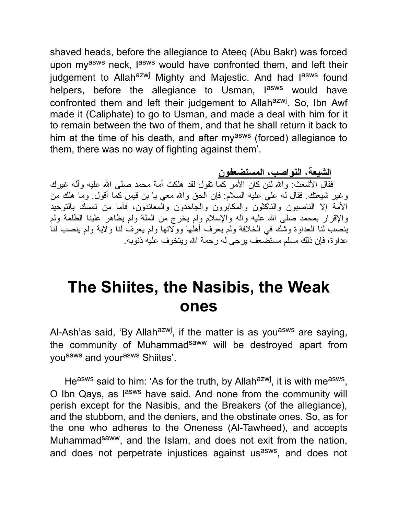shaved heads, before the allegiance to Ateeq (Abu Bakr) was forced upon my<sup>asws</sup> neck, l<sup>asws</sup> would have confronted them, and left their judgement to Allah<sup>azwj</sup> Mighty and Majestic. And had l<sup>asws</sup> found helpers, before the allegiance to Usman, l<sup>asws</sup> would have confronted them and left their judgement to Allah<sup>azwj</sup>. So, Ibn Awf made it (Caliphate) to go to Usman, and made a deal with him for it to remain between the two of them, and that he shall return it back to him at the time of his death, and after my<sup>asws</sup> (forced) allegiance to them, there was no way of fighting against them'.

**الشیعة، النواصب، المستضعفون**

فقال الأشعث: واالله لئن كان الأمر كما تقول لقد هلكت أمة محمد صلى االله علیه وآله غیرك وغیر شیعتك. فقال له علي علیه السلام: فإن الحق واالله معي یا بن قیس كما أقول. وما هلك من الأمة إلا الناصبون والناكثون والمكابرون والجاحدون والمعاندون، فأما من تمسك بالتوحید والإقرار بمحمد صلى الله علیه وأله والإسلام ولم یخرج من الملة ولم یظاهر علینا الظلمة ولم ینصب لنا العداوة وشك في الخلافة ولم یعرف أهلها وولاتها ولم یعرف لنا ولایة ولم ینصب لنا عداوة، فإن ذلك مسلم مستضعف یرجى له رحمة االله ویتخوف علیه ذنوبه.

## **The Shiites, the Nasibis, the Weak ones**

Al-Ash'as said, 'By Allah<sup>azwj</sup>, if the matter is as you<sup>asws</sup> are saying, the community of Muhammad<sup>saww</sup> will be destroyed apart from you<sup>asws</sup> and your<sup>asws</sup> Shiites'.

He<sup>asws</sup> said to him: 'As for the truth, by Allah<sup>azwj</sup>, it is with me<sup>asws</sup>, O Ibn Qays, as l<sup>asws</sup> have said. And none from the community will perish except for the Nasibis, and the Breakers (of the allegiance), and the stubborn, and the deniers, and the obstinate ones. So, as for the one who adheres to the Oneness (Al-Tawheed), and accepts Muhammad<sup>saww</sup>, and the Islam, and does not exit from the nation, and does not perpetrate injustices against us<sup>asws</sup>, and does not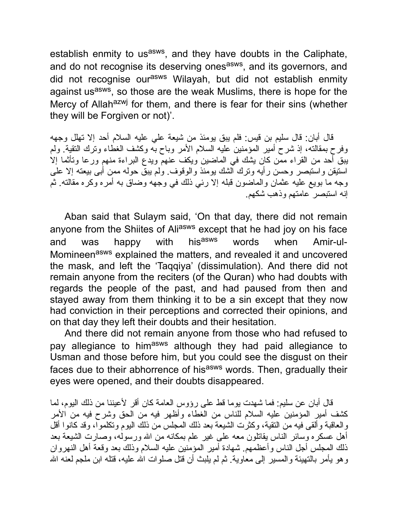establish enmity to us<sup>asws</sup>, and they have doubts in the Caliphate, and do not recognise its deserving ones<sup>asws</sup>, and its governors, and did not recognise our<sup>asws</sup> Wilayah, but did not establish enmity against us<sup>asws</sup>, so those are the weak Muslims, there is hope for the Mercy of Allah<sup>azwj</sup> for them, and there is fear for their sins (whether they will be Forgiven or not)'.

قال أبان: قال سلیم بن قیس: فلم یبق یومئذ من شیعة علي علیه السلام أحد إلا تهلل وجهه وفرح بمقالته، إذ شرح أمیر المؤمنین علیه السلام الأمر وباح به وكشف الغطاء وترك التقیة. ولم یبق أحد من القراء ممن كان یشك في الماضین ویكف عنهم ویدع البراءة منهم ورعا وتأثما إلا استیقن واستبصر وحسن رأیه وترك الشك یومئذ والوقوف. ولم یبق حوله ممن أبى بیعته إلا على وجه ما بویع علیه عثمان والماضون قبله إلا رئي ذلك في وجهه وضاق به أمره وكره مقالته. ثم إنه استبصر عامتهم وذهب شكهم.

Aban said that Sulaym said, 'On that day, there did not remain anyone from the Shiites of Ali<sup>asws</sup> except that he had joy on his face and was happy with his<sup>asws</sup> words when Amir-ul-Momineen<sup>asws</sup> explained the matters, and revealed it and uncovered the mask, and left the 'Taqqiya' (dissimulation). And there did not remain anyone from the reciters (of the Quran) who had doubts with regards the people of the past, and had paused from then and stayed away from them thinking it to be a sin except that they now had conviction in their perceptions and corrected their opinions, and on that day they left their doubts and their hesitation.

And there did not remain anyone from those who had refused to pay allegiance to him<sup>asws</sup> although they had paid allegiance to Usman and those before him, but you could see the disgust on their faces due to their abhorrence of hisasws words. Then, gradually their eyes were opened, and their doubts disappeared.

قال أبان عن سلیم: فما شهدت یوما قط على رؤوس العامة كان أقر لأعیننا من ذلك الیوم، لما كشف أمیر المؤمنین علیه السلام للناس من الغطاء وأظهر فیه من الحق وشرح فیه من الأمر والعاقبة وألقى فیه من التقیة، وكثرت الشیعة بعد ذلك المجلس من ذلك الیوم وتكلموا، وقد كانوا أقل أهل عسكره وسائر الناس یقاتلون معه على غیر علم بمكانه من االله ورسوله، وصارت الشیعة بعد ذلك المجلس أجل الناس وأعظمهم. شهادة أمیر المؤمنین علیه السلام وذلك بعد وقعة أهل النهروان وهو یأمر بالتهیئة والمسیر إلى معاویة. ثم لم یلبث أن قتل صلوات االله علیه، قتله ابن ملجم لعنه االله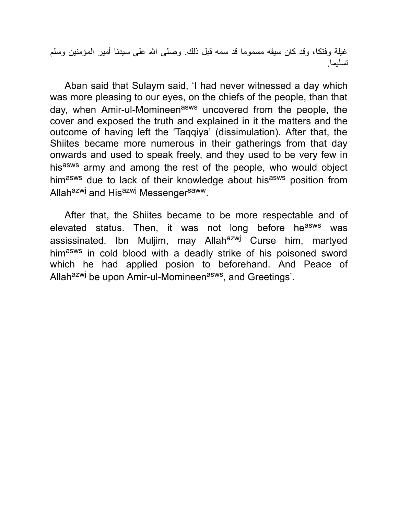غیلة وفتكا، وقد كان سیفه مسموما قد سمه قبل ذلك. وصلى االله على سیدنا أمیر المؤمنین وسلم تسلیما.

Aban said that Sulaym said, 'I had never witnessed a day which was more pleasing to our eyes, on the chiefs of the people, than that day, when Amir-ul-Momineen<sup>asws</sup> uncovered from the people, the cover and exposed the truth and explained in it the matters and the outcome of having left the 'Taqqiya' (dissimulation). After that, the Shiites became more numerous in their gatherings from that day onwards and used to speak freely, and they used to be very few in hisasws army and among the rest of the people, who would object himasws due to lack of their knowledge about hisasws position from Allah<sup>azwj</sup> and His<sup>azwj</sup> Messenger<sup>saww</sup>.

After that, the Shiites became to be more respectable and of elevated status. Then, it was not long before he<sup>asws</sup> was assissinated. Ibn Muljim, may Allah<sup>azwj</sup> Curse him, martyed himasws in cold blood with a deadly strike of his poisoned sword which he had applied posion to beforehand. And Peace of Allah<sup>azwj</sup> be upon Amir-ul-Momineen<sup>asws</sup>, and Greetings'.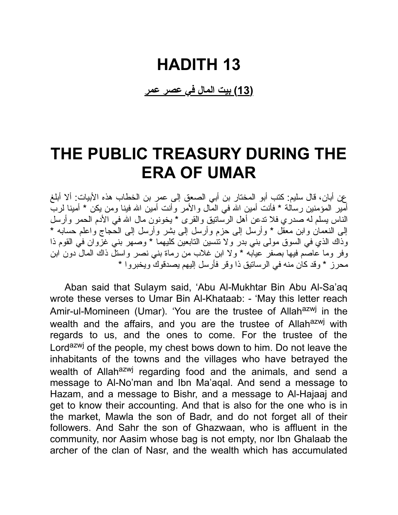## **HADITH 13**

**(13) بیت المال في عصر عمر**

## **THE PUBLIC TREASURY DURING THE ERA OF UMAR**

عن أبان، قال سلیم: كتب أبو المختار بن أبي الصعق إلى عمر بن الخطاب هذه الأبیات: ألا أبلغ أمیر المؤمنین رسالة \* فأنت أمین االله في المال والأمر وأنت أمین االله فینا ومن یكن \* أمینا لرب الناس یسلم له صدري فلا تدعن أهل الرساتیق والقرى \* یخونون مال االله في الأدم الحمر وأرسل إلى النعمان وابن معقل \* وأرسل إلى حزم وأرسل إلى بشر وأرسل إلى الحجاج واعلم حسابه \* وذاك الذي في السوق مولى بني بدر ولا تنسین التابعین كلیهما \* وصهر بني غزوان في القوم ذا وفر وما عاصم فیها بصفر عیابه \* ولا ابن غلاب من رماة بني نصر واستل ذاك المال دون ابن محر ز  $^{\star}$  وقد كان منه في الر ساتیق ذا وقر ًفأر سل إلیهم یصدقو ك ویخبر و ا $^{\star}$ 

Aban said that Sulaym said, 'Abu Al-Mukhtar Bin Abu Al-Sa'aq wrote these verses to Umar Bin Al-Khataab: - 'May this letter reach Amir-ul-Momineen (Umar). 'You are the trustee of Allah<sup>azwj</sup> in the wealth and the affairs, and you are the trustee of Allah<sup>azwj</sup> with regards to us, and the ones to come. For the trustee of the Lord<sup>azwj</sup> of the people, my chest bows down to him. Do not leave the inhabitants of the towns and the villages who have betrayed the wealth of Allah<sup>azwj</sup> regarding food and the animals, and send a message to Al-No'man and Ibn Ma'aqal. And send a message to Hazam, and a message to Bishr, and a message to Al-Hajaaj and get to know their accounting. And that is also for the one who is in the market, Mawla the son of Badr, and do not forget all of their followers. And Sahr the son of Ghazwaan, who is affluent in the community, nor Aasim whose bag is not empty, nor Ibn Ghalaab the archer of the clan of Nasr, and the wealth which has accumulated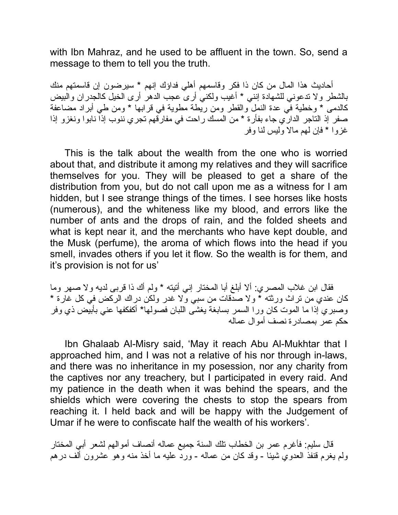with Ibn Mahraz, and he used to be affluent in the town. So, send a message to them to tell you the truth.

أحادیث هذا المال من كان ذا فكر وقاسمهم أهلي فداؤك إنهم \* سیرضون إن قاسمتهم منك بالشطر ولا تدعوني للشهادة إنني \* أغیب ولكني أرى عجب الدهر أرى الخیل كالجدران والبیض كالدمى \* وخطیة في عدة النمل والقطر ومن ریطة مطویة في قرابها \* ومن طي أبراد مضاعفة صفر إذ التاجر الداري جاء بفأرة \* من المسك راحت في مفارقهم تجري ننوب إذا نابوا ونغزو إذا غزوا \* فإن لهم مالا ولیس لنا وفر

This is the talk about the wealth from the one who is worried about that, and distribute it among my relatives and they will sacrifice themselves for you. They will be pleased to get a share of the distribution from you, but do not call upon me as a witness for I am hidden, but I see strange things of the times. I see horses like hosts (numerous), and the whiteness like my blood, and errors like the number of ants and the drops of rain, and the folded sheets and what is kept near it, and the merchants who have kept double, and the Musk (perfume), the aroma of which flows into the head if you smell, invades others if you let it flow. So the wealth is for them, and it's provision is not for us'

فقال ابن غلاب المصري: ألا أبلغ أبا المختار إني أتیته \* ولم أك ذا قربى لدیه ولا صهر وما كان عندي من تراث ورثته \* ولا صدقات من سبي ولا غدر ولكن دراك الركض في كل غارة \* وصبري إذا ما الموت كان ورا السمر بسابغة یغشى اللبان فصولها\* أكفكفها عني بأبیض ذي وفر حكم عمر بمصادرة نصف أموال عماله

Ibn Ghalaab Al-Misry said, 'May it reach Abu Al-Mukhtar that I approached him, and I was not a relative of his nor through in-laws, and there was no inheritance in my posession, nor any charity from the captives nor any treachery, but I participated in every raid. And my patience in the death when it was behind the spears, and the shields which were covering the chests to stop the spears from reaching it. I held back and will be happy with the Judgement of Umar if he were to confiscate half the wealth of his workers'.

قال سلیم: فأغرم عمر بن الخطاب تلك السنة جمیع عماله أنصاف أموالهم لشعر أبي المختار ولم یغرم قنفذ العدوي شیئا - وقد كان من عماله - ورد علیه ما أخذ منه وهو عشرون ألف درهم